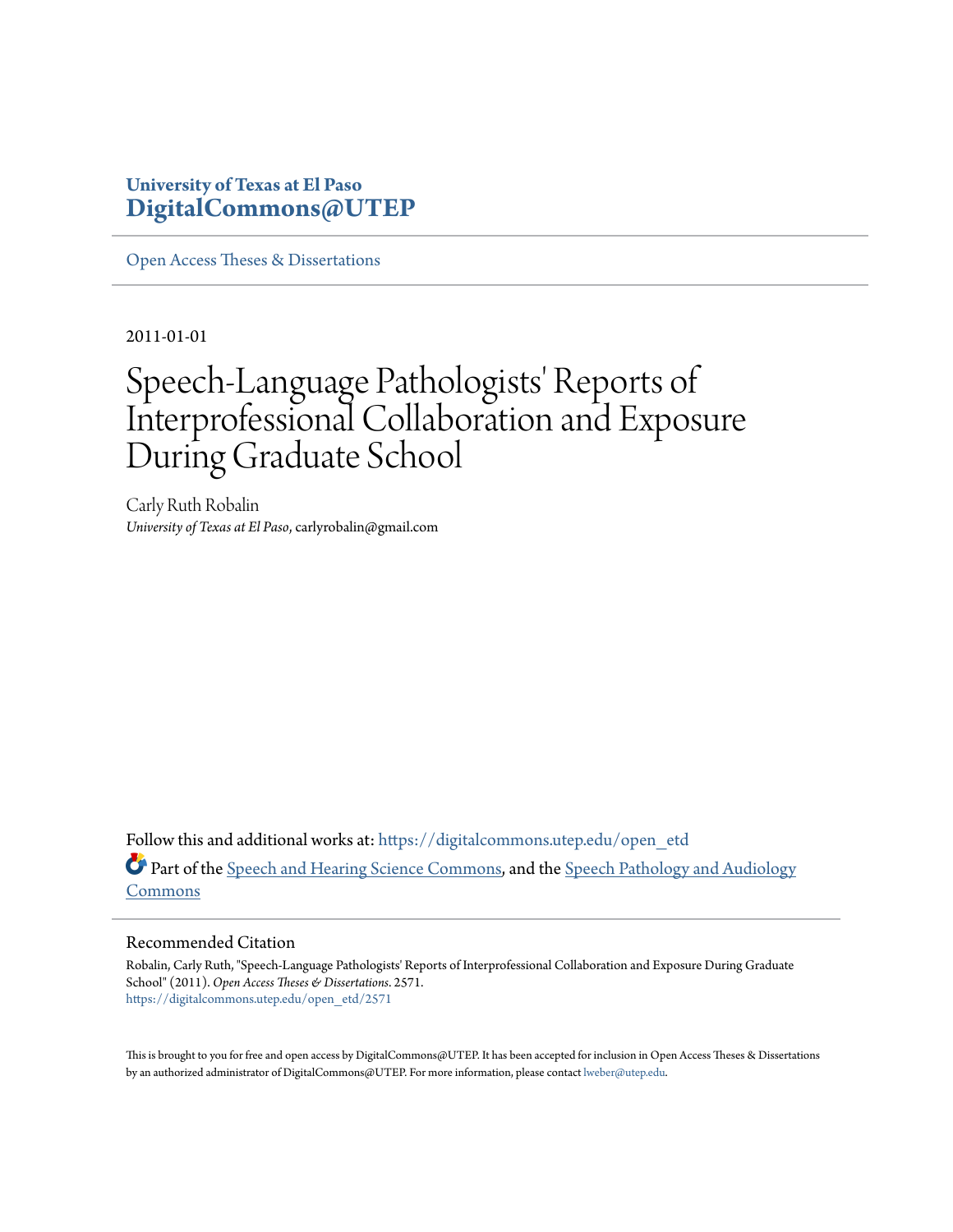# **University of Texas at El Paso [DigitalCommons@UTEP](https://digitalcommons.utep.edu/?utm_source=digitalcommons.utep.edu%2Fopen_etd%2F2571&utm_medium=PDF&utm_campaign=PDFCoverPages)**

[Open Access Theses & Dissertations](https://digitalcommons.utep.edu/open_etd?utm_source=digitalcommons.utep.edu%2Fopen_etd%2F2571&utm_medium=PDF&utm_campaign=PDFCoverPages)

2011-01-01

# Speech-Language Pathologists' Reports of Interprofessional Collaboration and Exposure During Graduate School

Carly Ruth Robalin *University of Texas at El Paso*, carlyrobalin@gmail.com

Follow this and additional works at: [https://digitalcommons.utep.edu/open\\_etd](https://digitalcommons.utep.edu/open_etd?utm_source=digitalcommons.utep.edu%2Fopen_etd%2F2571&utm_medium=PDF&utm_campaign=PDFCoverPages) Part of the [Speech and Hearing Science Commons](http://network.bepress.com/hgg/discipline/1033?utm_source=digitalcommons.utep.edu%2Fopen_etd%2F2571&utm_medium=PDF&utm_campaign=PDFCoverPages), and the [Speech Pathology and Audiology](http://network.bepress.com/hgg/discipline/1035?utm_source=digitalcommons.utep.edu%2Fopen_etd%2F2571&utm_medium=PDF&utm_campaign=PDFCoverPages) [Commons](http://network.bepress.com/hgg/discipline/1035?utm_source=digitalcommons.utep.edu%2Fopen_etd%2F2571&utm_medium=PDF&utm_campaign=PDFCoverPages)

#### Recommended Citation

Robalin, Carly Ruth, "Speech-Language Pathologists' Reports of Interprofessional Collaboration and Exposure During Graduate School" (2011). *Open Access Theses & Dissertations*. 2571. [https://digitalcommons.utep.edu/open\\_etd/2571](https://digitalcommons.utep.edu/open_etd/2571?utm_source=digitalcommons.utep.edu%2Fopen_etd%2F2571&utm_medium=PDF&utm_campaign=PDFCoverPages)

This is brought to you for free and open access by DigitalCommons@UTEP. It has been accepted for inclusion in Open Access Theses & Dissertations by an authorized administrator of DigitalCommons@UTEP. For more information, please contact [lweber@utep.edu.](mailto:lweber@utep.edu)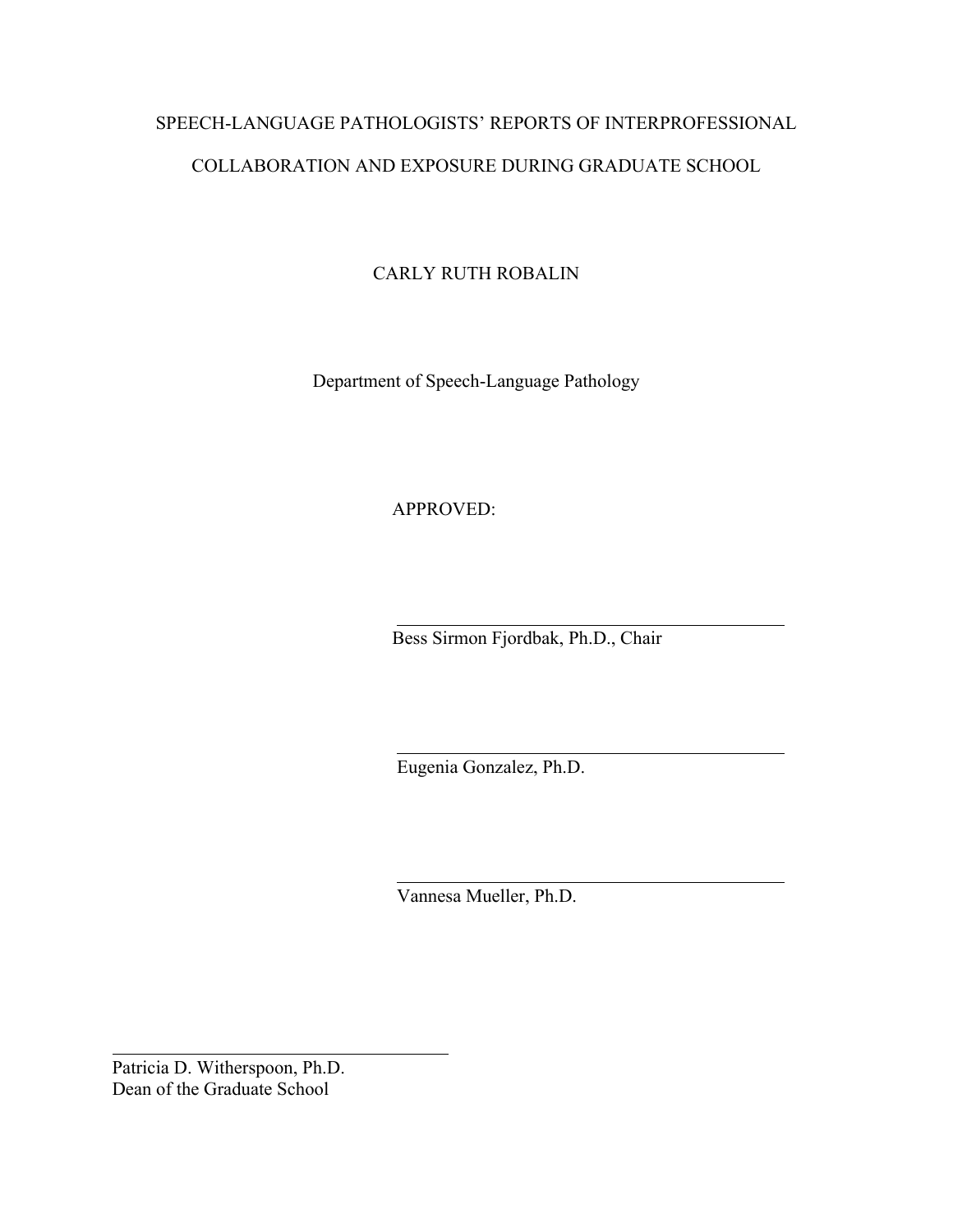# SPEECH-LANGUAGE PATHOLOGISTS' REPORTS OF INTERPROFESSIONAL COLLABORATION AND EXPOSURE DURING GRADUATE SCHOOL

CARLY RUTH ROBALIN

Department of Speech-Language Pathology

APPROVED:

Bess Sirmon Fjordbak, Ph.D., Chair

Eugenia Gonzalez, Ph.D.

Vannesa Mueller, Ph.D.

Patricia D. Witherspoon, Ph.D. Dean of the Graduate School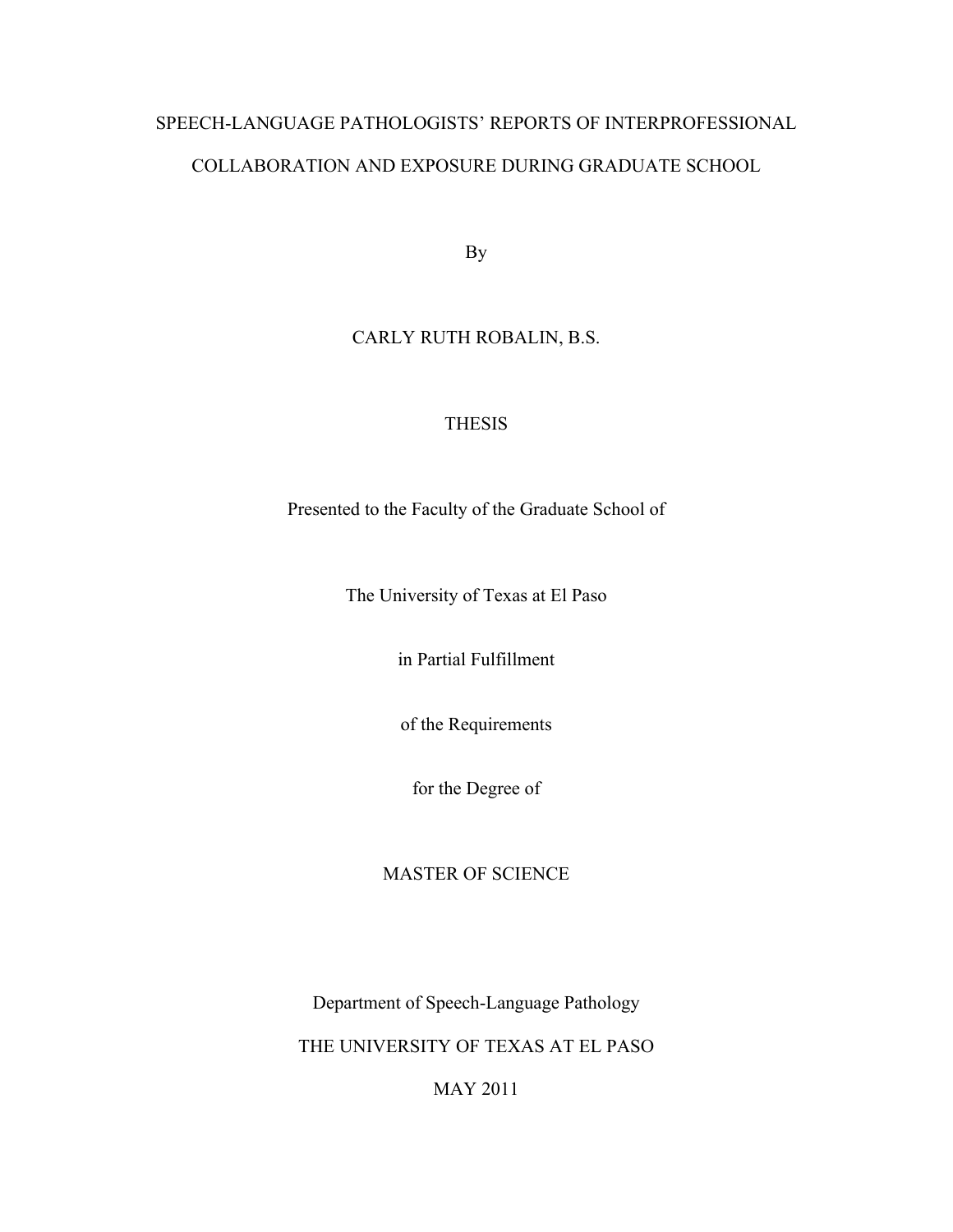# SPEECH-LANGUAGE PATHOLOGISTS' REPORTS OF INTERPROFESSIONAL COLLABORATION AND EXPOSURE DURING GRADUATE SCHOOL

By

# CARLY RUTH ROBALIN, B.S.

# **THESIS**

Presented to the Faculty of the Graduate School of

The University of Texas at El Paso

in Partial Fulfillment

of the Requirements

for the Degree of

# MASTER OF SCIENCE

Department of Speech-Language Pathology

THE UNIVERSITY OF TEXAS AT EL PASO

MAY 2011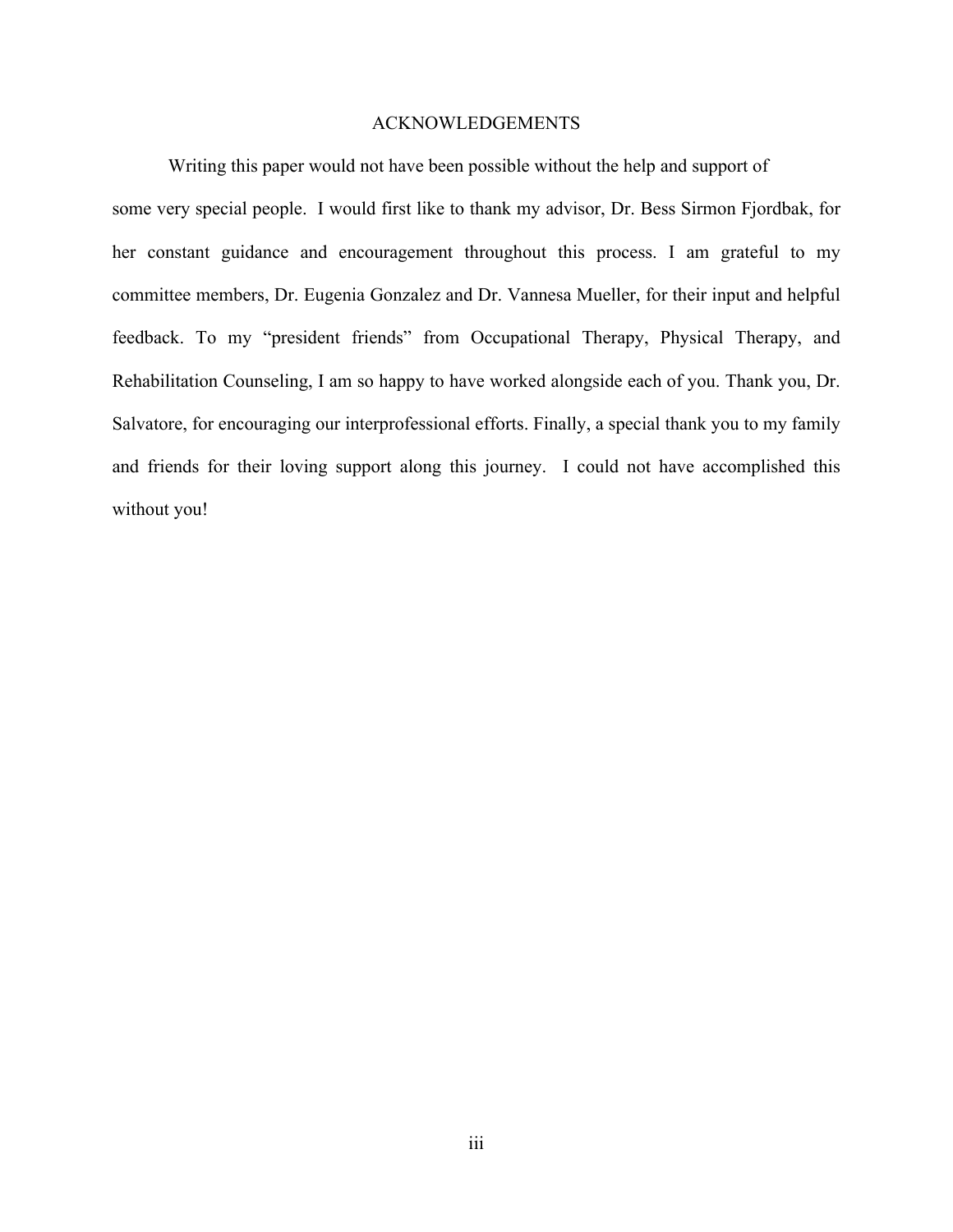#### ACKNOWLEDGEMENTS

Writing this paper would not have been possible without the help and support of some very special people. I would first like to thank my advisor, Dr. Bess Sirmon Fjordbak, for her constant guidance and encouragement throughout this process. I am grateful to my committee members, Dr. Eugenia Gonzalez and Dr. Vannesa Mueller, for their input and helpful feedback. To my "president friends" from Occupational Therapy, Physical Therapy, and Rehabilitation Counseling, I am so happy to have worked alongside each of you. Thank you, Dr. Salvatore, for encouraging our interprofessional efforts. Finally, a special thank you to my family and friends for their loving support along this journey. I could not have accomplished this without you!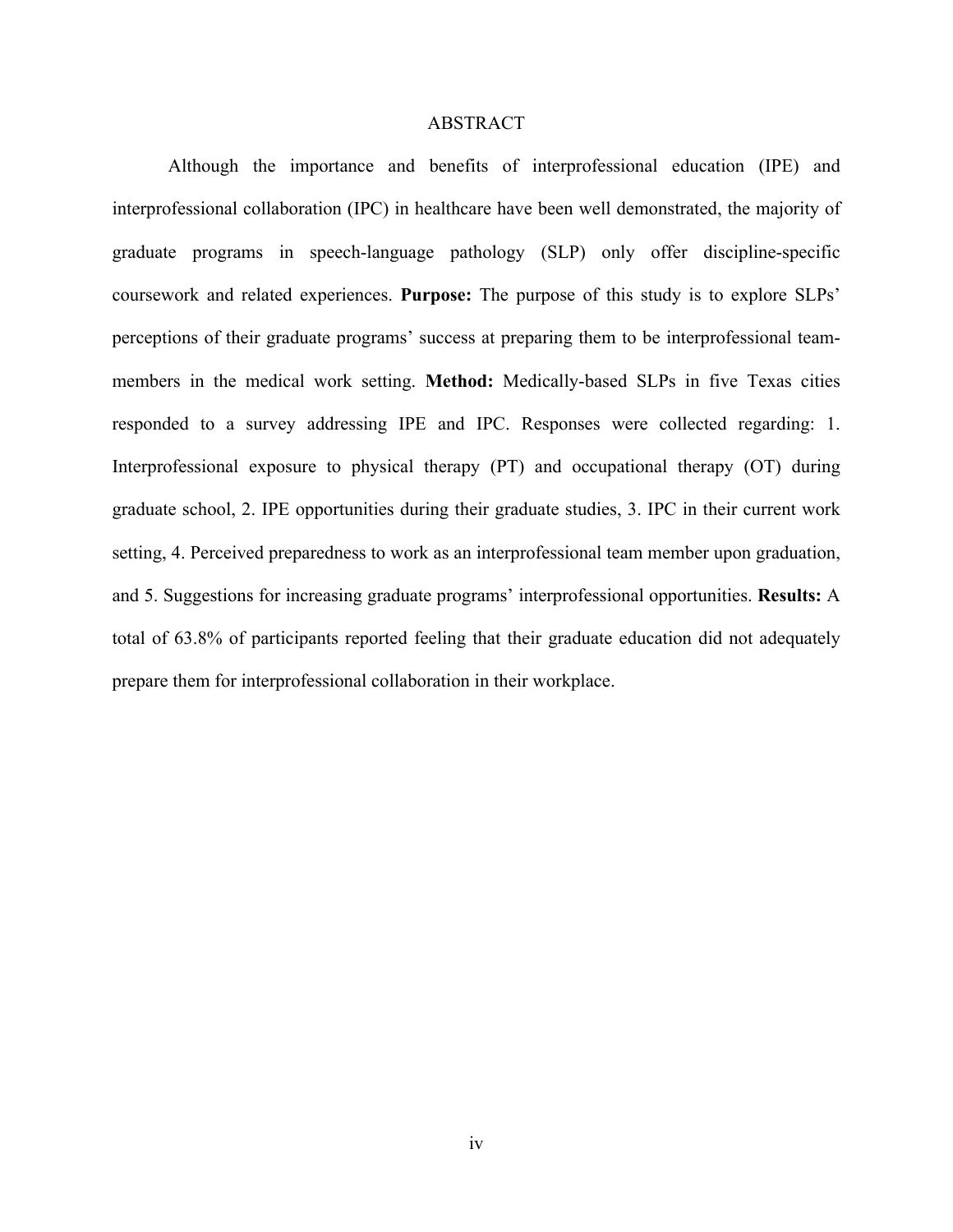#### ABSTRACT

Although the importance and benefits of interprofessional education (IPE) and interprofessional collaboration (IPC) in healthcare have been well demonstrated, the majority of graduate programs in speech-language pathology (SLP) only offer discipline-specific coursework and related experiences. **Purpose:** The purpose of this study is to explore SLPs' perceptions of their graduate programs' success at preparing them to be interprofessional teammembers in the medical work setting. **Method:** Medically-based SLPs in five Texas cities responded to a survey addressing IPE and IPC. Responses were collected regarding: 1. Interprofessional exposure to physical therapy (PT) and occupational therapy (OT) during graduate school, 2. IPE opportunities during their graduate studies, 3. IPC in their current work setting, 4. Perceived preparedness to work as an interprofessional team member upon graduation, and 5. Suggestions for increasing graduate programs' interprofessional opportunities. **Results:** A total of 63.8% of participants reported feeling that their graduate education did not adequately prepare them for interprofessional collaboration in their workplace.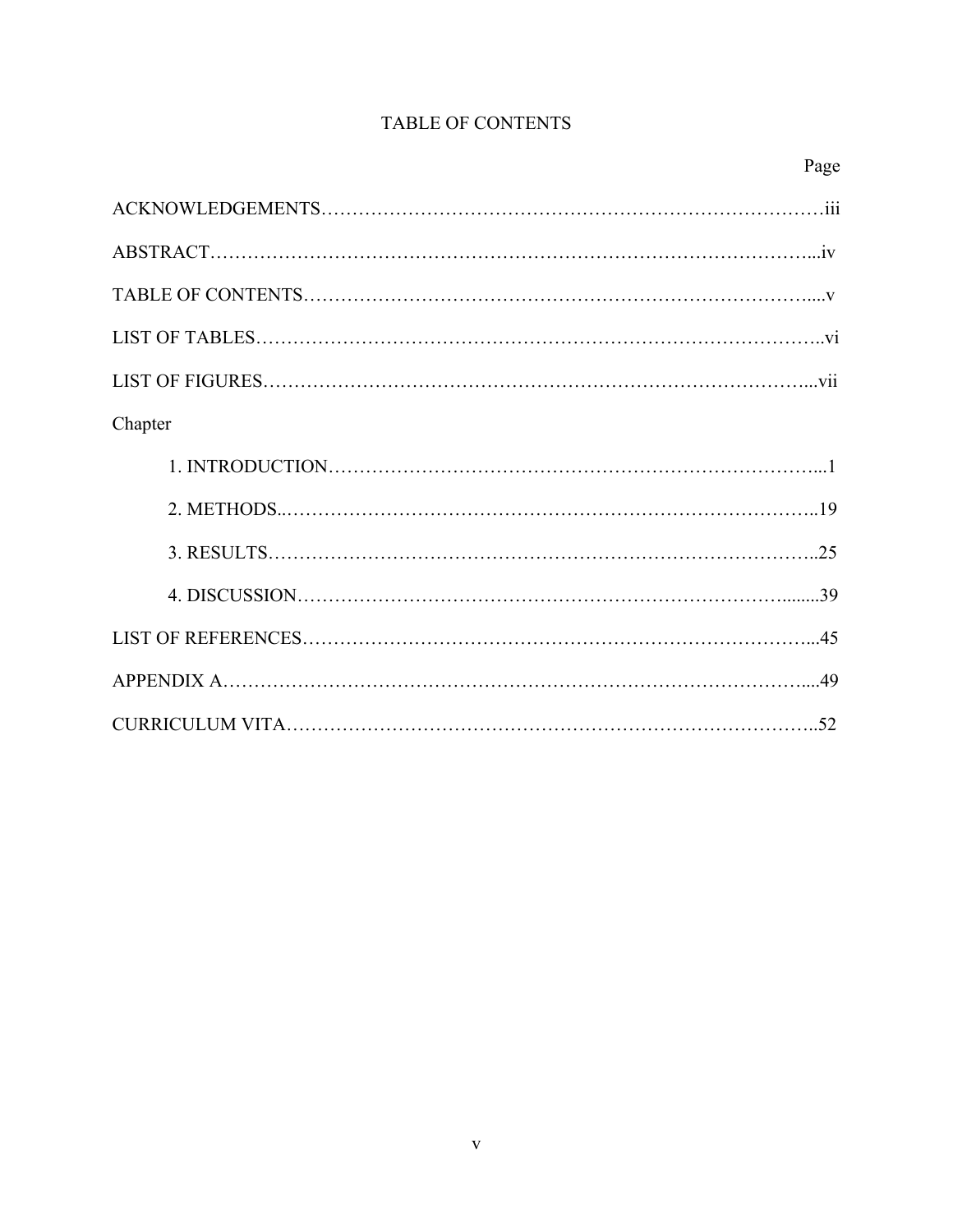# TABLE OF CONTENTS

| Chapter |  |
|---------|--|
|         |  |
|         |  |
|         |  |
|         |  |
|         |  |
|         |  |
|         |  |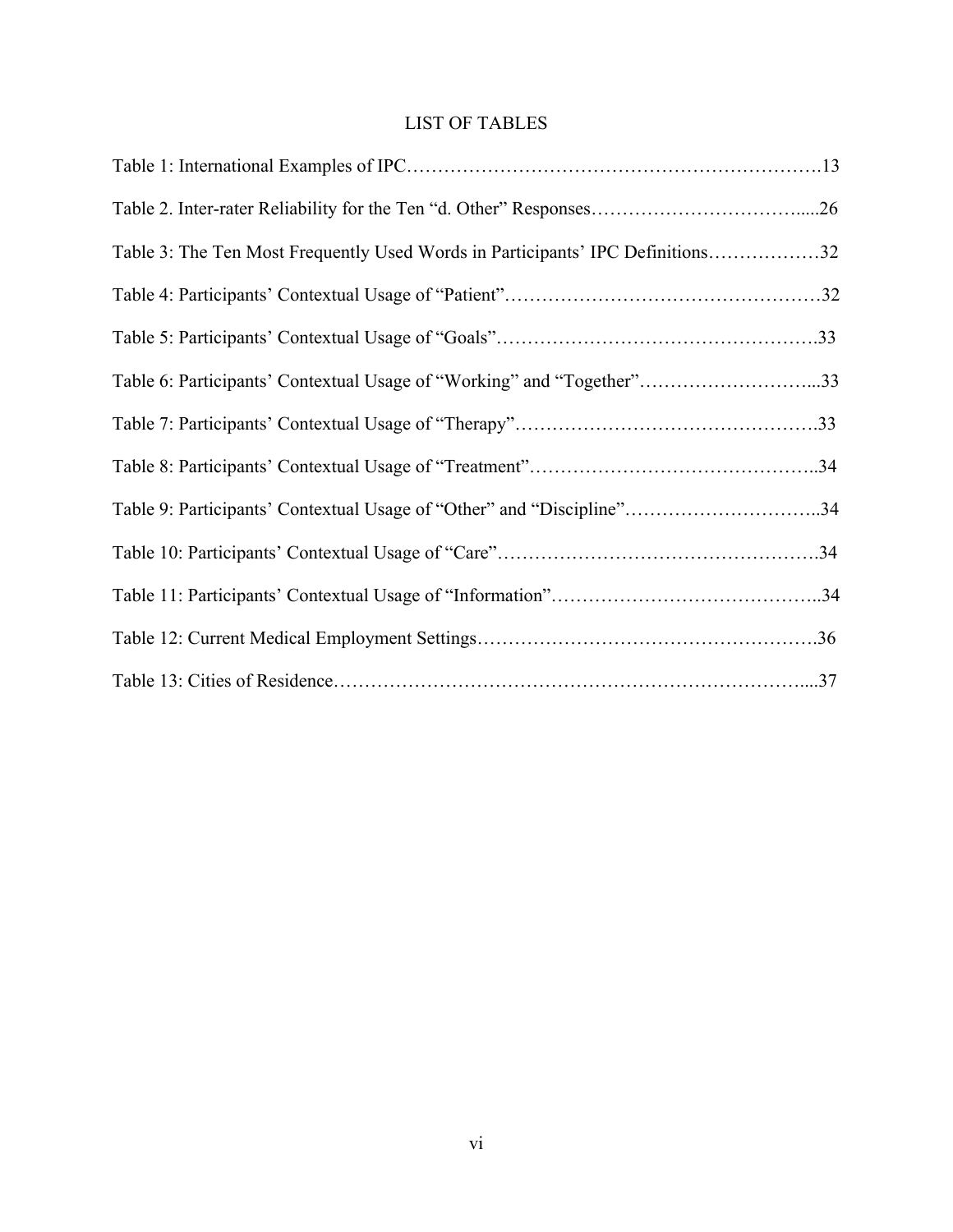# LIST OF TABLES

| Table 3: The Ten Most Frequently Used Words in Participants' IPC Definitions32 |  |
|--------------------------------------------------------------------------------|--|
|                                                                                |  |
|                                                                                |  |
| Table 6: Participants' Contextual Usage of "Working" and "Together"33          |  |
|                                                                                |  |
|                                                                                |  |
| Table 9: Participants' Contextual Usage of "Other" and "Discipline"34          |  |
|                                                                                |  |
|                                                                                |  |
|                                                                                |  |
|                                                                                |  |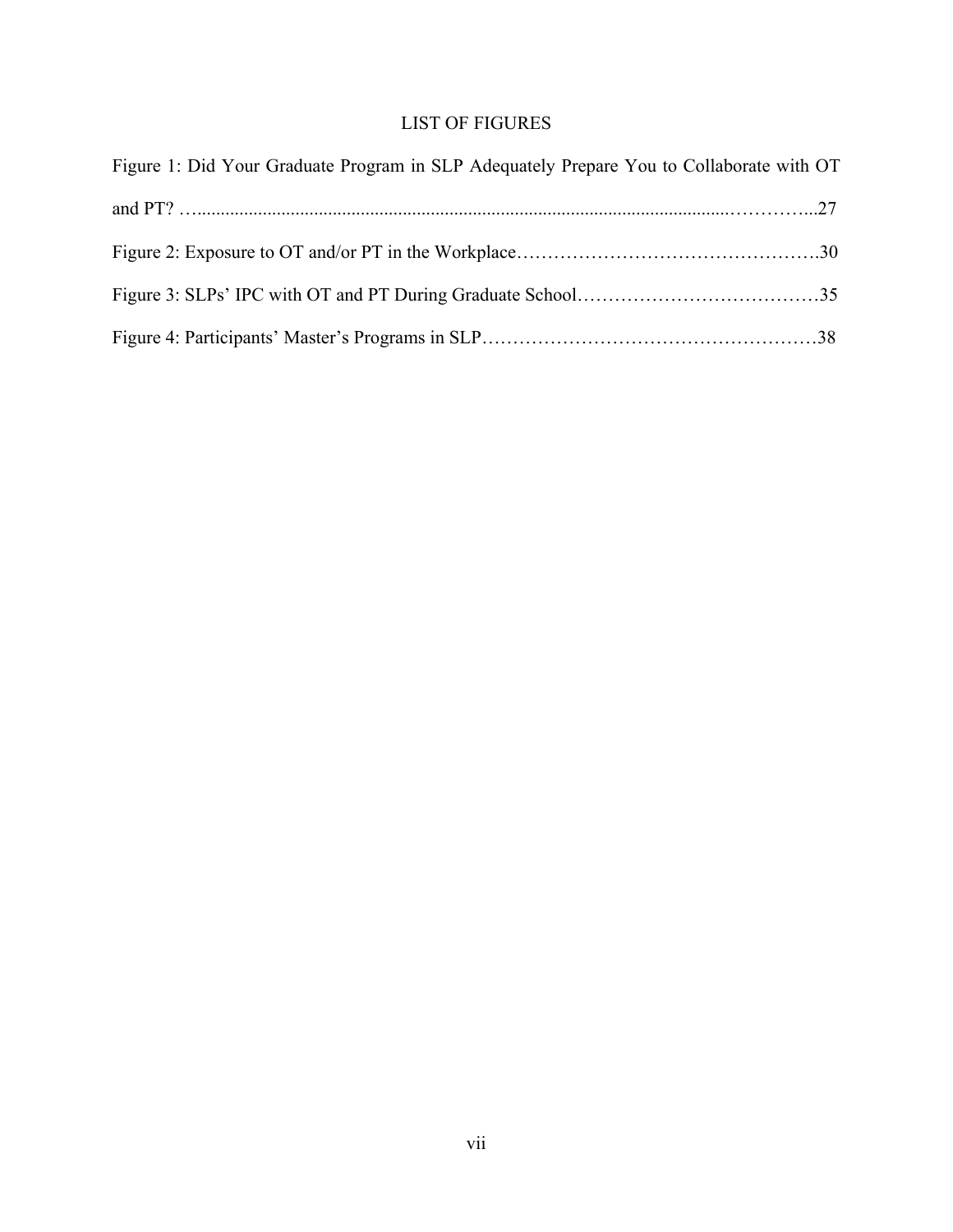# LIST OF FIGURES

| Figure 1: Did Your Graduate Program in SLP Adequately Prepare You to Collaborate with OT |  |
|------------------------------------------------------------------------------------------|--|
|                                                                                          |  |
|                                                                                          |  |
|                                                                                          |  |
|                                                                                          |  |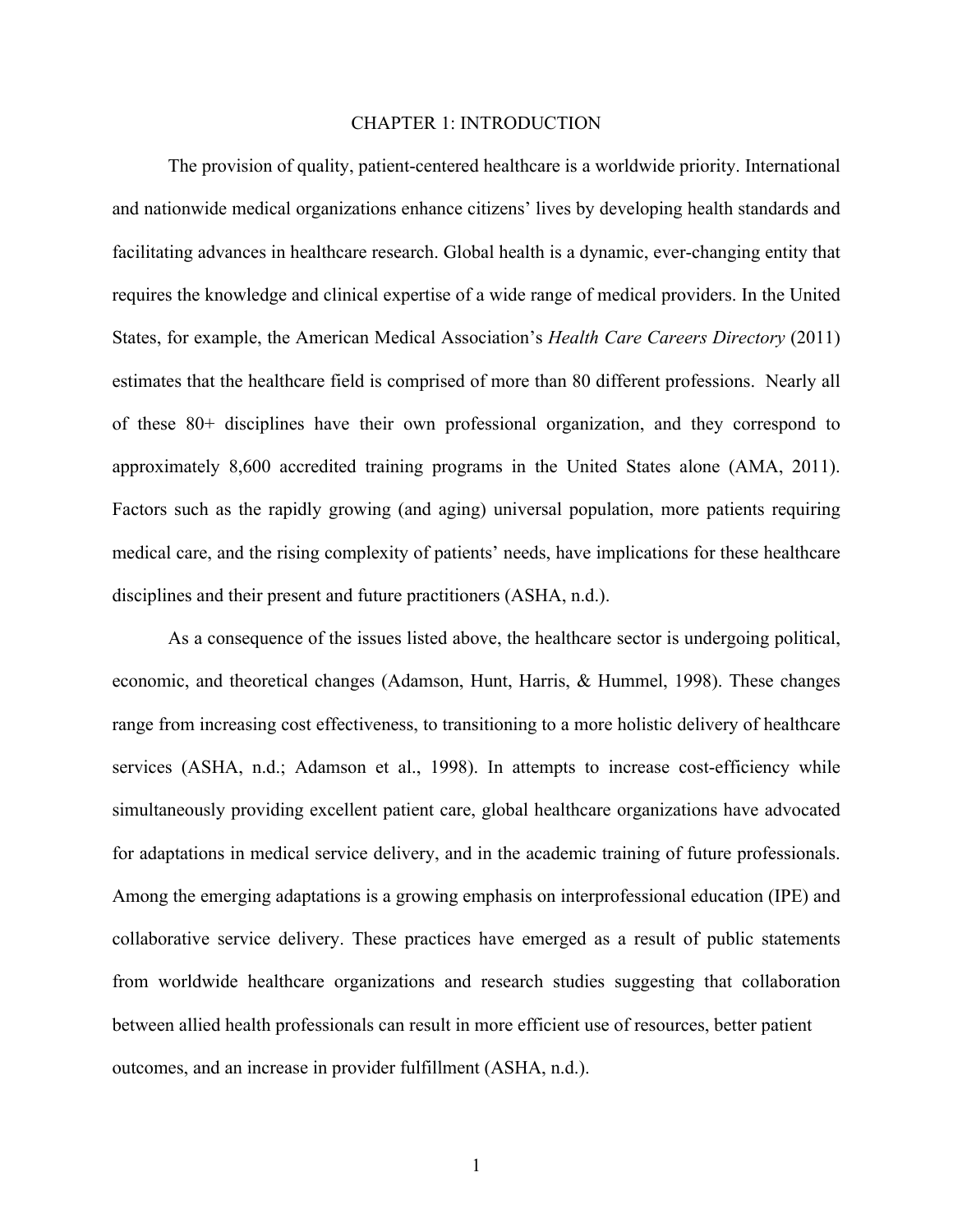#### CHAPTER 1: INTRODUCTION

The provision of quality, patient-centered healthcare is a worldwide priority. International and nationwide medical organizations enhance citizens' lives by developing health standards and facilitating advances in healthcare research. Global health is a dynamic, ever-changing entity that requires the knowledge and clinical expertise of a wide range of medical providers. In the United States, for example, the American Medical Association's *Health Care Careers Directory* (2011) estimates that the healthcare field is comprised of more than 80 different professions. Nearly all of these 80+ disciplines have their own professional organization, and they correspond to approximately 8,600 accredited training programs in the United States alone (AMA, 2011). Factors such as the rapidly growing (and aging) universal population, more patients requiring medical care, and the rising complexity of patients' needs, have implications for these healthcare disciplines and their present and future practitioners (ASHA, n.d.).

As a consequence of the issues listed above, the healthcare sector is undergoing political, economic, and theoretical changes (Adamson, Hunt, Harris, & Hummel, 1998). These changes range from increasing cost effectiveness, to transitioning to a more holistic delivery of healthcare services (ASHA, n.d.; Adamson et al., 1998). In attempts to increase cost-efficiency while simultaneously providing excellent patient care, global healthcare organizations have advocated for adaptations in medical service delivery, and in the academic training of future professionals. Among the emerging adaptations is a growing emphasis on interprofessional education (IPE) and collaborative service delivery. These practices have emerged as a result of public statements from worldwide healthcare organizations and research studies suggesting that collaboration between allied health professionals can result in more efficient use of resources, better patient outcomes, and an increase in provider fulfillment (ASHA, n.d.).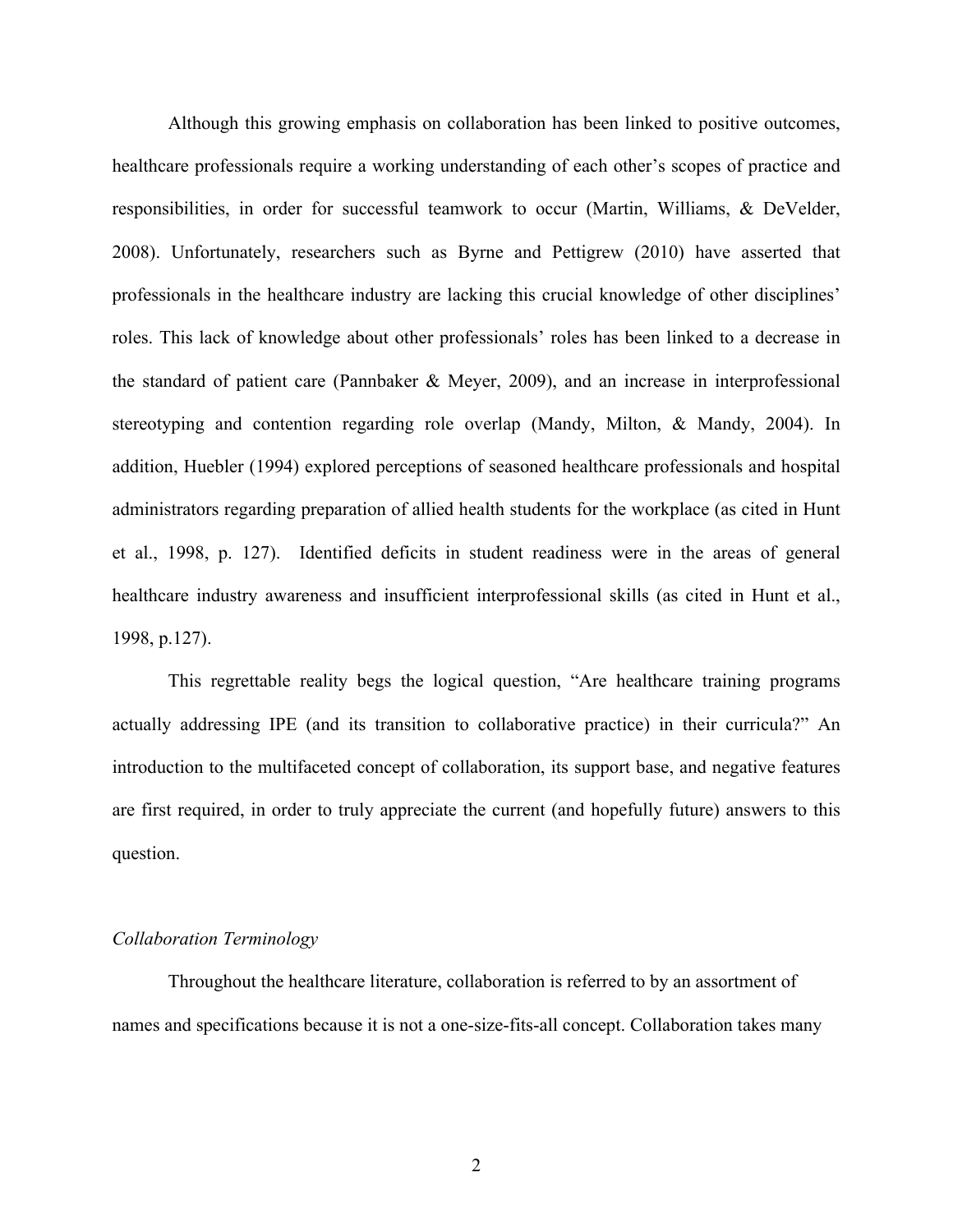Although this growing emphasis on collaboration has been linked to positive outcomes, healthcare professionals require a working understanding of each other's scopes of practice and responsibilities, in order for successful teamwork to occur (Martin, Williams, & DeVelder, 2008). Unfortunately, researchers such as Byrne and Pettigrew (2010) have asserted that professionals in the healthcare industry are lacking this crucial knowledge of other disciplines' roles. This lack of knowledge about other professionals' roles has been linked to a decrease in the standard of patient care (Pannbaker & Meyer, 2009), and an increase in interprofessional stereotyping and contention regarding role overlap (Mandy, Milton, & Mandy, 2004). In addition, Huebler (1994) explored perceptions of seasoned healthcare professionals and hospital administrators regarding preparation of allied health students for the workplace (as cited in Hunt et al., 1998, p. 127). Identified deficits in student readiness were in the areas of general healthcare industry awareness and insufficient interprofessional skills (as cited in Hunt et al., 1998, p.127).

This regrettable reality begs the logical question, "Are healthcare training programs actually addressing IPE (and its transition to collaborative practice) in their curricula?" An introduction to the multifaceted concept of collaboration, its support base, and negative features are first required, in order to truly appreciate the current (and hopefully future) answers to this question.

#### *Collaboration Terminology*

Throughout the healthcare literature, collaboration is referred to by an assortment of names and specifications because it is not a one-size-fits-all concept. Collaboration takes many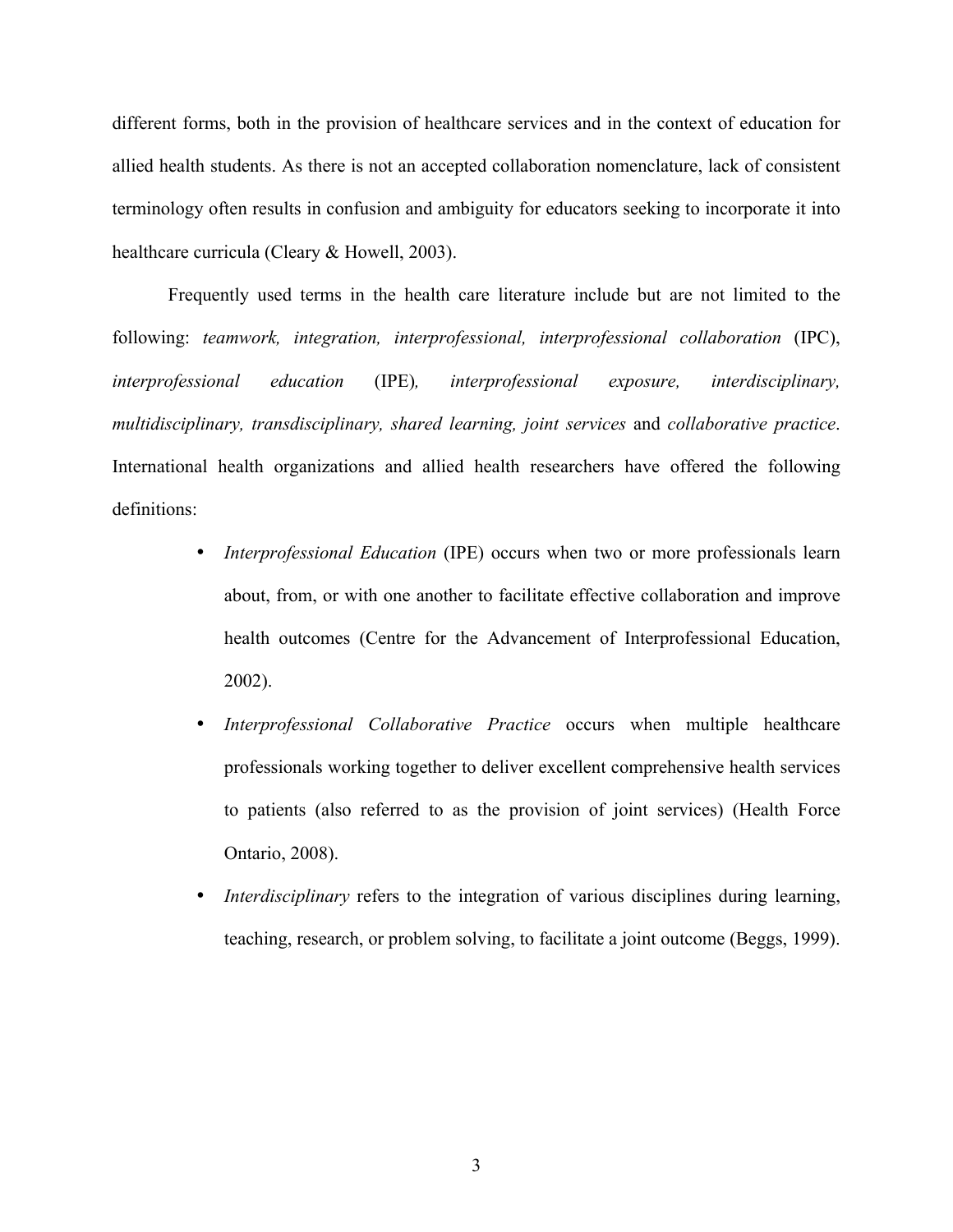different forms, both in the provision of healthcare services and in the context of education for allied health students. As there is not an accepted collaboration nomenclature, lack of consistent terminology often results in confusion and ambiguity for educators seeking to incorporate it into healthcare curricula (Cleary & Howell, 2003).

Frequently used terms in the health care literature include but are not limited to the following: *teamwork, integration, interprofessional, interprofessional collaboration* (IPC), *interprofessional education* (IPE)*, interprofessional exposure, interdisciplinary, multidisciplinary, transdisciplinary, shared learning, joint services* and *collaborative practice*. International health organizations and allied health researchers have offered the following definitions:

- *Interprofessional Education* (IPE) occurs when two or more professionals learn about, from, or with one another to facilitate effective collaboration and improve health outcomes (Centre for the Advancement of Interprofessional Education, 2002).
- *Interprofessional Collaborative Practice* occurs when multiple healthcare professionals working together to deliver excellent comprehensive health services to patients (also referred to as the provision of joint services) (Health Force Ontario, 2008).
- *Interdisciplinary* refers to the integration of various disciplines during learning, teaching, research, or problem solving, to facilitate a joint outcome (Beggs, 1999).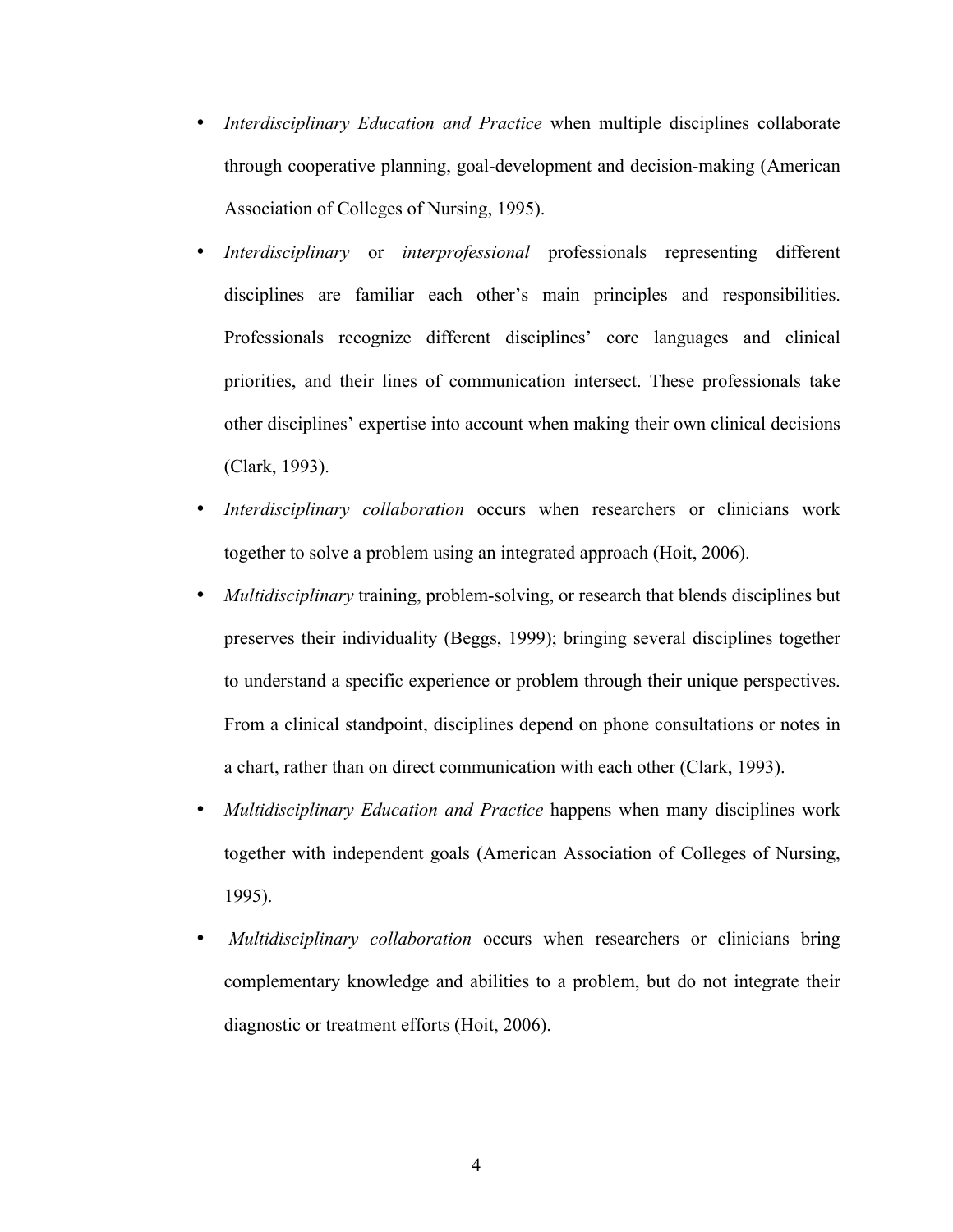- *Interdisciplinary Education and Practice* when multiple disciplines collaborate through cooperative planning, goal-development and decision-making (American Association of Colleges of Nursing, 1995).
- *Interdisciplinary* or *interprofessional* professionals representing different disciplines are familiar each other's main principles and responsibilities. Professionals recognize different disciplines' core languages and clinical priorities, and their lines of communication intersect. These professionals take other disciplines' expertise into account when making their own clinical decisions (Clark, 1993).
- *Interdisciplinary collaboration* occurs when researchers or clinicians work together to solve a problem using an integrated approach (Hoit, 2006).
- *Multidisciplinary* training, problem-solving, or research that blends disciplines but preserves their individuality (Beggs, 1999); bringing several disciplines together to understand a specific experience or problem through their unique perspectives. From a clinical standpoint, disciplines depend on phone consultations or notes in a chart, rather than on direct communication with each other (Clark, 1993).
- *Multidisciplinary Education and Practice* happens when many disciplines work together with independent goals (American Association of Colleges of Nursing, 1995).
- *Multidisciplinary collaboration* occurs when researchers or clinicians bring complementary knowledge and abilities to a problem, but do not integrate their diagnostic or treatment efforts (Hoit, 2006).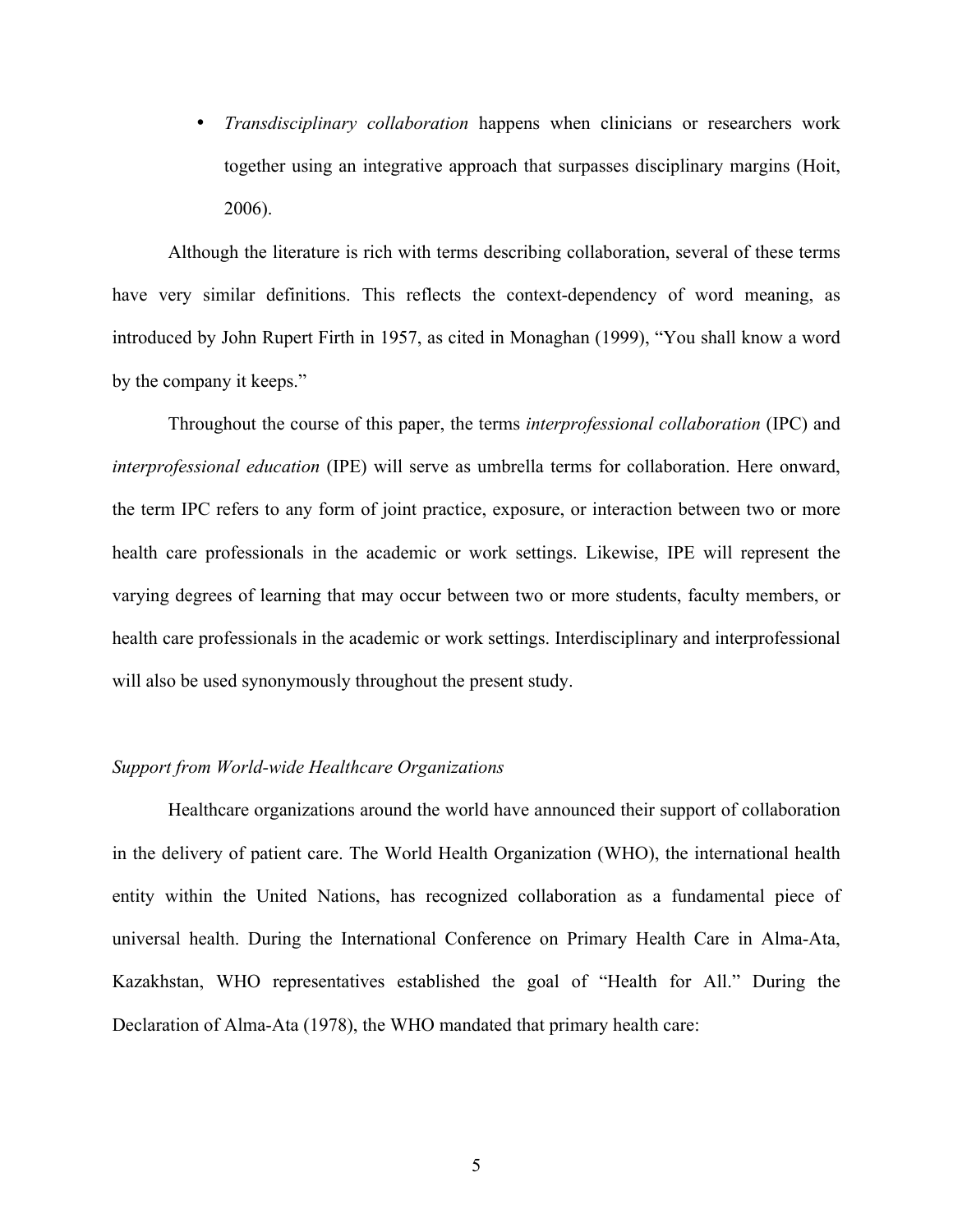• *Transdisciplinary collaboration* happens when clinicians or researchers work together using an integrative approach that surpasses disciplinary margins (Hoit, 2006).

Although the literature is rich with terms describing collaboration, several of these terms have very similar definitions. This reflects the context-dependency of word meaning, as introduced by John Rupert Firth in 1957, as cited in Monaghan (1999), "You shall know a word by the company it keeps."

Throughout the course of this paper, the terms *interprofessional collaboration* (IPC) and *interprofessional education* (IPE) will serve as umbrella terms for collaboration. Here onward, the term IPC refers to any form of joint practice, exposure, or interaction between two or more health care professionals in the academic or work settings. Likewise, IPE will represent the varying degrees of learning that may occur between two or more students, faculty members, or health care professionals in the academic or work settings. Interdisciplinary and interprofessional will also be used synonymously throughout the present study.

#### *Support from World-wide Healthcare Organizations*

Healthcare organizations around the world have announced their support of collaboration in the delivery of patient care. The World Health Organization (WHO), the international health entity within the United Nations, has recognized collaboration as a fundamental piece of universal health. During the International Conference on Primary Health Care in Alma-Ata, Kazakhstan, WHO representatives established the goal of "Health for All." During the Declaration of Alma-Ata (1978), the WHO mandated that primary health care: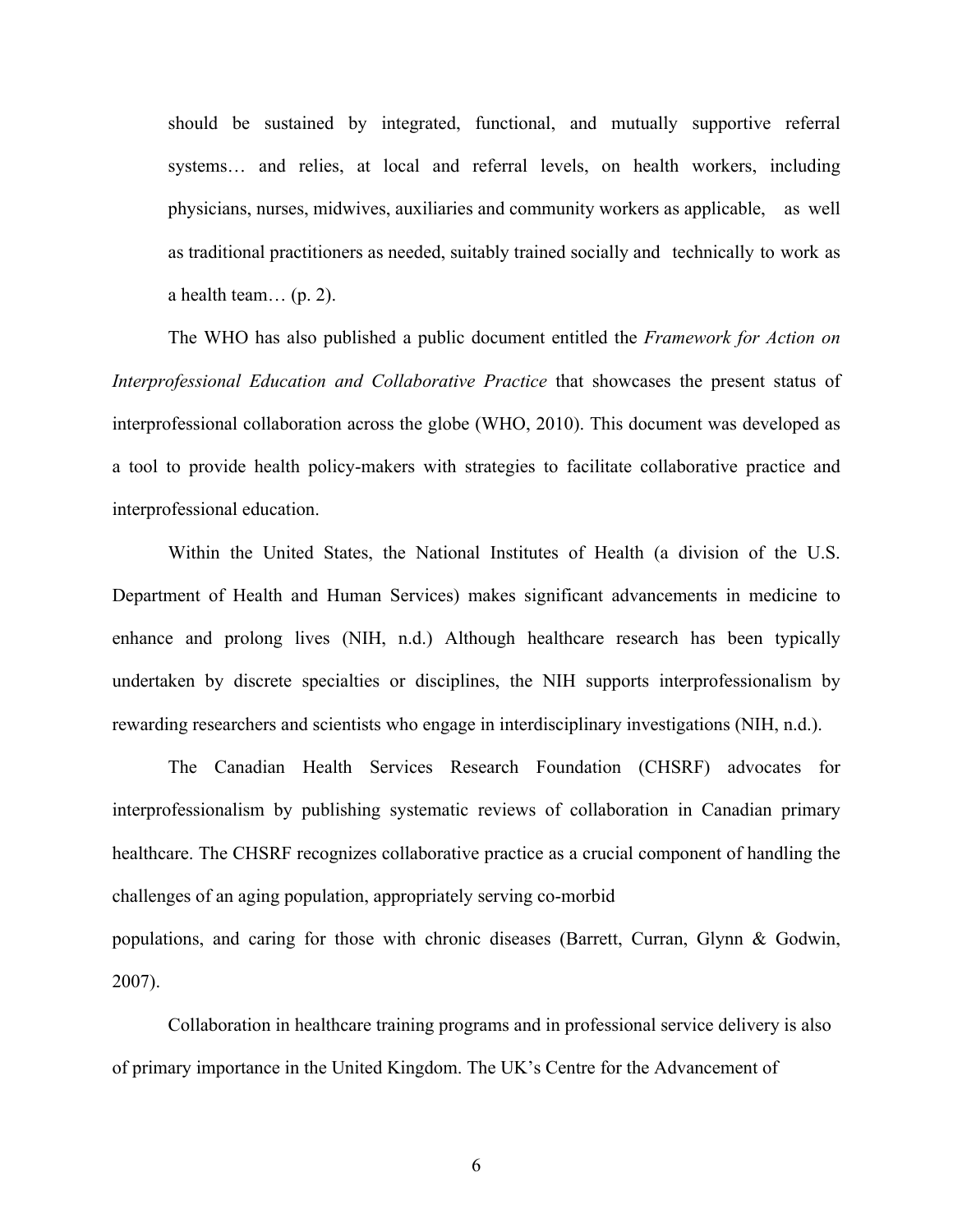should be sustained by integrated, functional, and mutually supportive referral systems… and relies, at local and referral levels, on health workers, including physicians, nurses, midwives, auxiliaries and community workers as applicable, as well as traditional practitioners as needed, suitably trained socially and technically to work as a health team… (p. 2).

The WHO has also published a public document entitled the *Framework for Action on Interprofessional Education and Collaborative Practice* that showcases the present status of interprofessional collaboration across the globe (WHO, 2010). This document was developed as a tool to provide health policy-makers with strategies to facilitate collaborative practice and interprofessional education.

Within the United States, the National Institutes of Health (a division of the U.S. Department of Health and Human Services) makes significant advancements in medicine to enhance and prolong lives (NIH, n.d.) Although healthcare research has been typically undertaken by discrete specialties or disciplines, the NIH supports interprofessionalism by rewarding researchers and scientists who engage in interdisciplinary investigations (NIH, n.d.).

The Canadian Health Services Research Foundation (CHSRF) advocates for interprofessionalism by publishing systematic reviews of collaboration in Canadian primary healthcare. The CHSRF recognizes collaborative practice as a crucial component of handling the challenges of an aging population, appropriately serving co-morbid populations, and caring for those with chronic diseases (Barrett, Curran, Glynn & Godwin, 2007).

Collaboration in healthcare training programs and in professional service delivery is also of primary importance in the United Kingdom. The UK's Centre for the Advancement of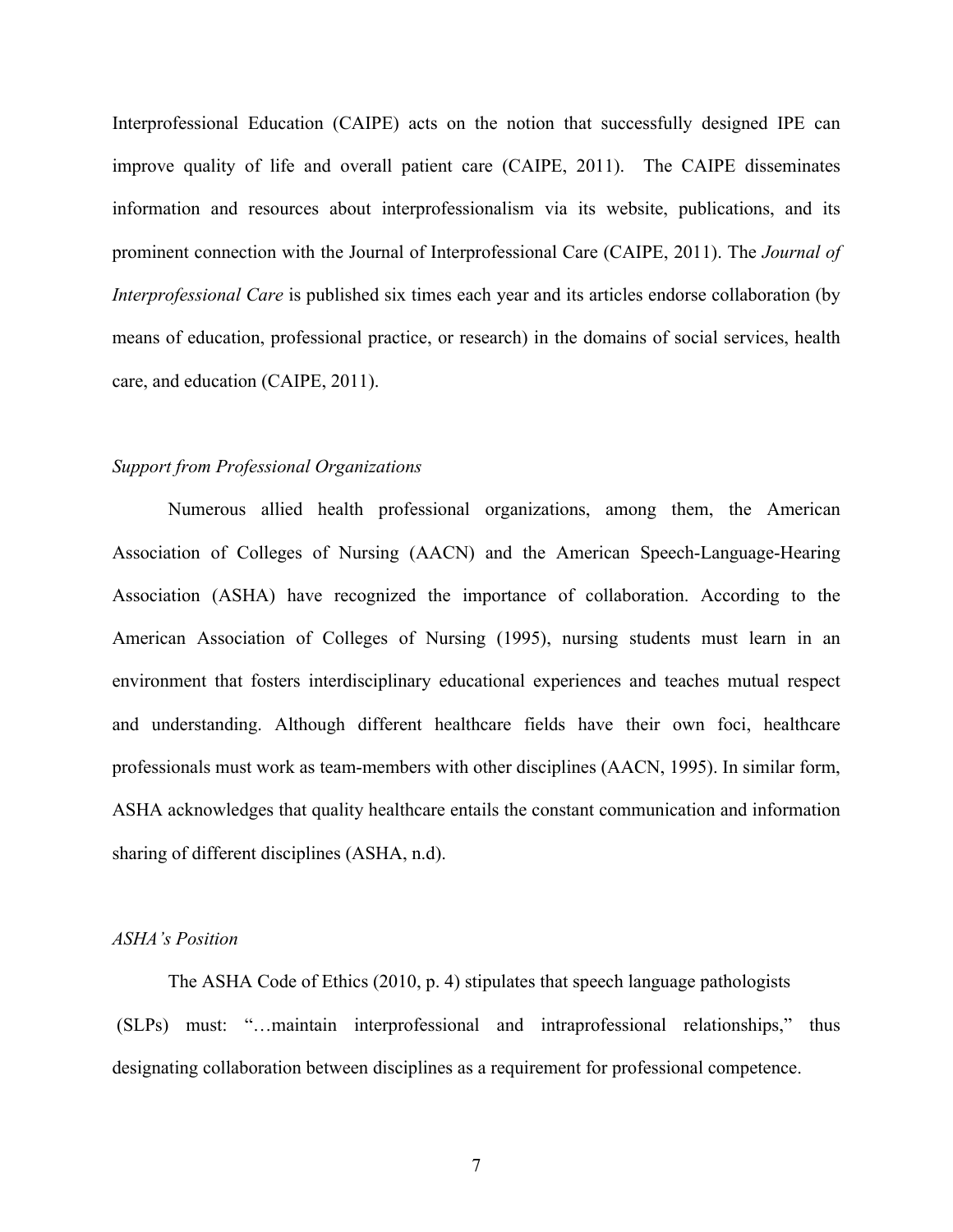Interprofessional Education (CAIPE) acts on the notion that successfully designed IPE can improve quality of life and overall patient care (CAIPE, 2011). The CAIPE disseminates information and resources about interprofessionalism via its website, publications, and its prominent connection with the Journal of Interprofessional Care (CAIPE, 2011). The *Journal of Interprofessional Care* is published six times each year and its articles endorse collaboration (by means of education, professional practice, or research) in the domains of social services, health care, and education (CAIPE, 2011).

#### *Support from Professional Organizations*

Numerous allied health professional organizations, among them, the American Association of Colleges of Nursing (AACN) and the American Speech-Language-Hearing Association (ASHA) have recognized the importance of collaboration. According to the American Association of Colleges of Nursing (1995), nursing students must learn in an environment that fosters interdisciplinary educational experiences and teaches mutual respect and understanding. Although different healthcare fields have their own foci, healthcare professionals must work as team-members with other disciplines (AACN, 1995). In similar form, ASHA acknowledges that quality healthcare entails the constant communication and information sharing of different disciplines (ASHA, n.d).

#### *ASHA's Position*

The ASHA Code of Ethics (2010, p. 4) stipulates that speech language pathologists (SLPs) must: "…maintain interprofessional and intraprofessional relationships," thus designating collaboration between disciplines as a requirement for professional competence.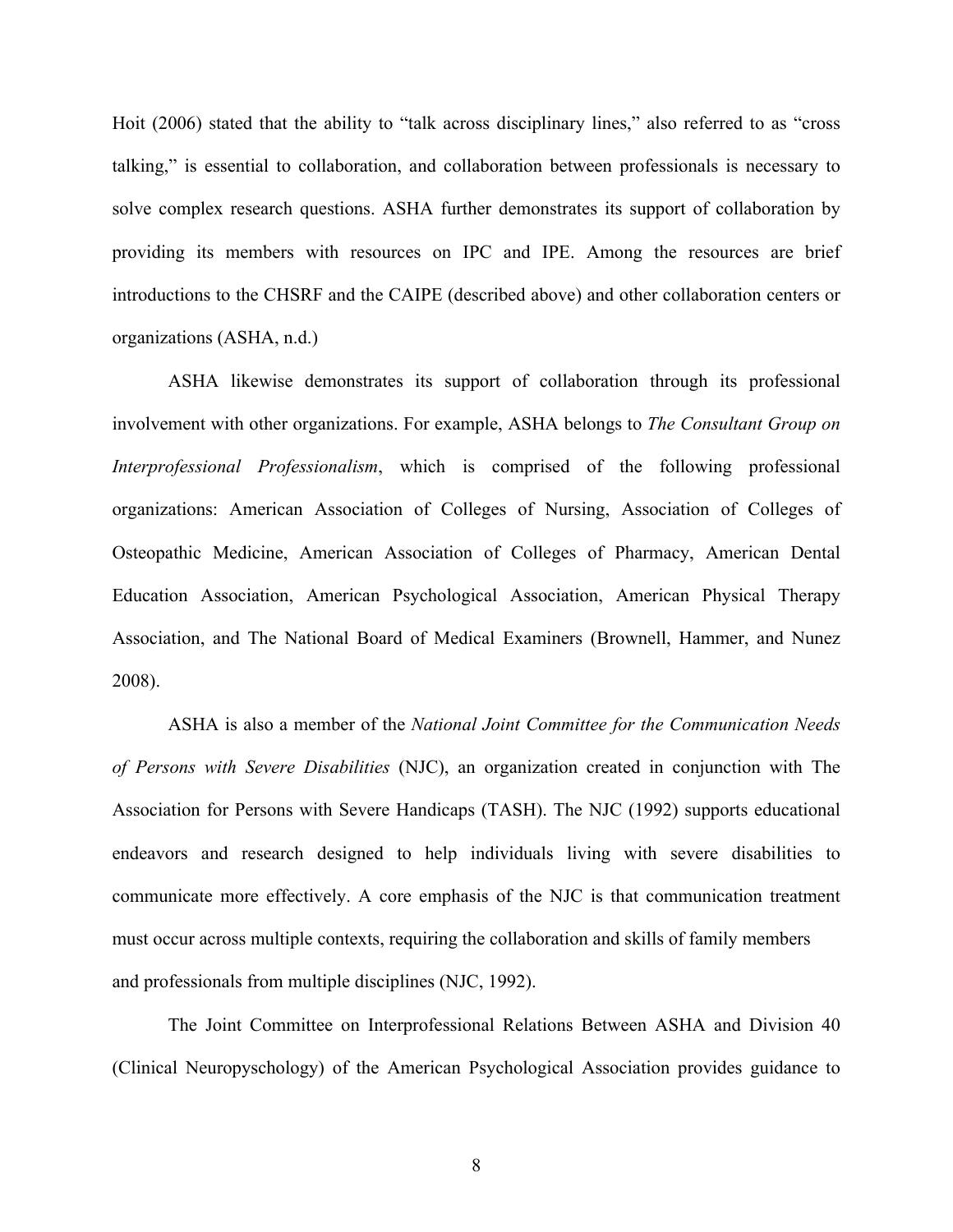Hoit (2006) stated that the ability to "talk across disciplinary lines," also referred to as "cross talking," is essential to collaboration, and collaboration between professionals is necessary to solve complex research questions. ASHA further demonstrates its support of collaboration by providing its members with resources on IPC and IPE. Among the resources are brief introductions to the CHSRF and the CAIPE (described above) and other collaboration centers or organizations (ASHA, n.d.)

ASHA likewise demonstrates its support of collaboration through its professional involvement with other organizations. For example, ASHA belongs to *The Consultant Group on Interprofessional Professionalism*, which is comprised of the following professional organizations: American Association of Colleges of Nursing, Association of Colleges of Osteopathic Medicine, American Association of Colleges of Pharmacy, American Dental Education Association, American Psychological Association, American Physical Therapy Association, and The National Board of Medical Examiners (Brownell, Hammer, and Nunez 2008).

ASHA is also a member of the *National Joint Committee for the Communication Needs of Persons with Severe Disabilities* (NJC), an organization created in conjunction with The Association for Persons with Severe Handicaps (TASH). The NJC (1992) supports educational endeavors and research designed to help individuals living with severe disabilities to communicate more effectively. A core emphasis of the NJC is that communication treatment must occur across multiple contexts, requiring the collaboration and skills of family members and professionals from multiple disciplines (NJC, 1992).

The Joint Committee on Interprofessional Relations Between ASHA and Division 40 (Clinical Neuropyschology) of the American Psychological Association provides guidance to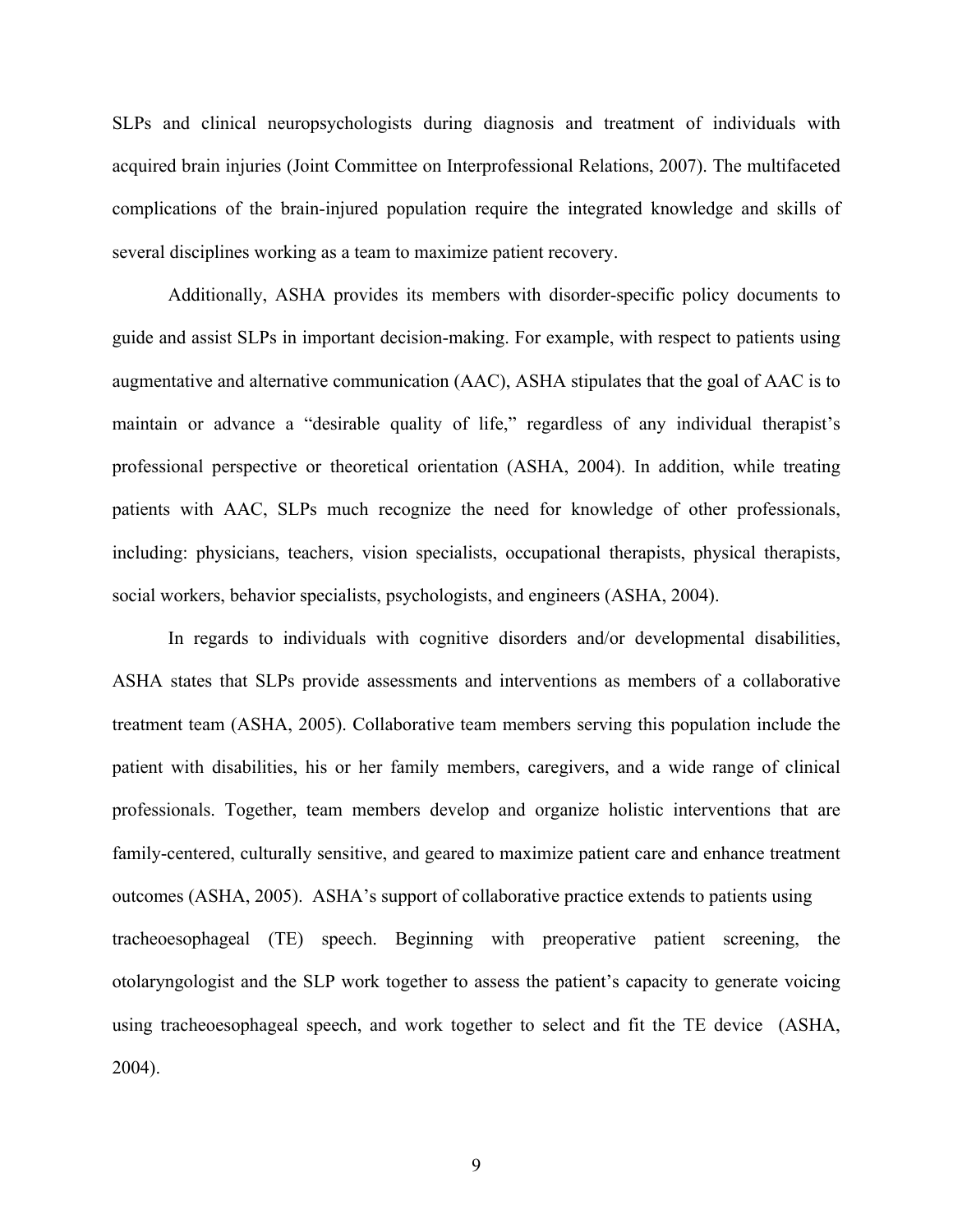SLPs and clinical neuropsychologists during diagnosis and treatment of individuals with acquired brain injuries (Joint Committee on Interprofessional Relations, 2007). The multifaceted complications of the brain-injured population require the integrated knowledge and skills of several disciplines working as a team to maximize patient recovery.

Additionally, ASHA provides its members with disorder-specific policy documents to guide and assist SLPs in important decision-making. For example, with respect to patients using augmentative and alternative communication (AAC), ASHA stipulates that the goal of AAC is to maintain or advance a "desirable quality of life," regardless of any individual therapist's professional perspective or theoretical orientation (ASHA, 2004). In addition, while treating patients with AAC, SLPs much recognize the need for knowledge of other professionals, including: physicians, teachers, vision specialists, occupational therapists, physical therapists, social workers, behavior specialists, psychologists, and engineers (ASHA, 2004).

In regards to individuals with cognitive disorders and/or developmental disabilities, ASHA states that SLPs provide assessments and interventions as members of a collaborative treatment team (ASHA, 2005). Collaborative team members serving this population include the patient with disabilities, his or her family members, caregivers, and a wide range of clinical professionals. Together, team members develop and organize holistic interventions that are family-centered, culturally sensitive, and geared to maximize patient care and enhance treatment outcomes (ASHA, 2005). ASHA's support of collaborative practice extends to patients using tracheoesophageal (TE) speech. Beginning with preoperative patient screening, the otolaryngologist and the SLP work together to assess the patient's capacity to generate voicing using tracheoesophageal speech, and work together to select and fit the TE device (ASHA, 2004).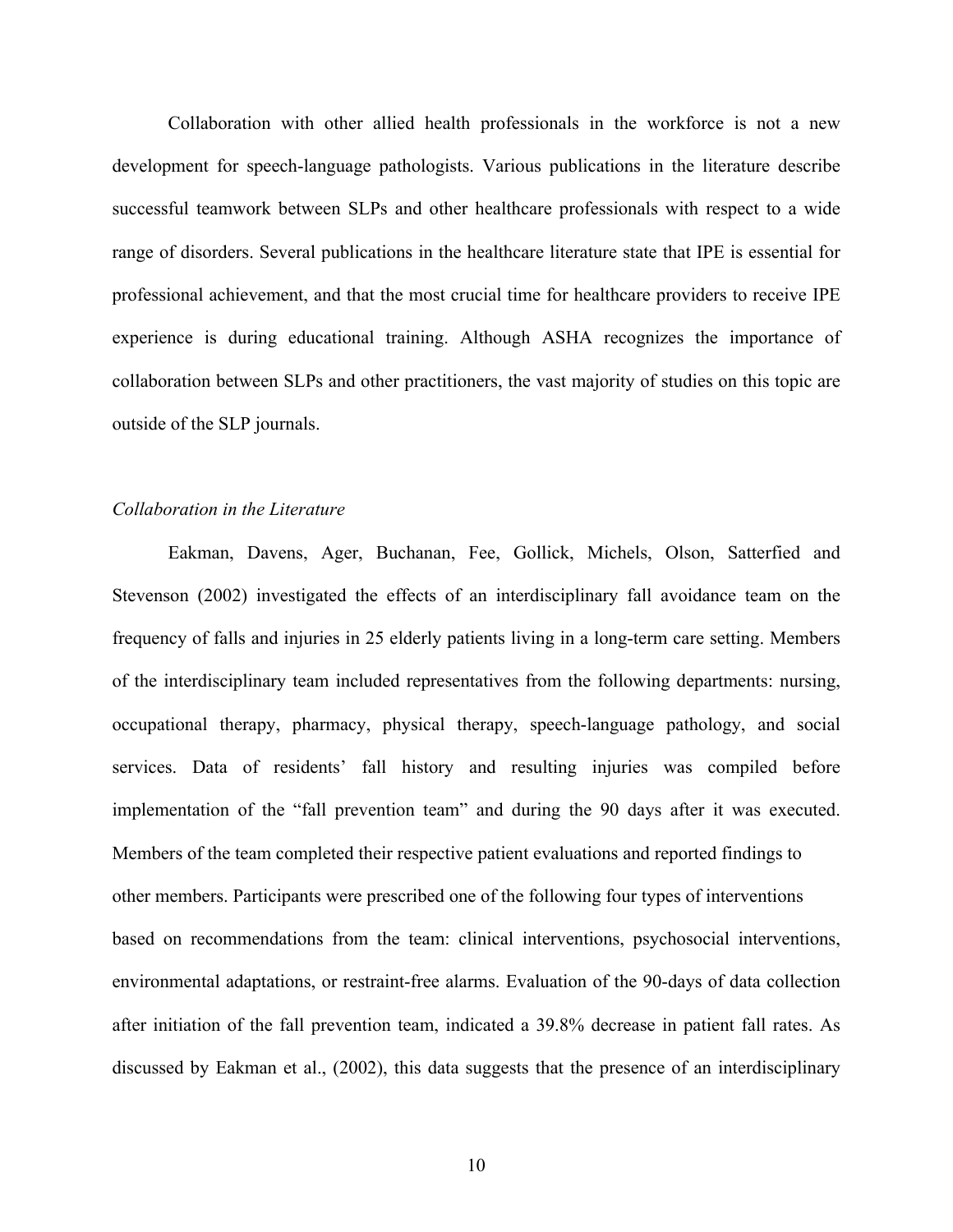Collaboration with other allied health professionals in the workforce is not a new development for speech-language pathologists. Various publications in the literature describe successful teamwork between SLPs and other healthcare professionals with respect to a wide range of disorders. Several publications in the healthcare literature state that IPE is essential for professional achievement, and that the most crucial time for healthcare providers to receive IPE experience is during educational training. Although ASHA recognizes the importance of collaboration between SLPs and other practitioners, the vast majority of studies on this topic are outside of the SLP journals.

## *Collaboration in the Literature*

Eakman, Davens, Ager, Buchanan, Fee, Gollick, Michels, Olson, Satterfied and Stevenson (2002) investigated the effects of an interdisciplinary fall avoidance team on the frequency of falls and injuries in 25 elderly patients living in a long-term care setting. Members of the interdisciplinary team included representatives from the following departments: nursing, occupational therapy, pharmacy, physical therapy, speech-language pathology, and social services. Data of residents' fall history and resulting injuries was compiled before implementation of the "fall prevention team" and during the 90 days after it was executed. Members of the team completed their respective patient evaluations and reported findings to other members. Participants were prescribed one of the following four types of interventions based on recommendations from the team: clinical interventions, psychosocial interventions, environmental adaptations, or restraint-free alarms. Evaluation of the 90-days of data collection after initiation of the fall prevention team, indicated a 39.8% decrease in patient fall rates. As discussed by Eakman et al., (2002), this data suggests that the presence of an interdisciplinary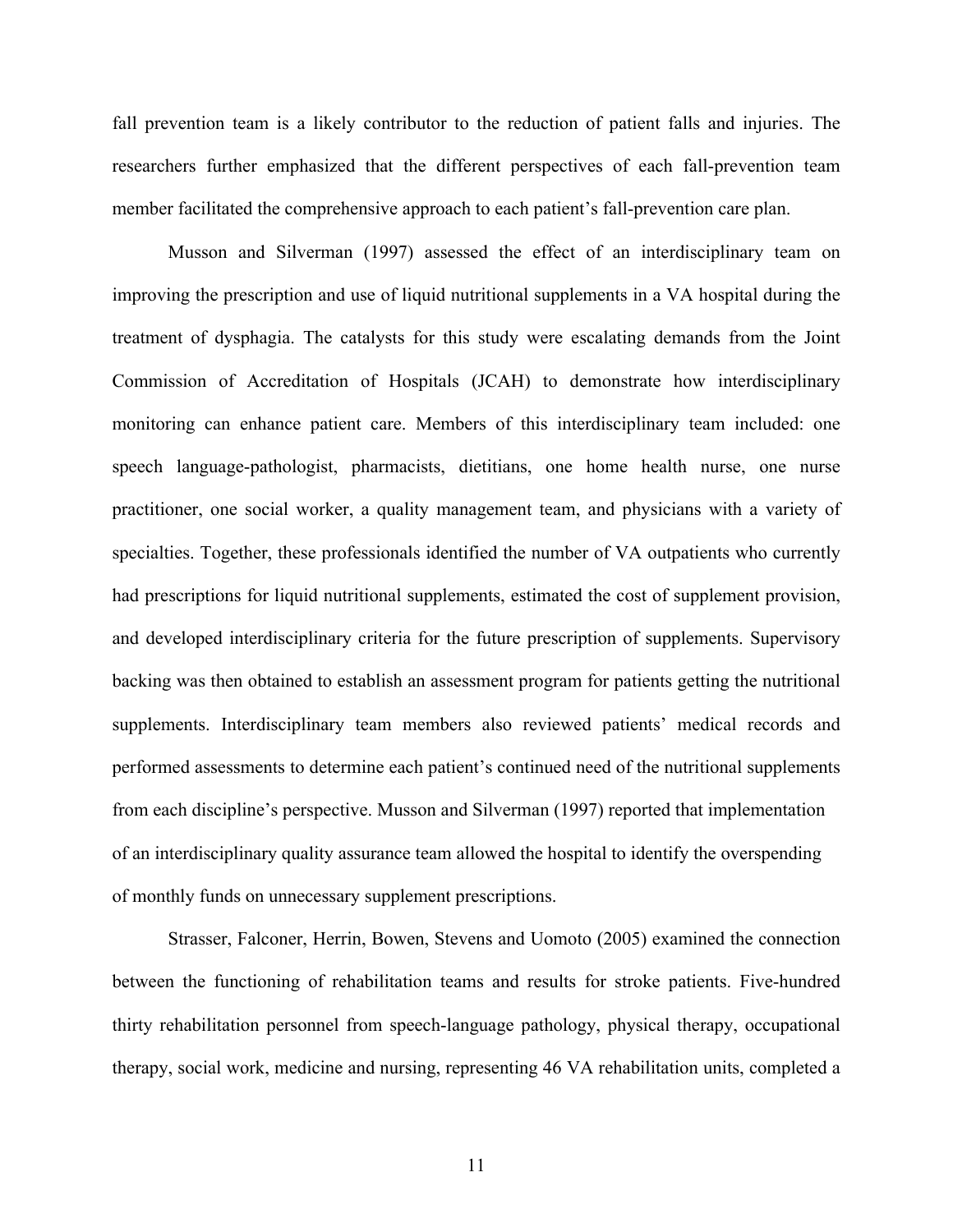fall prevention team is a likely contributor to the reduction of patient falls and injuries. The researchers further emphasized that the different perspectives of each fall-prevention team member facilitated the comprehensive approach to each patient's fall-prevention care plan.

Musson and Silverman (1997) assessed the effect of an interdisciplinary team on improving the prescription and use of liquid nutritional supplements in a VA hospital during the treatment of dysphagia. The catalysts for this study were escalating demands from the Joint Commission of Accreditation of Hospitals (JCAH) to demonstrate how interdisciplinary monitoring can enhance patient care. Members of this interdisciplinary team included: one speech language-pathologist, pharmacists, dietitians, one home health nurse, one nurse practitioner, one social worker, a quality management team, and physicians with a variety of specialties. Together, these professionals identified the number of VA outpatients who currently had prescriptions for liquid nutritional supplements, estimated the cost of supplement provision, and developed interdisciplinary criteria for the future prescription of supplements. Supervisory backing was then obtained to establish an assessment program for patients getting the nutritional supplements. Interdisciplinary team members also reviewed patients' medical records and performed assessments to determine each patient's continued need of the nutritional supplements from each discipline's perspective. Musson and Silverman (1997) reported that implementation of an interdisciplinary quality assurance team allowed the hospital to identify the overspending of monthly funds on unnecessary supplement prescriptions.

Strasser, Falconer, Herrin, Bowen, Stevens and Uomoto (2005) examined the connection between the functioning of rehabilitation teams and results for stroke patients. Five-hundred thirty rehabilitation personnel from speech-language pathology, physical therapy, occupational therapy, social work, medicine and nursing, representing 46 VA rehabilitation units, completed a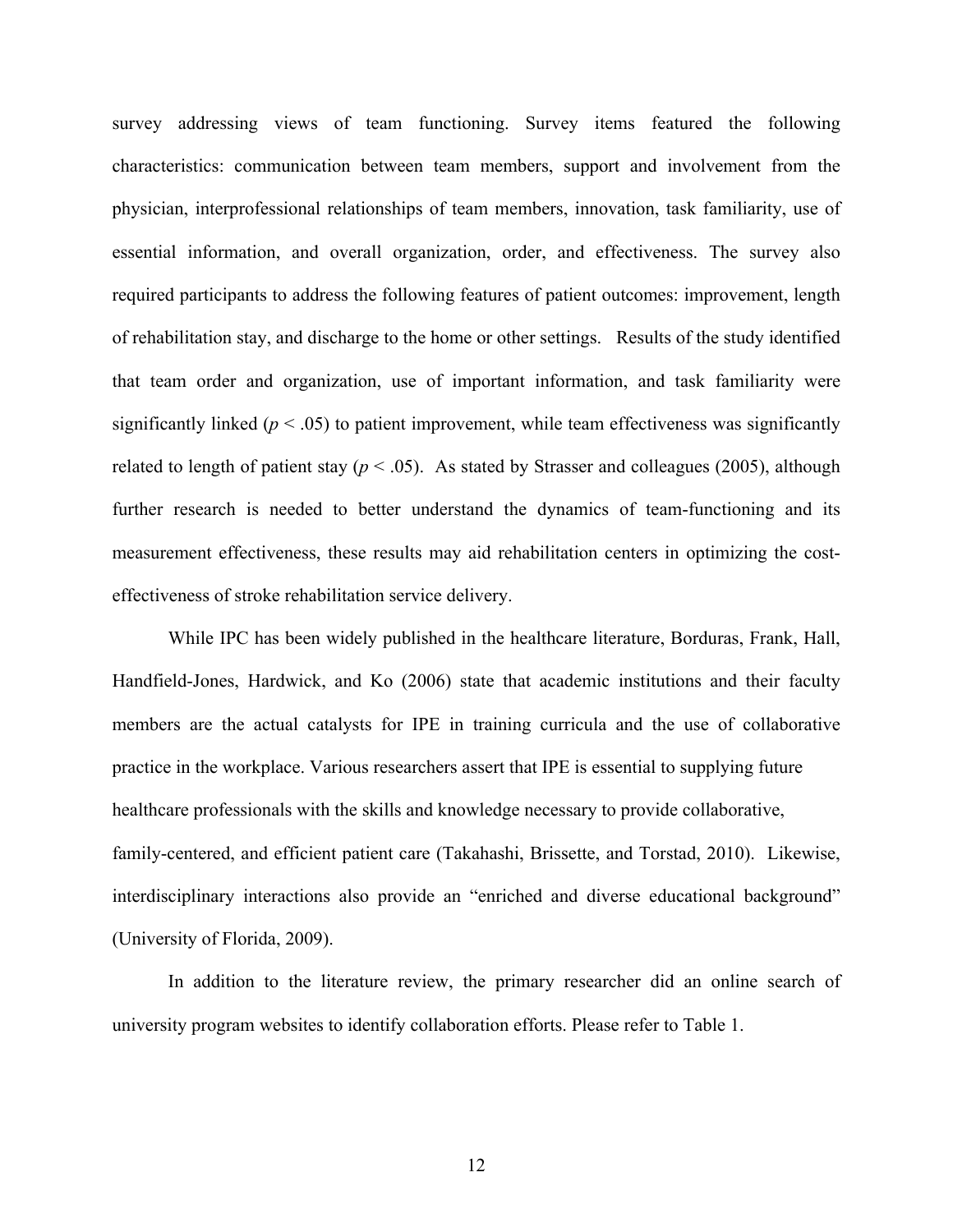survey addressing views of team functioning. Survey items featured the following characteristics: communication between team members, support and involvement from the physician, interprofessional relationships of team members, innovation, task familiarity, use of essential information, and overall organization, order, and effectiveness. The survey also required participants to address the following features of patient outcomes: improvement, length of rehabilitation stay, and discharge to the home or other settings. Results of the study identified that team order and organization, use of important information, and task familiarity were significantly linked ( $p < .05$ ) to patient improvement, while team effectiveness was significantly related to length of patient stay ( $p < .05$ ). As stated by Strasser and colleagues (2005), although further research is needed to better understand the dynamics of team-functioning and its measurement effectiveness, these results may aid rehabilitation centers in optimizing the costeffectiveness of stroke rehabilitation service delivery.

While IPC has been widely published in the healthcare literature, Borduras, Frank, Hall, Handfield-Jones, Hardwick, and Ko (2006) state that academic institutions and their faculty members are the actual catalysts for IPE in training curricula and the use of collaborative practice in the workplace. Various researchers assert that IPE is essential to supplying future healthcare professionals with the skills and knowledge necessary to provide collaborative, family-centered, and efficient patient care (Takahashi, Brissette, and Torstad, 2010). Likewise, interdisciplinary interactions also provide an "enriched and diverse educational background" (University of Florida, 2009).

In addition to the literature review, the primary researcher did an online search of university program websites to identify collaboration efforts. Please refer to Table 1.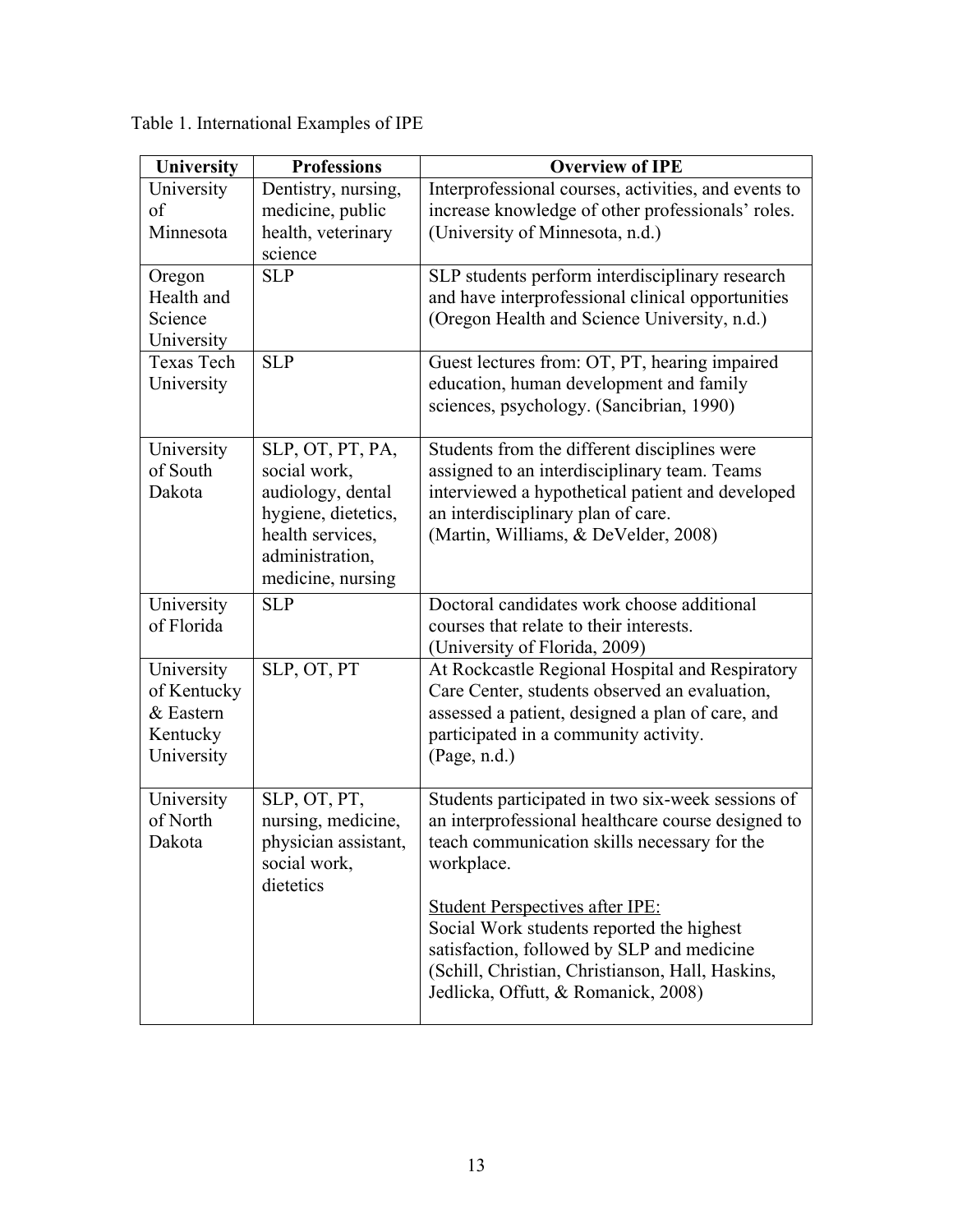| University                                                       | <b>Professions</b>                                                                                                                       | <b>Overview of IPE</b>                                                                                                                                                                                                         |
|------------------------------------------------------------------|------------------------------------------------------------------------------------------------------------------------------------------|--------------------------------------------------------------------------------------------------------------------------------------------------------------------------------------------------------------------------------|
| University<br>of<br>Minnesota                                    | Dentistry, nursing,<br>medicine, public<br>health, veterinary<br>science                                                                 | Interprofessional courses, activities, and events to<br>increase knowledge of other professionals' roles.<br>(University of Minnesota, n.d.)                                                                                   |
| Oregon<br>Health and<br>Science<br>University                    | <b>SLP</b>                                                                                                                               | SLP students perform interdisciplinary research<br>and have interprofessional clinical opportunities<br>(Oregon Health and Science University, n.d.)                                                                           |
| <b>Texas Tech</b><br>University                                  | <b>SLP</b>                                                                                                                               | Guest lectures from: OT, PT, hearing impaired<br>education, human development and family<br>sciences, psychology. (Sancibrian, 1990)                                                                                           |
| University<br>of South<br>Dakota                                 | SLP, OT, PT, PA,<br>social work,<br>audiology, dental<br>hygiene, dietetics,<br>health services,<br>administration,<br>medicine, nursing | Students from the different disciplines were<br>assigned to an interdisciplinary team. Teams<br>interviewed a hypothetical patient and developed<br>an interdisciplinary plan of care.<br>(Martin, Williams, & DeVelder, 2008) |
| University<br>of Florida                                         | <b>SLP</b>                                                                                                                               | Doctoral candidates work choose additional<br>courses that relate to their interests.<br>(University of Florida, 2009)                                                                                                         |
| University<br>of Kentucky<br>& Eastern<br>Kentucky<br>University | SLP, OT, PT                                                                                                                              | At Rockcastle Regional Hospital and Respiratory<br>Care Center, students observed an evaluation,<br>assessed a patient, designed a plan of care, and<br>participated in a community activity.<br>(Page, n.d.)                  |
| University<br>of North<br>Dakota                                 | SLP, OT, PT,<br>nursing, medicine,<br>physician assistant,<br>social work,<br>dietetics                                                  | Students participated in two six-week sessions of<br>an interprofessional healthcare course designed to<br>teach communication skills necessary for the<br>workplace.<br><b>Student Perspectives after IPE:</b>                |
|                                                                  |                                                                                                                                          | Social Work students reported the highest<br>satisfaction, followed by SLP and medicine<br>(Schill, Christian, Christianson, Hall, Haskins,<br>Jedlicka, Offutt, & Romanick, 2008)                                             |

Table 1. International Examples of IPE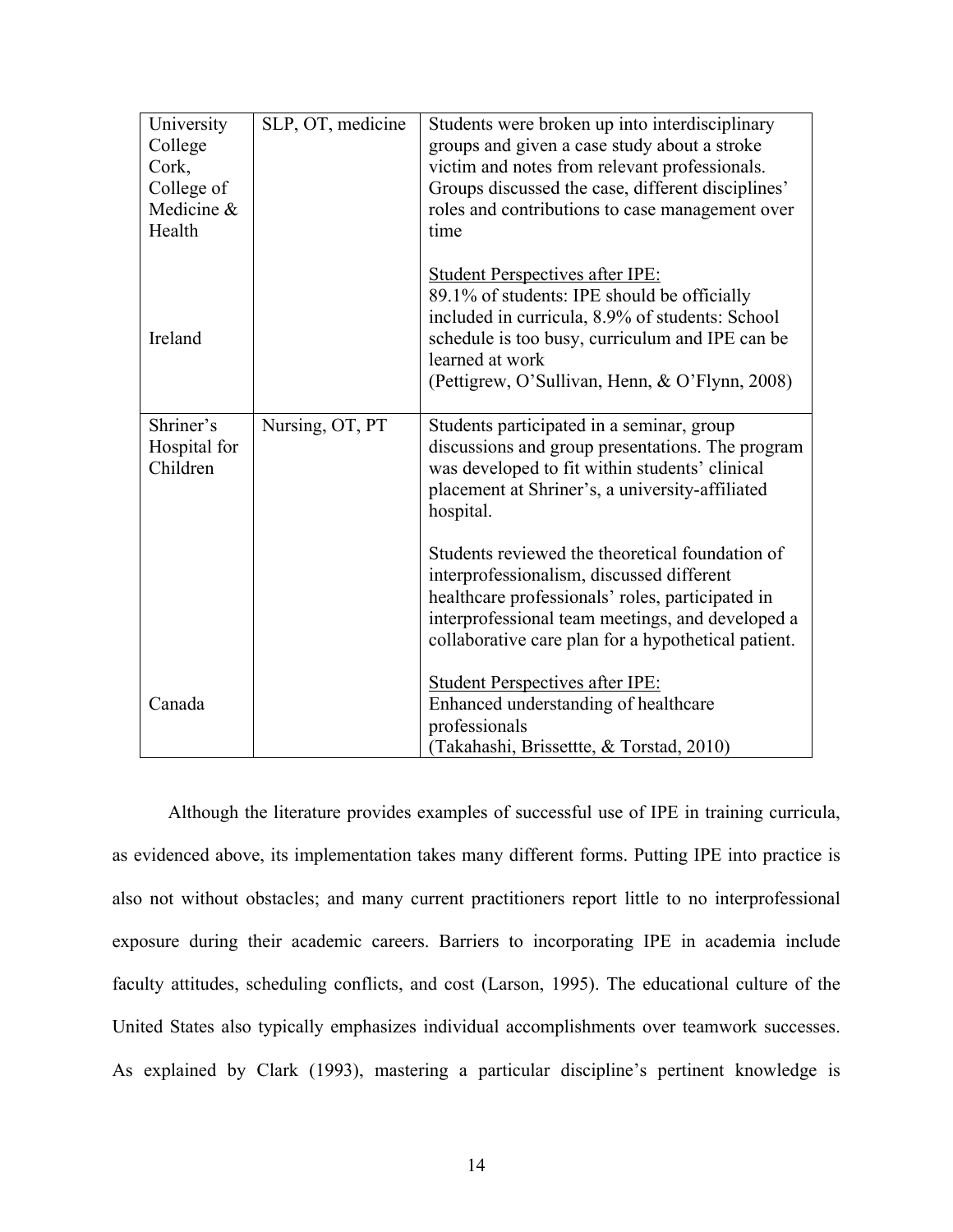| University<br>College<br>Cork,<br>College of<br>Medicine &<br>Health | SLP, OT, medicine | Students were broken up into interdisciplinary<br>groups and given a case study about a stroke<br>victim and notes from relevant professionals.<br>Groups discussed the case, different disciplines'<br>roles and contributions to case management over<br>time  |
|----------------------------------------------------------------------|-------------------|------------------------------------------------------------------------------------------------------------------------------------------------------------------------------------------------------------------------------------------------------------------|
| Ireland                                                              |                   | <b>Student Perspectives after IPE:</b><br>89.1% of students: IPE should be officially<br>included in curricula, 8.9% of students: School<br>schedule is too busy, curriculum and IPE can be<br>learned at work<br>(Pettigrew, O'Sullivan, Henn, & O'Flynn, 2008) |
| Shriner's<br>Hospital for<br>Children                                | Nursing, OT, PT   | Students participated in a seminar, group<br>discussions and group presentations. The program<br>was developed to fit within students' clinical<br>placement at Shriner's, a university-affiliated<br>hospital.                                                  |
|                                                                      |                   | Students reviewed the theoretical foundation of<br>interprofessionalism, discussed different<br>healthcare professionals' roles, participated in<br>interprofessional team meetings, and developed a<br>collaborative care plan for a hypothetical patient.      |
| Canada                                                               |                   | <b>Student Perspectives after IPE:</b><br>Enhanced understanding of healthcare<br>professionals<br>(Takahashi, Brissettte, & Torstad, 2010)                                                                                                                      |

Although the literature provides examples of successful use of IPE in training curricula, as evidenced above, its implementation takes many different forms. Putting IPE into practice is also not without obstacles; and many current practitioners report little to no interprofessional exposure during their academic careers. Barriers to incorporating IPE in academia include faculty attitudes, scheduling conflicts, and cost (Larson, 1995). The educational culture of the United States also typically emphasizes individual accomplishments over teamwork successes. As explained by Clark (1993), mastering a particular discipline's pertinent knowledge is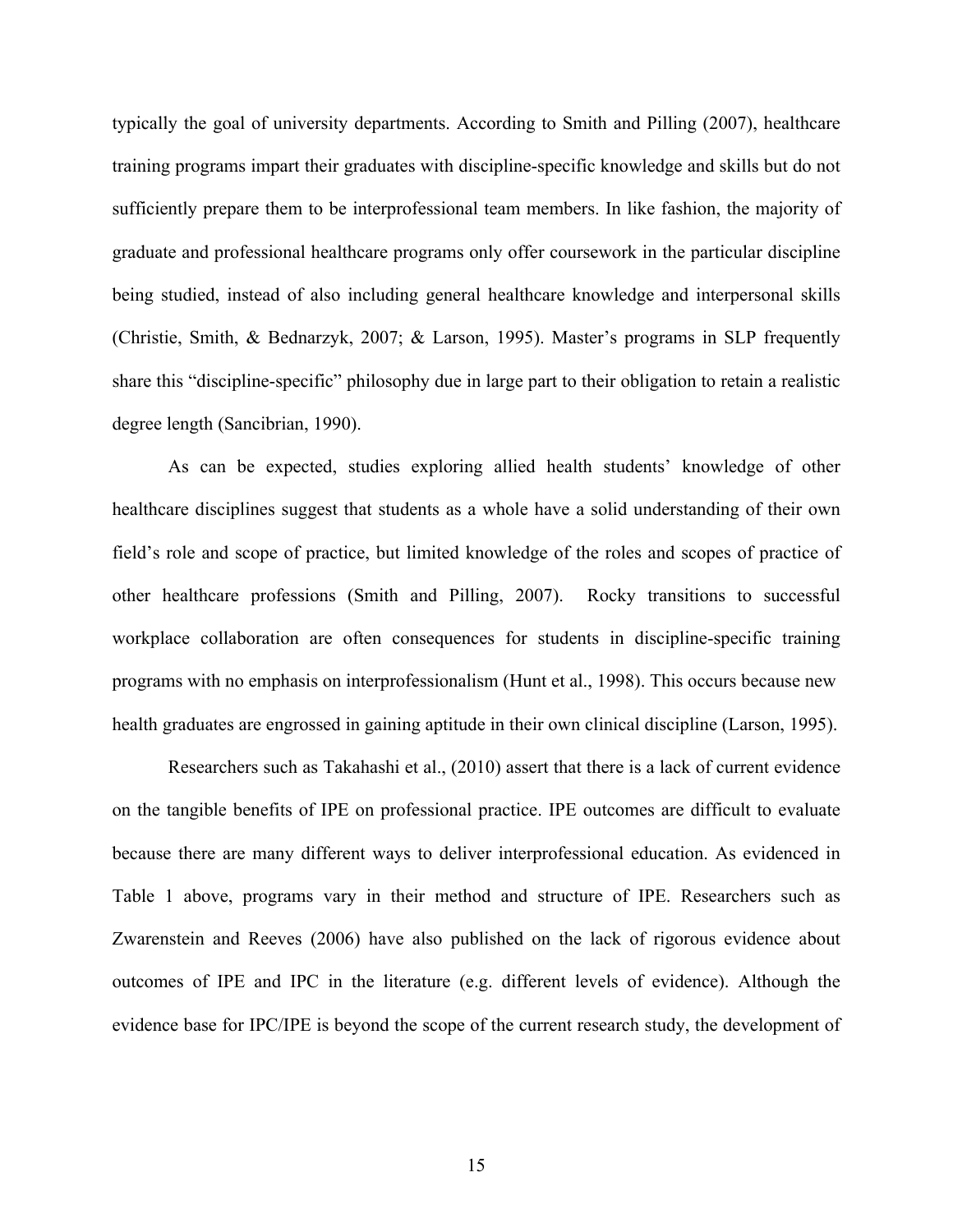typically the goal of university departments. According to Smith and Pilling (2007), healthcare training programs impart their graduates with discipline-specific knowledge and skills but do not sufficiently prepare them to be interprofessional team members. In like fashion, the majority of graduate and professional healthcare programs only offer coursework in the particular discipline being studied, instead of also including general healthcare knowledge and interpersonal skills (Christie, Smith, & Bednarzyk, 2007; & Larson, 1995). Master's programs in SLP frequently share this "discipline-specific" philosophy due in large part to their obligation to retain a realistic degree length (Sancibrian, 1990).

As can be expected, studies exploring allied health students' knowledge of other healthcare disciplines suggest that students as a whole have a solid understanding of their own field's role and scope of practice, but limited knowledge of the roles and scopes of practice of other healthcare professions (Smith and Pilling, 2007). Rocky transitions to successful workplace collaboration are often consequences for students in discipline-specific training programs with no emphasis on interprofessionalism (Hunt et al., 1998). This occurs because new health graduates are engrossed in gaining aptitude in their own clinical discipline (Larson, 1995).

Researchers such as Takahashi et al., (2010) assert that there is a lack of current evidence on the tangible benefits of IPE on professional practice. IPE outcomes are difficult to evaluate because there are many different ways to deliver interprofessional education. As evidenced in Table 1 above, programs vary in their method and structure of IPE. Researchers such as Zwarenstein and Reeves (2006) have also published on the lack of rigorous evidence about outcomes of IPE and IPC in the literature (e.g. different levels of evidence). Although the evidence base for IPC/IPE is beyond the scope of the current research study, the development of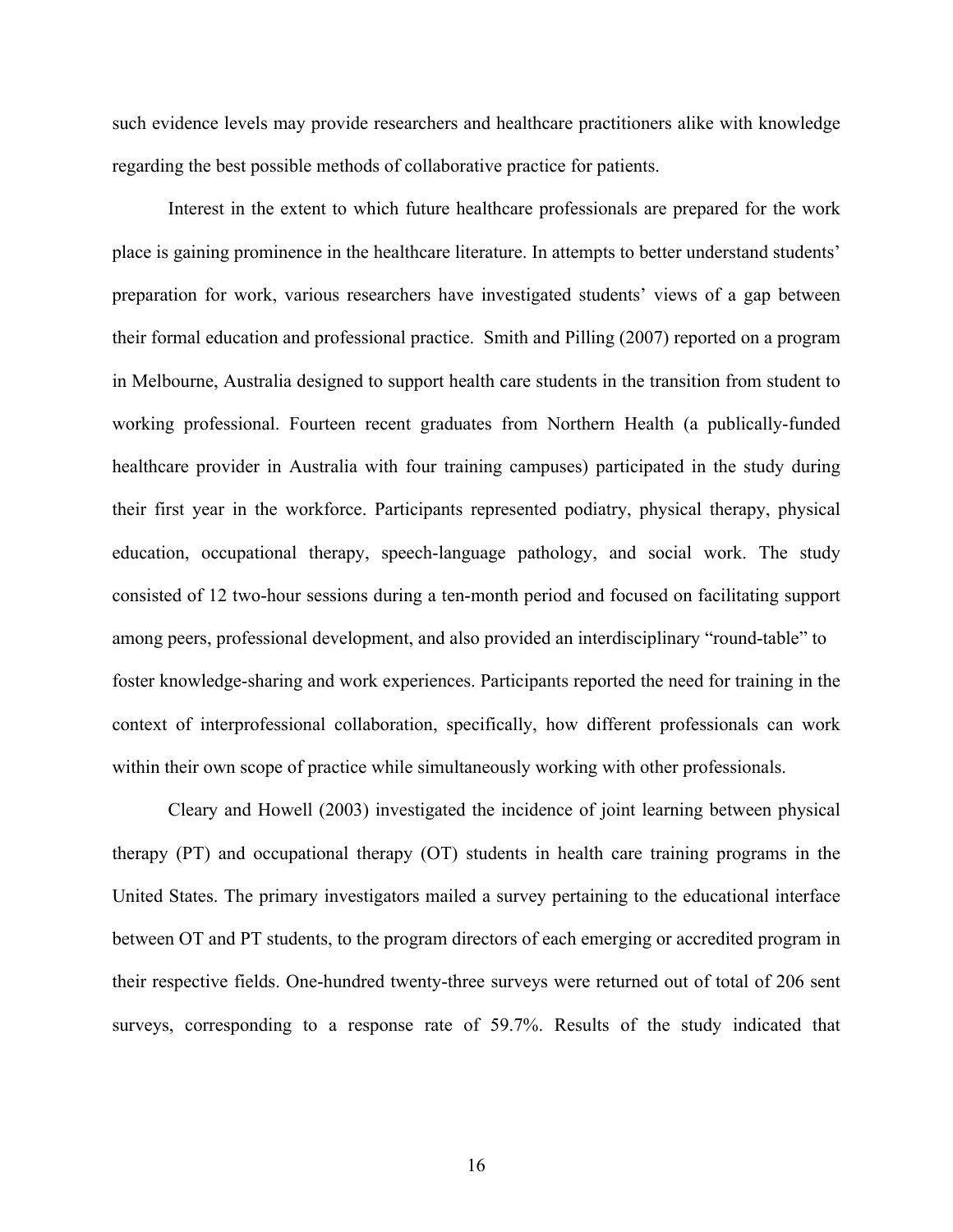such evidence levels may provide researchers and healthcare practitioners alike with knowledge regarding the best possible methods of collaborative practice for patients.

Interest in the extent to which future healthcare professionals are prepared for the work place is gaining prominence in the healthcare literature. In attempts to better understand students' preparation for work, various researchers have investigated students' views of a gap between their formal education and professional practice. Smith and Pilling (2007) reported on a program in Melbourne, Australia designed to support health care students in the transition from student to working professional. Fourteen recent graduates from Northern Health (a publically-funded healthcare provider in Australia with four training campuses) participated in the study during their first year in the workforce. Participants represented podiatry, physical therapy, physical education, occupational therapy, speech-language pathology, and social work. The study consisted of 12 two-hour sessions during a ten-month period and focused on facilitating support among peers, professional development, and also provided an interdisciplinary "round-table" to foster knowledge-sharing and work experiences. Participants reported the need for training in the context of interprofessional collaboration, specifically, how different professionals can work within their own scope of practice while simultaneously working with other professionals.

Cleary and Howell (2003) investigated the incidence of joint learning between physical therapy (PT) and occupational therapy (OT) students in health care training programs in the United States. The primary investigators mailed a survey pertaining to the educational interface between OT and PT students, to the program directors of each emerging or accredited program in their respective fields. One-hundred twenty-three surveys were returned out of total of 206 sent surveys, corresponding to a response rate of 59.7%. Results of the study indicated that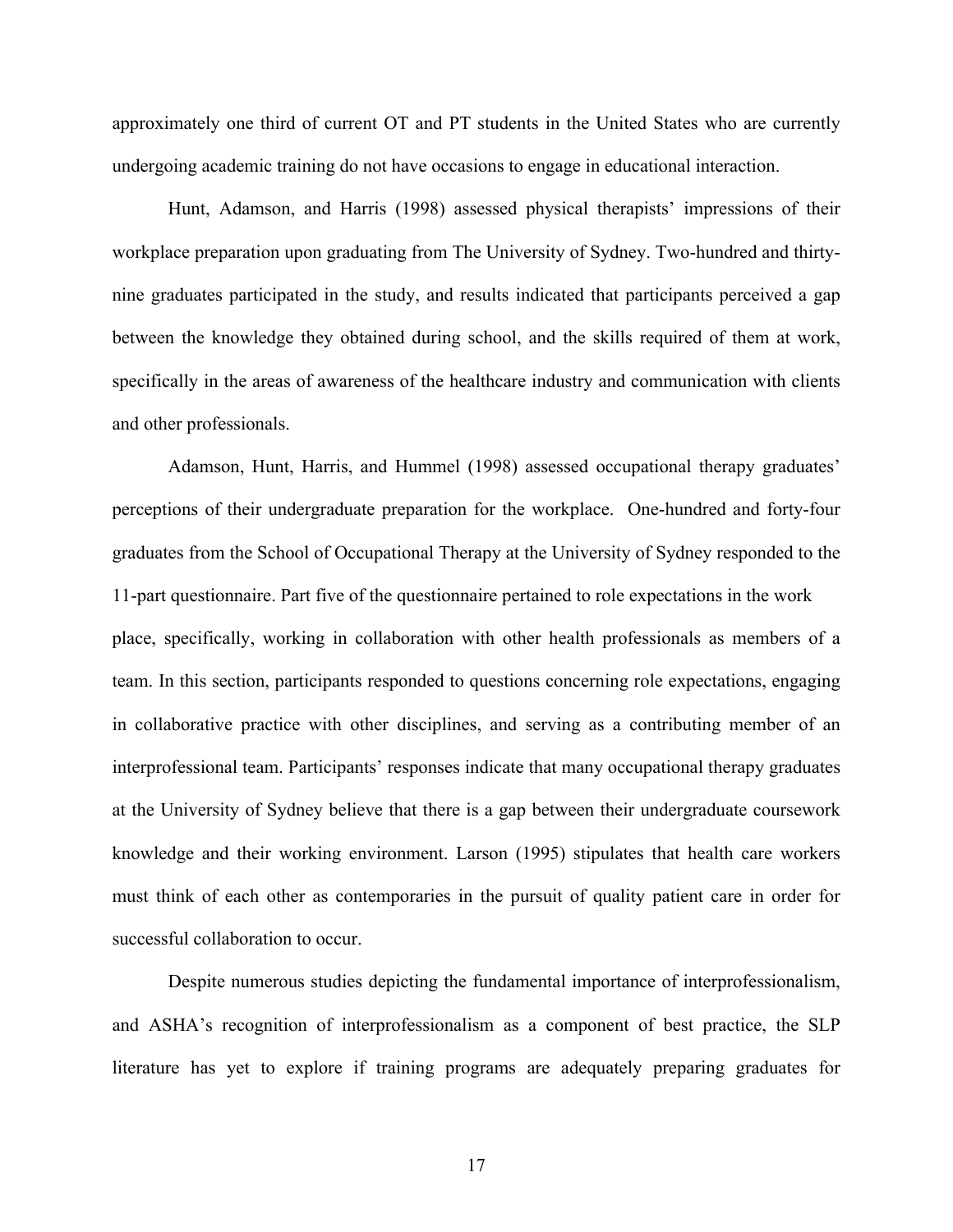approximately one third of current OT and PT students in the United States who are currently undergoing academic training do not have occasions to engage in educational interaction.

Hunt, Adamson, and Harris (1998) assessed physical therapists' impressions of their workplace preparation upon graduating from The University of Sydney. Two-hundred and thirtynine graduates participated in the study, and results indicated that participants perceived a gap between the knowledge they obtained during school, and the skills required of them at work, specifically in the areas of awareness of the healthcare industry and communication with clients and other professionals.

Adamson, Hunt, Harris, and Hummel (1998) assessed occupational therapy graduates' perceptions of their undergraduate preparation for the workplace. One-hundred and forty-four graduates from the School of Occupational Therapy at the University of Sydney responded to the 11-part questionnaire. Part five of the questionnaire pertained to role expectations in the work place, specifically, working in collaboration with other health professionals as members of a team. In this section, participants responded to questions concerning role expectations, engaging in collaborative practice with other disciplines, and serving as a contributing member of an interprofessional team. Participants' responses indicate that many occupational therapy graduates at the University of Sydney believe that there is a gap between their undergraduate coursework knowledge and their working environment. Larson (1995) stipulates that health care workers must think of each other as contemporaries in the pursuit of quality patient care in order for successful collaboration to occur.

Despite numerous studies depicting the fundamental importance of interprofessionalism, and ASHA's recognition of interprofessionalism as a component of best practice, the SLP literature has yet to explore if training programs are adequately preparing graduates for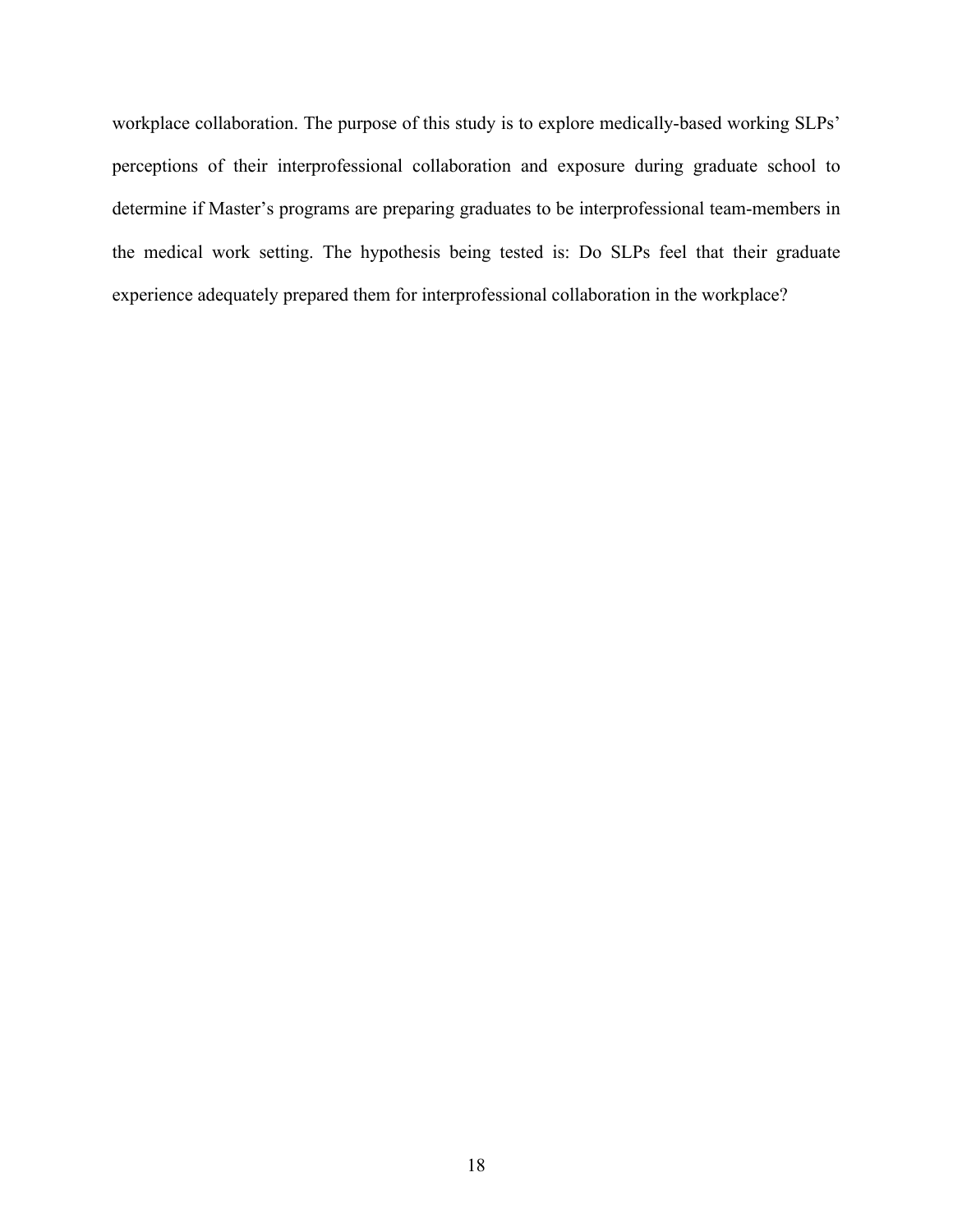workplace collaboration. The purpose of this study is to explore medically-based working SLPs' perceptions of their interprofessional collaboration and exposure during graduate school to determine if Master's programs are preparing graduates to be interprofessional team-members in the medical work setting. The hypothesis being tested is: Do SLPs feel that their graduate experience adequately prepared them for interprofessional collaboration in the workplace?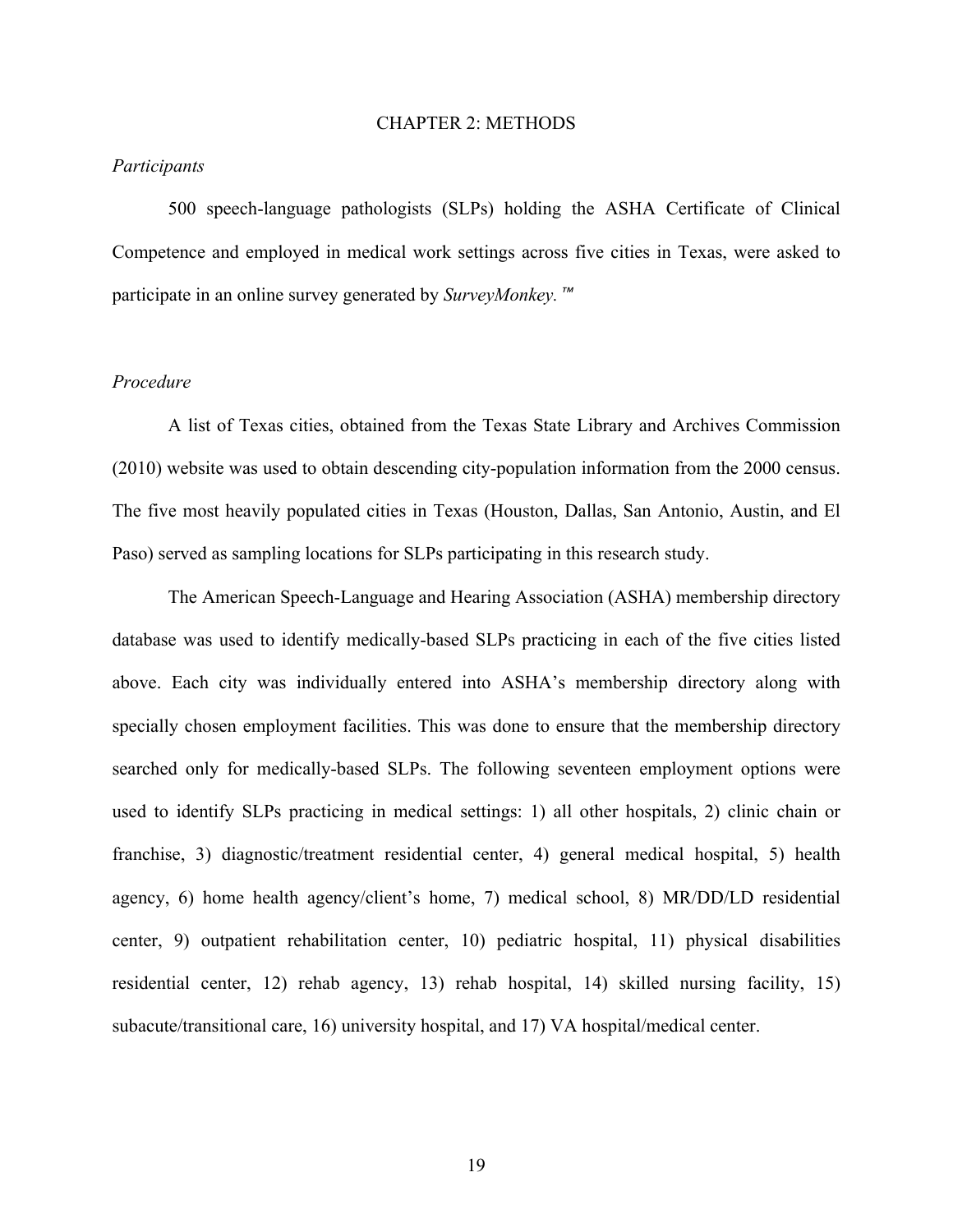#### CHAPTER 2: METHODS

#### *Participants*

500 speech-language pathologists (SLPs) holding the ASHA Certificate of Clinical Competence and employed in medical work settings across five cities in Texas, were asked to participate in an online survey generated by *SurveyMonkey.*™

#### *Procedure*

A list of Texas cities, obtained from the Texas State Library and Archives Commission (2010) website was used to obtain descending city-population information from the 2000 census. The five most heavily populated cities in Texas (Houston, Dallas, San Antonio, Austin, and El Paso) served as sampling locations for SLPs participating in this research study.

The American Speech-Language and Hearing Association (ASHA) membership directory database was used to identify medically-based SLPs practicing in each of the five cities listed above. Each city was individually entered into ASHA's membership directory along with specially chosen employment facilities. This was done to ensure that the membership directory searched only for medically-based SLPs. The following seventeen employment options were used to identify SLPs practicing in medical settings: 1) all other hospitals, 2) clinic chain or franchise, 3) diagnostic/treatment residential center, 4) general medical hospital, 5) health agency, 6) home health agency/client's home, 7) medical school, 8) MR/DD/LD residential center, 9) outpatient rehabilitation center, 10) pediatric hospital, 11) physical disabilities residential center, 12) rehab agency, 13) rehab hospital, 14) skilled nursing facility, 15) subacute/transitional care, 16) university hospital, and 17) VA hospital/medical center.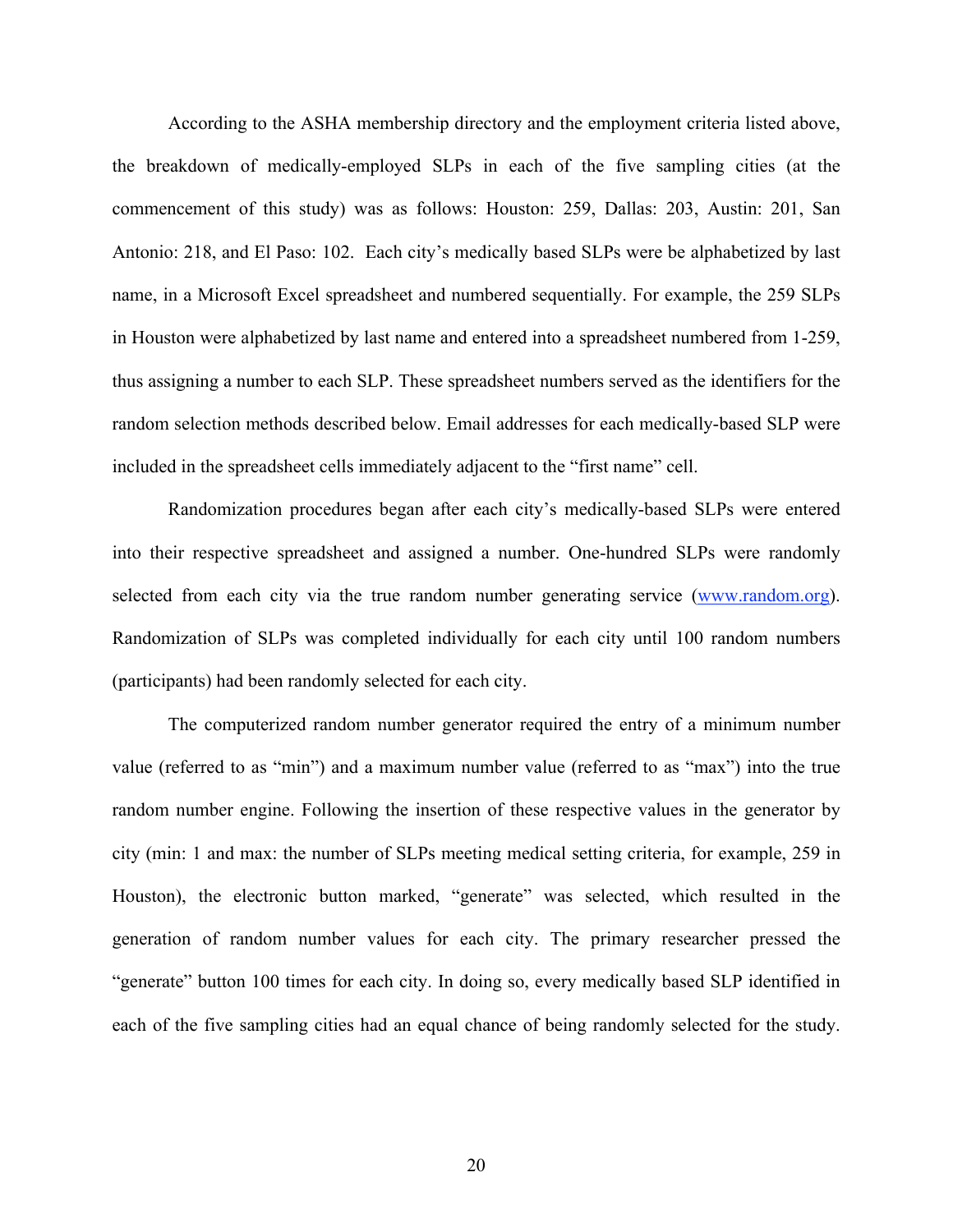According to the ASHA membership directory and the employment criteria listed above, the breakdown of medically-employed SLPs in each of the five sampling cities (at the commencement of this study) was as follows: Houston: 259, Dallas: 203, Austin: 201, San Antonio: 218, and El Paso: 102. Each city's medically based SLPs were be alphabetized by last name, in a Microsoft Excel spreadsheet and numbered sequentially. For example, the 259 SLPs in Houston were alphabetized by last name and entered into a spreadsheet numbered from 1-259, thus assigning a number to each SLP. These spreadsheet numbers served as the identifiers for the random selection methods described below. Email addresses for each medically-based SLP were included in the spreadsheet cells immediately adjacent to the "first name" cell.

Randomization procedures began after each city's medically-based SLPs were entered into their respective spreadsheet and assigned a number. One-hundred SLPs were randomly selected from each city via the true random number generating service (www.random.org). Randomization of SLPs was completed individually for each city until 100 random numbers (participants) had been randomly selected for each city.

The computerized random number generator required the entry of a minimum number value (referred to as "min") and a maximum number value (referred to as "max") into the true random number engine. Following the insertion of these respective values in the generator by city (min: 1 and max: the number of SLPs meeting medical setting criteria, for example, 259 in Houston), the electronic button marked, "generate" was selected, which resulted in the generation of random number values for each city. The primary researcher pressed the "generate" button 100 times for each city. In doing so, every medically based SLP identified in each of the five sampling cities had an equal chance of being randomly selected for the study.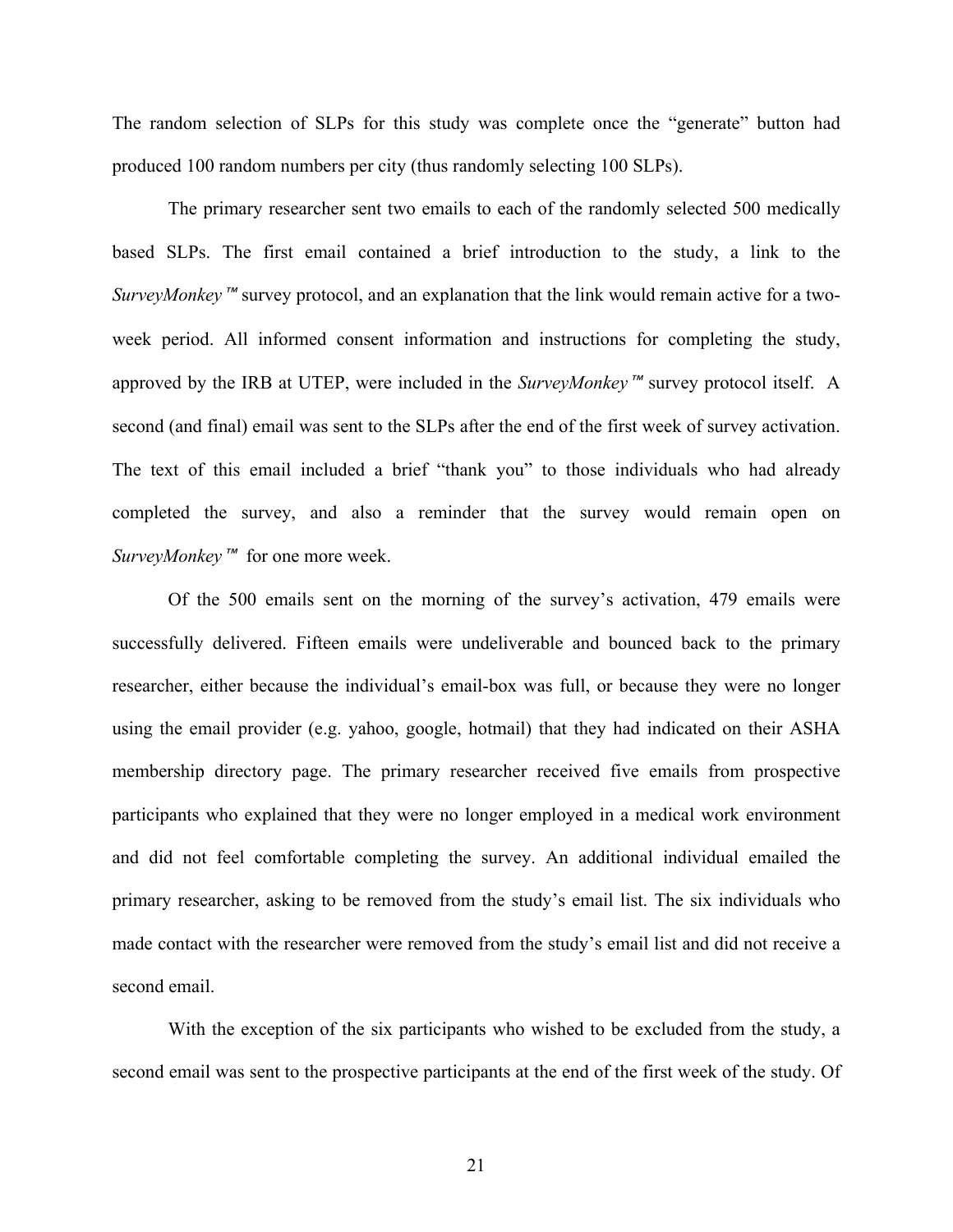The random selection of SLPs for this study was complete once the "generate" button had produced 100 random numbers per city (thus randomly selecting 100 SLPs).

The primary researcher sent two emails to each of the randomly selected 500 medically based SLPs. The first email contained a brief introduction to the study, a link to the *SurveyMonkey*™ survey protocol, and an explanation that the link would remain active for a twoweek period. All informed consent information and instructions for completing the study, approved by the IRB at UTEP, were included in the *SurveyMonkey*™ survey protocol itself. A second (and final) email was sent to the SLPs after the end of the first week of survey activation. The text of this email included a brief "thank you" to those individuals who had already completed the survey, and also a reminder that the survey would remain open on *SurveyMonkey*™ for one more week.

Of the 500 emails sent on the morning of the survey's activation, 479 emails were successfully delivered. Fifteen emails were undeliverable and bounced back to the primary researcher, either because the individual's email-box was full, or because they were no longer using the email provider (e.g. yahoo, google, hotmail) that they had indicated on their ASHA membership directory page. The primary researcher received five emails from prospective participants who explained that they were no longer employed in a medical work environment and did not feel comfortable completing the survey. An additional individual emailed the primary researcher, asking to be removed from the study's email list. The six individuals who made contact with the researcher were removed from the study's email list and did not receive a second email.

With the exception of the six participants who wished to be excluded from the study, a second email was sent to the prospective participants at the end of the first week of the study. Of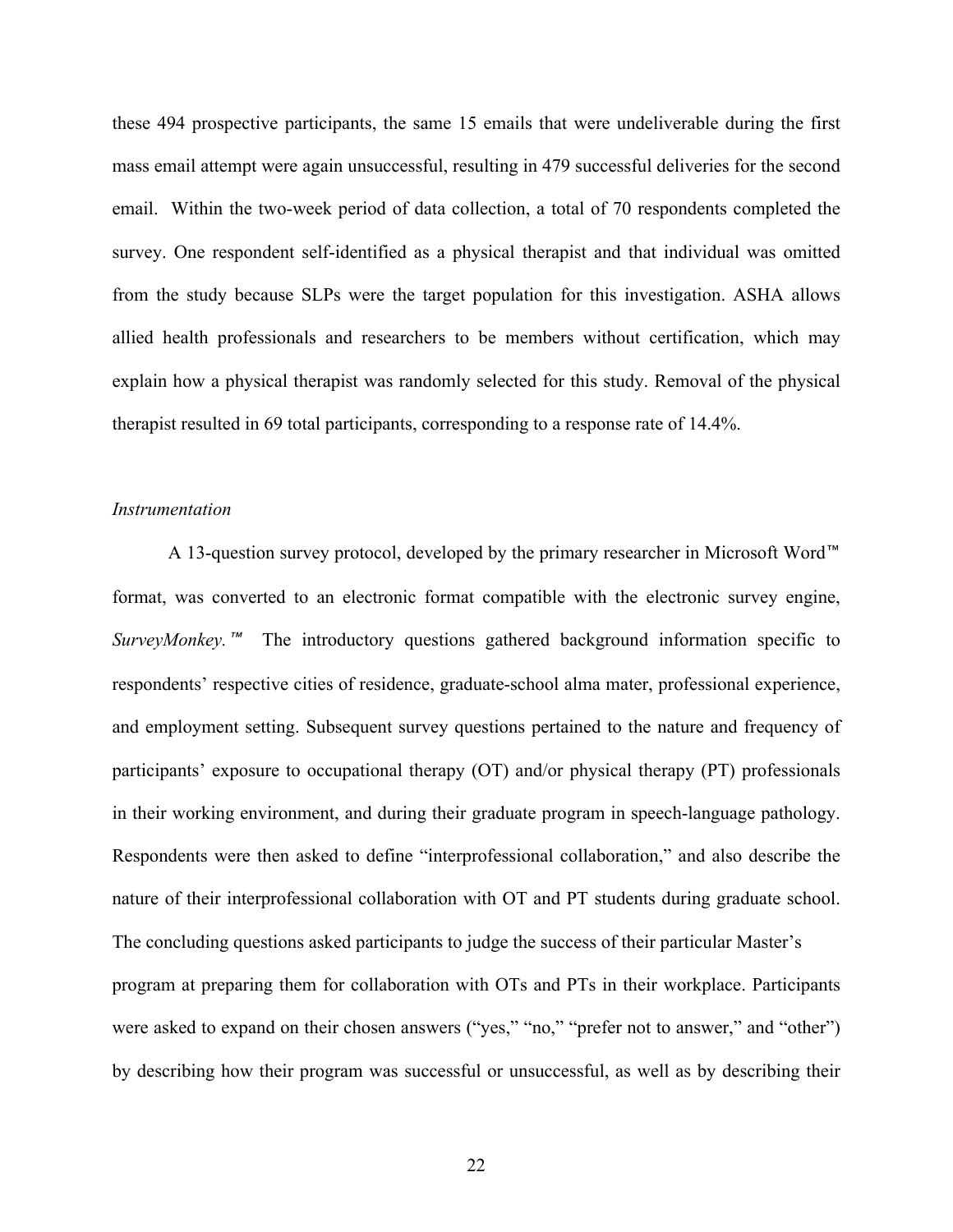these 494 prospective participants, the same 15 emails that were undeliverable during the first mass email attempt were again unsuccessful, resulting in 479 successful deliveries for the second email. Within the two-week period of data collection, a total of 70 respondents completed the survey. One respondent self-identified as a physical therapist and that individual was omitted from the study because SLPs were the target population for this investigation. ASHA allows allied health professionals and researchers to be members without certification, which may explain how a physical therapist was randomly selected for this study. Removal of the physical therapist resulted in 69 total participants, corresponding to a response rate of 14.4%.

#### *Instrumentation*

A 13-question survey protocol, developed by the primary researcher in Microsoft Word™ format, was converted to an electronic format compatible with the electronic survey engine, *SurveyMonkey.*™ The introductory questions gathered background information specific to respondents' respective cities of residence, graduate-school alma mater, professional experience, and employment setting. Subsequent survey questions pertained to the nature and frequency of participants' exposure to occupational therapy (OT) and/or physical therapy (PT) professionals in their working environment, and during their graduate program in speech-language pathology. Respondents were then asked to define "interprofessional collaboration," and also describe the nature of their interprofessional collaboration with OT and PT students during graduate school. The concluding questions asked participants to judge the success of their particular Master's program at preparing them for collaboration with OTs and PTs in their workplace. Participants were asked to expand on their chosen answers ("yes," "no," "prefer not to answer," and "other") by describing how their program was successful or unsuccessful, as well as by describing their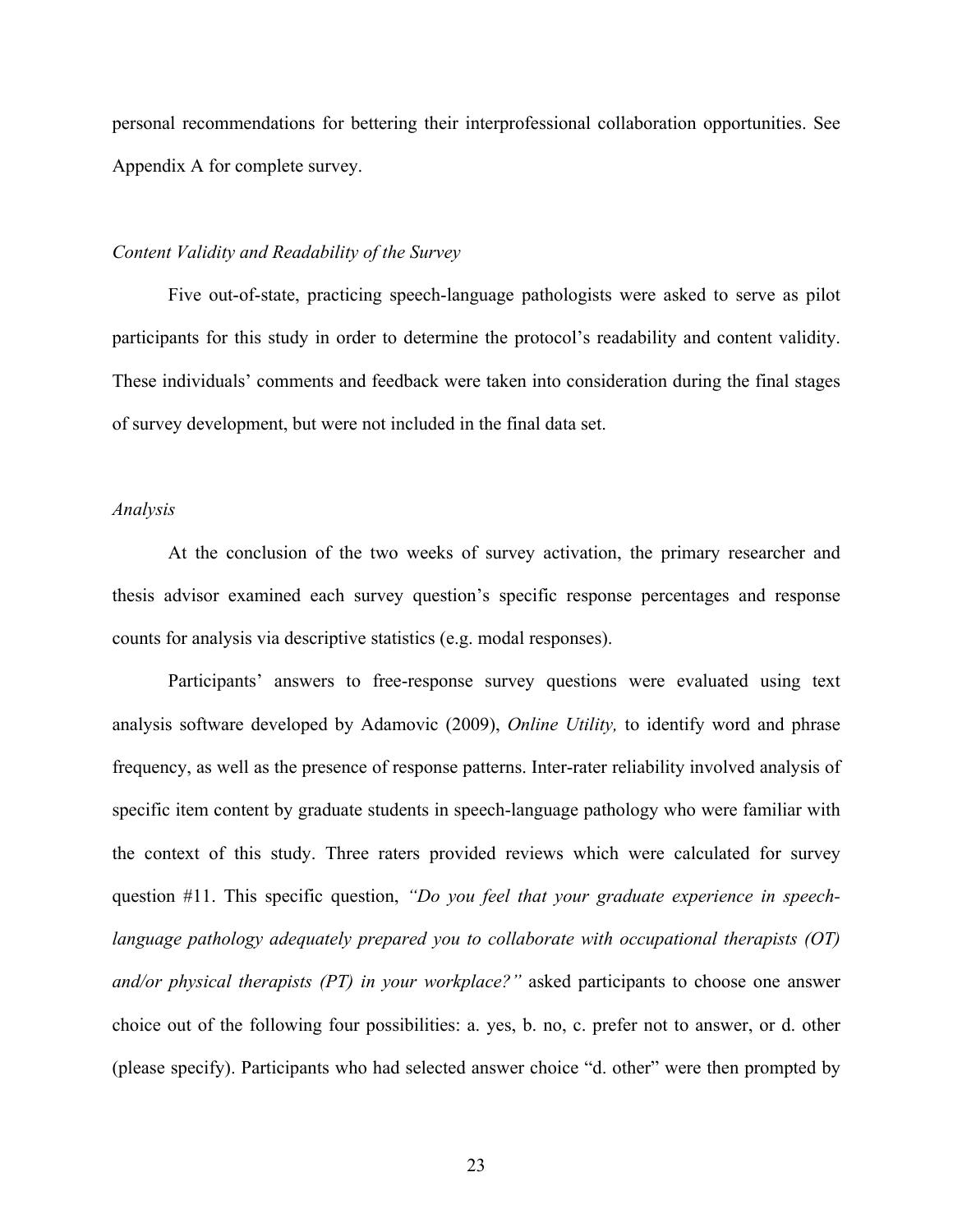personal recommendations for bettering their interprofessional collaboration opportunities. See Appendix A for complete survey.

#### *Content Validity and Readability of the Survey*

Five out-of-state, practicing speech-language pathologists were asked to serve as pilot participants for this study in order to determine the protocol's readability and content validity. These individuals' comments and feedback were taken into consideration during the final stages of survey development, but were not included in the final data set.

## *Analysis*

At the conclusion of the two weeks of survey activation, the primary researcher and thesis advisor examined each survey question's specific response percentages and response counts for analysis via descriptive statistics (e.g. modal responses).

Participants' answers to free-response survey questions were evaluated using text analysis software developed by Adamovic (2009), *Online Utility,* to identify word and phrase frequency, as well as the presence of response patterns. Inter-rater reliability involved analysis of specific item content by graduate students in speech-language pathology who were familiar with the context of this study. Three raters provided reviews which were calculated for survey question #11. This specific question, *"Do you feel that your graduate experience in speechlanguage pathology adequately prepared you to collaborate with occupational therapists (OT) and/or physical therapists (PT) in your workplace?"* asked participants to choose one answer choice out of the following four possibilities: a. yes, b. no, c. prefer not to answer, or d. other (please specify). Participants who had selected answer choice "d. other" were then prompted by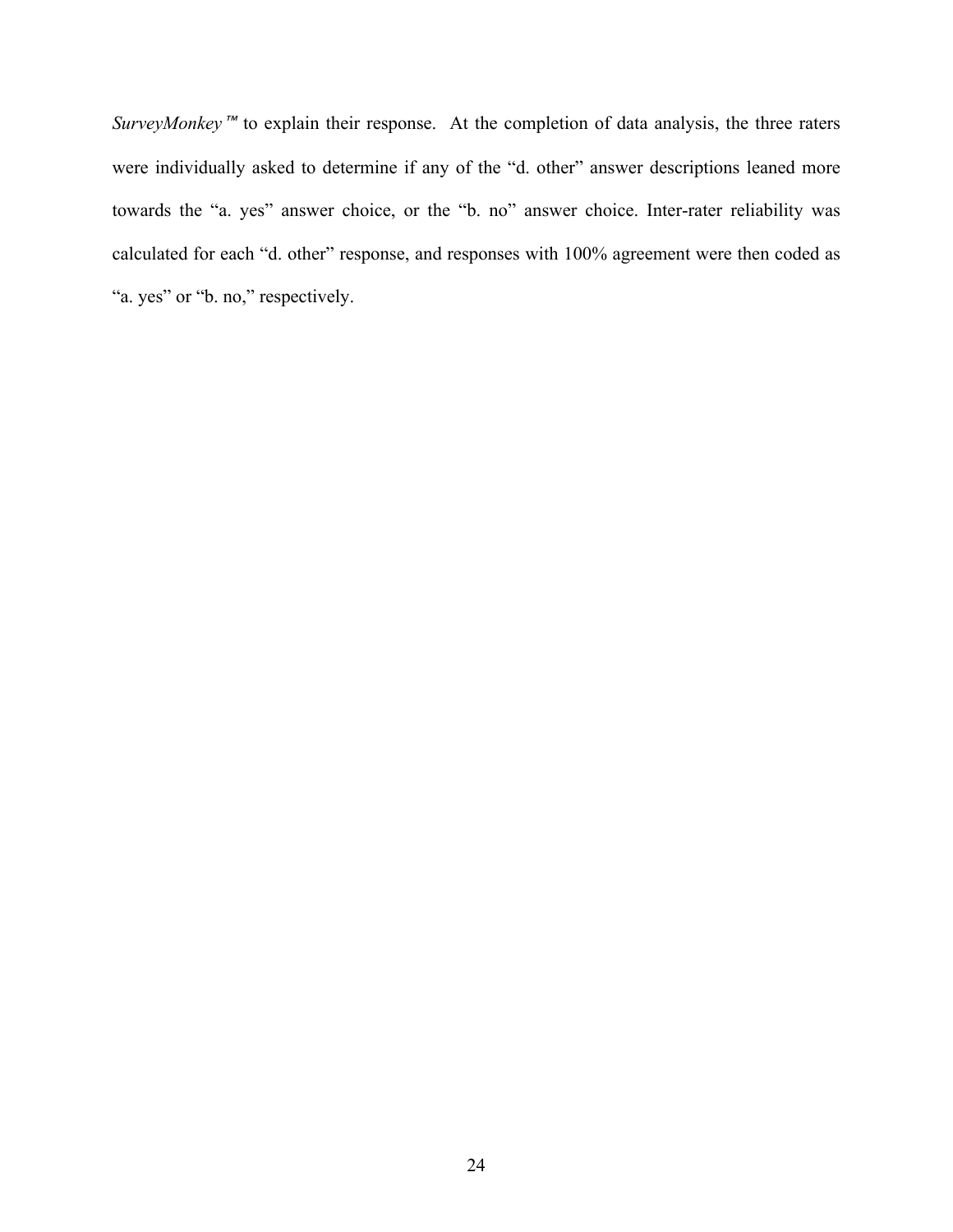*SurveyMonkey*™ to explain their response. At the completion of data analysis, the three raters were individually asked to determine if any of the "d. other" answer descriptions leaned more towards the "a. yes" answer choice, or the "b. no" answer choice. Inter-rater reliability was calculated for each "d. other" response, and responses with 100% agreement were then coded as "a. yes" or "b. no," respectively.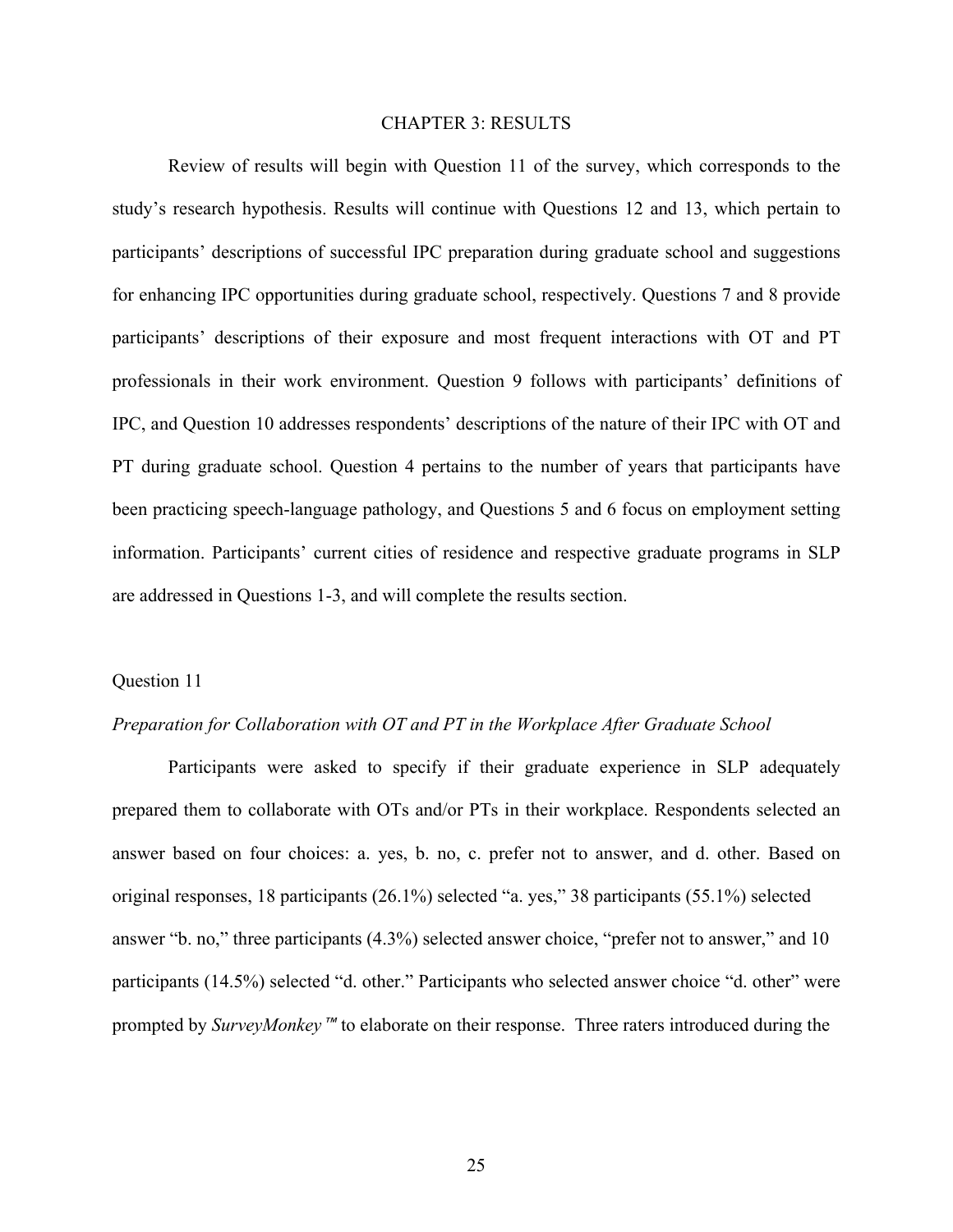#### CHAPTER 3: RESULTS

Review of results will begin with Question 11 of the survey, which corresponds to the study's research hypothesis. Results will continue with Questions 12 and 13, which pertain to participants' descriptions of successful IPC preparation during graduate school and suggestions for enhancing IPC opportunities during graduate school, respectively. Questions 7 and 8 provide participants' descriptions of their exposure and most frequent interactions with OT and PT professionals in their work environment. Question 9 follows with participants' definitions of IPC, and Question 10 addresses respondents' descriptions of the nature of their IPC with OT and PT during graduate school. Question 4 pertains to the number of years that participants have been practicing speech-language pathology, and Questions 5 and 6 focus on employment setting information. Participants' current cities of residence and respective graduate programs in SLP are addressed in Questions 1-3, and will complete the results section.

#### Question 11

#### *Preparation for Collaboration with OT and PT in the Workplace After Graduate School*

Participants were asked to specify if their graduate experience in SLP adequately prepared them to collaborate with OTs and/or PTs in their workplace. Respondents selected an answer based on four choices: a. yes, b. no, c. prefer not to answer, and d. other. Based on original responses, 18 participants (26.1%) selected "a. yes," 38 participants (55.1%) selected answer "b. no," three participants (4.3%) selected answer choice, "prefer not to answer," and 10 participants (14.5%) selected "d. other." Participants who selected answer choice "d. other" were prompted by *SurveyMonkey*™ to elaborate on their response. Three raters introduced during the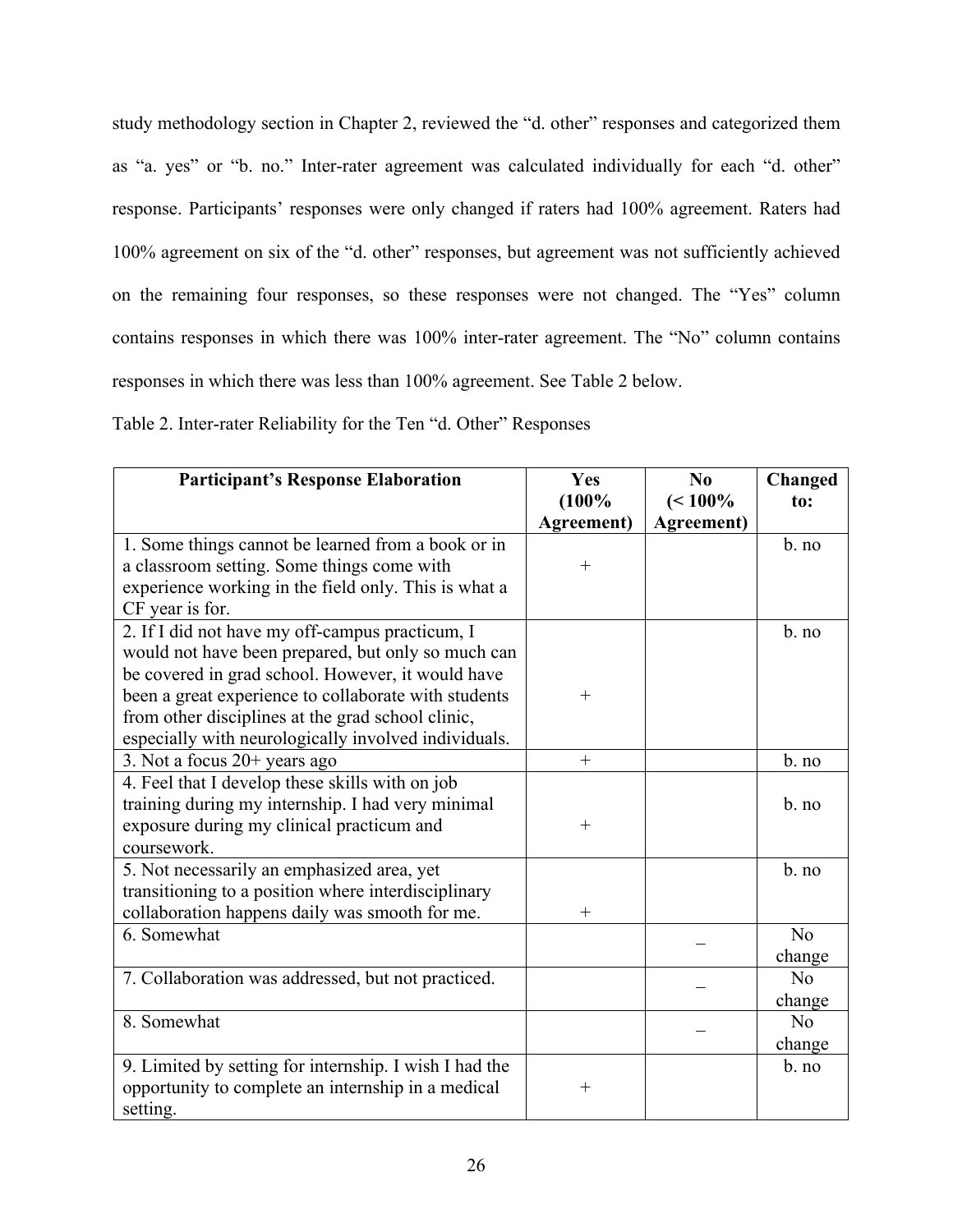study methodology section in Chapter 2, reviewed the "d. other" responses and categorized them as "a. yes" or "b. no." Inter-rater agreement was calculated individually for each "d. other" response. Participants' responses were only changed if raters had 100% agreement. Raters had 100% agreement on six of the "d. other" responses, but agreement was not sufficiently achieved on the remaining four responses, so these responses were not changed. The "Yes" column contains responses in which there was 100% inter-rater agreement. The "No" column contains responses in which there was less than 100% agreement. See Table 2 below.

| <b>Participant's Response Elaboration</b>              | Yes        | $\bf No$   | Changed        |
|--------------------------------------------------------|------------|------------|----------------|
|                                                        | (100%      | $(< 100\%$ | to:            |
|                                                        | Agreement) | Agreement) |                |
| 1. Some things cannot be learned from a book or in     |            |            | $b$ . no       |
| a classroom setting. Some things come with             | $^{+}$     |            |                |
| experience working in the field only. This is what a   |            |            |                |
| CF year is for.                                        |            |            |                |
| 2. If I did not have my off-campus practicum, I        |            |            | $b$ . no       |
| would not have been prepared, but only so much can     |            |            |                |
| be covered in grad school. However, it would have      |            |            |                |
| been a great experience to collaborate with students   | $+$        |            |                |
| from other disciplines at the grad school clinic,      |            |            |                |
| especially with neurologically involved individuals.   |            |            |                |
| 3. Not a focus 20+ years ago                           | $+$        |            | b. no          |
| 4. Feel that I develop these skills with on job        |            |            |                |
| training during my internship. I had very minimal      |            |            | $b$ . no       |
| exposure during my clinical practicum and              | $^{+}$     |            |                |
| coursework.                                            |            |            |                |
| 5. Not necessarily an emphasized area, yet             |            |            | b. no          |
| transitioning to a position where interdisciplinary    |            |            |                |
| collaboration happens daily was smooth for me.         | $^{+}$     |            |                |
| 6. Somewhat                                            |            |            | N <sub>o</sub> |
|                                                        |            |            | change         |
| 7. Collaboration was addressed, but not practiced.     |            |            | N <sub>o</sub> |
|                                                        |            |            | change         |
| 8. Somewhat                                            |            |            | N <sub>0</sub> |
|                                                        |            |            | change         |
| 9. Limited by setting for internship. I wish I had the |            |            | $b$ . no       |
| opportunity to complete an internship in a medical     | $^{+}$     |            |                |
| setting.                                               |            |            |                |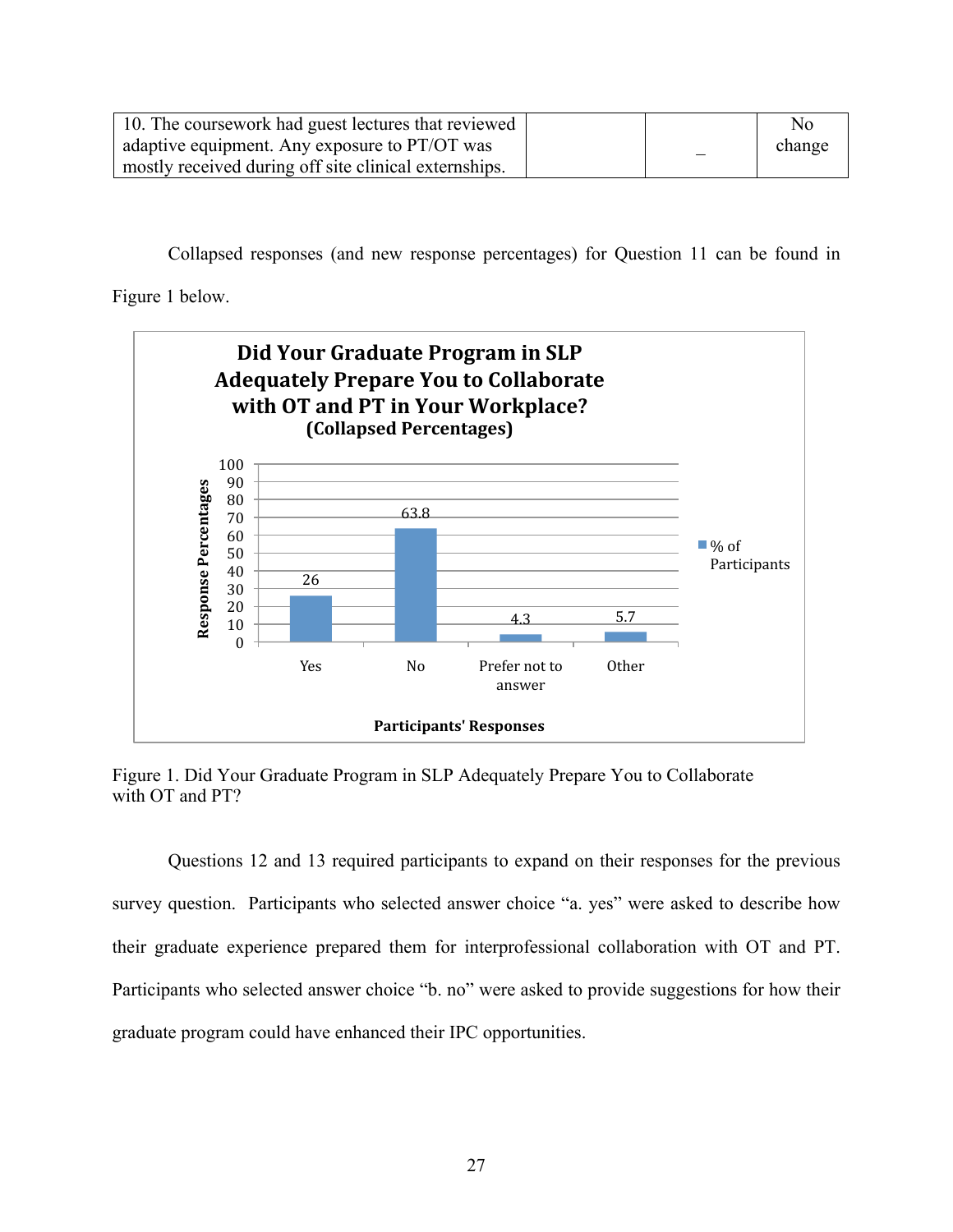| 10. The coursework had guest lectures that reviewed   |  | No     |
|-------------------------------------------------------|--|--------|
| adaptive equipment. Any exposure to PT/OT was         |  | change |
| mostly received during off site clinical externships. |  |        |

Collapsed responses (and new response percentages) for Question 11 can be found in

Figure 1 below.



Figure 1. Did Your Graduate Program in SLP Adequately Prepare You to Collaborate with OT and PT?

Questions 12 and 13 required participants to expand on their responses for the previous survey question. Participants who selected answer choice "a. yes" were asked to describe how their graduate experience prepared them for interprofessional collaboration with OT and PT. Participants who selected answer choice "b. no" were asked to provide suggestions for how their graduate program could have enhanced their IPC opportunities.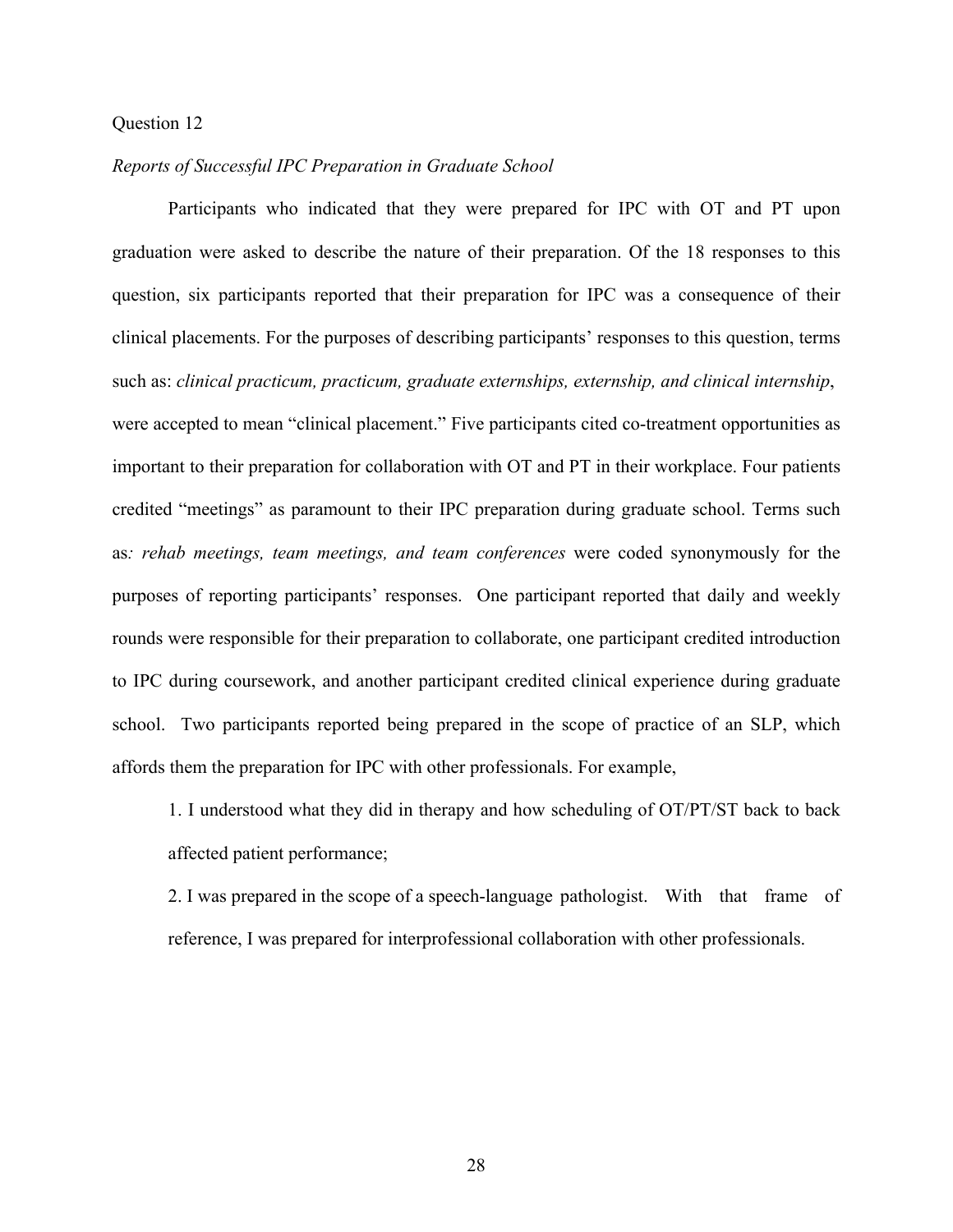## *Reports of Successful IPC Preparation in Graduate School*

Participants who indicated that they were prepared for IPC with OT and PT upon graduation were asked to describe the nature of their preparation. Of the 18 responses to this question, six participants reported that their preparation for IPC was a consequence of their clinical placements. For the purposes of describing participants' responses to this question, terms such as: *clinical practicum, practicum, graduate externships, externship, and clinical internship*, were accepted to mean "clinical placement." Five participants cited co-treatment opportunities as important to their preparation for collaboration with OT and PT in their workplace. Four patients credited "meetings" as paramount to their IPC preparation during graduate school. Terms such as*: rehab meetings, team meetings, and team conferences* were coded synonymously for the purposes of reporting participants' responses. One participant reported that daily and weekly rounds were responsible for their preparation to collaborate, one participant credited introduction to IPC during coursework, and another participant credited clinical experience during graduate school. Two participants reported being prepared in the scope of practice of an SLP, which affords them the preparation for IPC with other professionals. For example,

1. I understood what they did in therapy and how scheduling of OT/PT/ST back to back affected patient performance;

2. I was prepared in the scope of a speech-language pathologist. With that frame of reference, I was prepared for interprofessional collaboration with other professionals.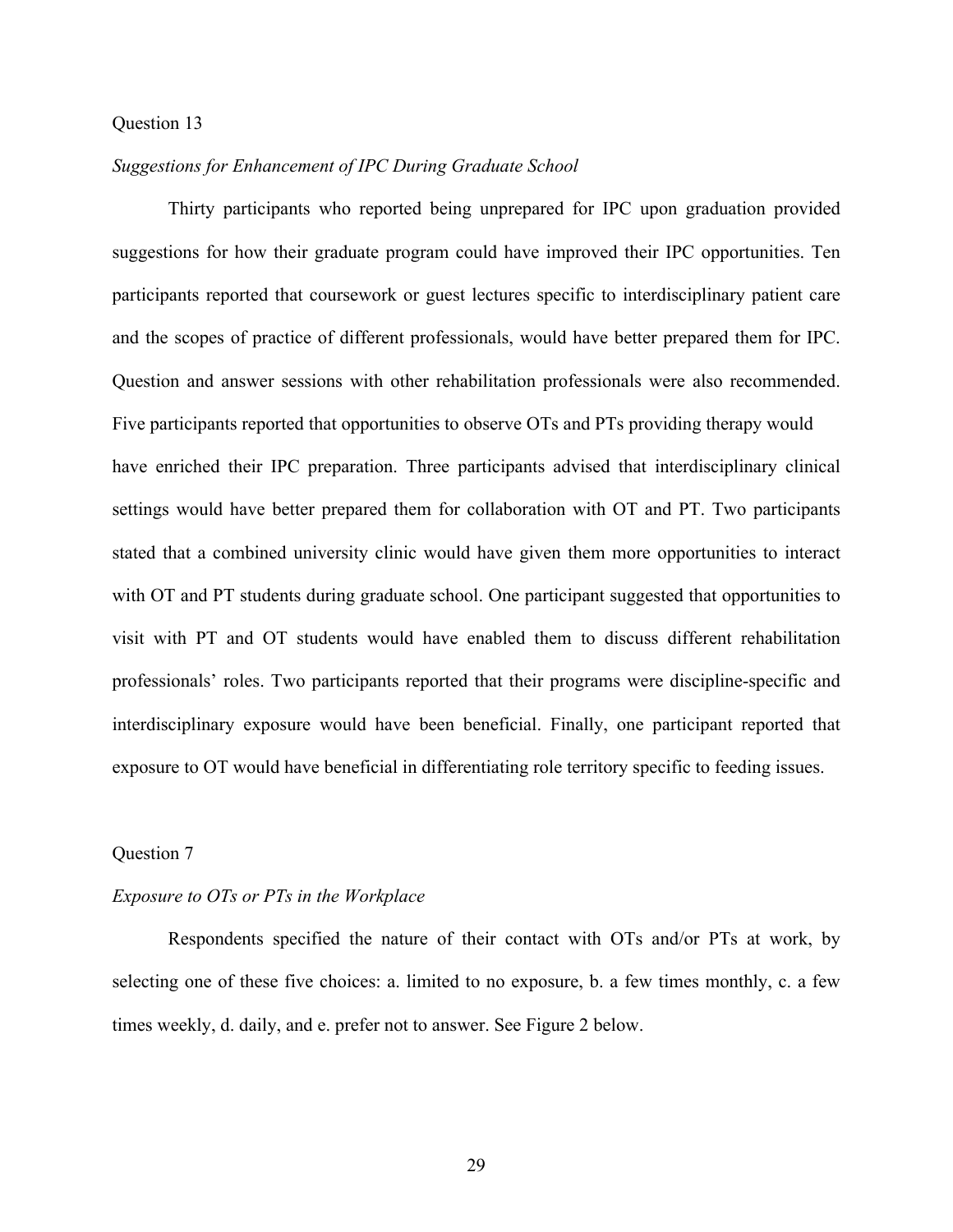# *Suggestions for Enhancement of IPC During Graduate School*

Thirty participants who reported being unprepared for IPC upon graduation provided suggestions for how their graduate program could have improved their IPC opportunities. Ten participants reported that coursework or guest lectures specific to interdisciplinary patient care and the scopes of practice of different professionals, would have better prepared them for IPC. Question and answer sessions with other rehabilitation professionals were also recommended. Five participants reported that opportunities to observe OTs and PTs providing therapy would have enriched their IPC preparation. Three participants advised that interdisciplinary clinical settings would have better prepared them for collaboration with OT and PT. Two participants stated that a combined university clinic would have given them more opportunities to interact with OT and PT students during graduate school. One participant suggested that opportunities to visit with PT and OT students would have enabled them to discuss different rehabilitation professionals' roles. Two participants reported that their programs were discipline-specific and interdisciplinary exposure would have been beneficial. Finally, one participant reported that exposure to OT would have beneficial in differentiating role territory specific to feeding issues.

#### Question 7

#### *Exposure to OTs or PTs in the Workplace*

Respondents specified the nature of their contact with OTs and/or PTs at work, by selecting one of these five choices: a. limited to no exposure, b. a few times monthly, c. a few times weekly, d. daily, and e. prefer not to answer. See Figure 2 below.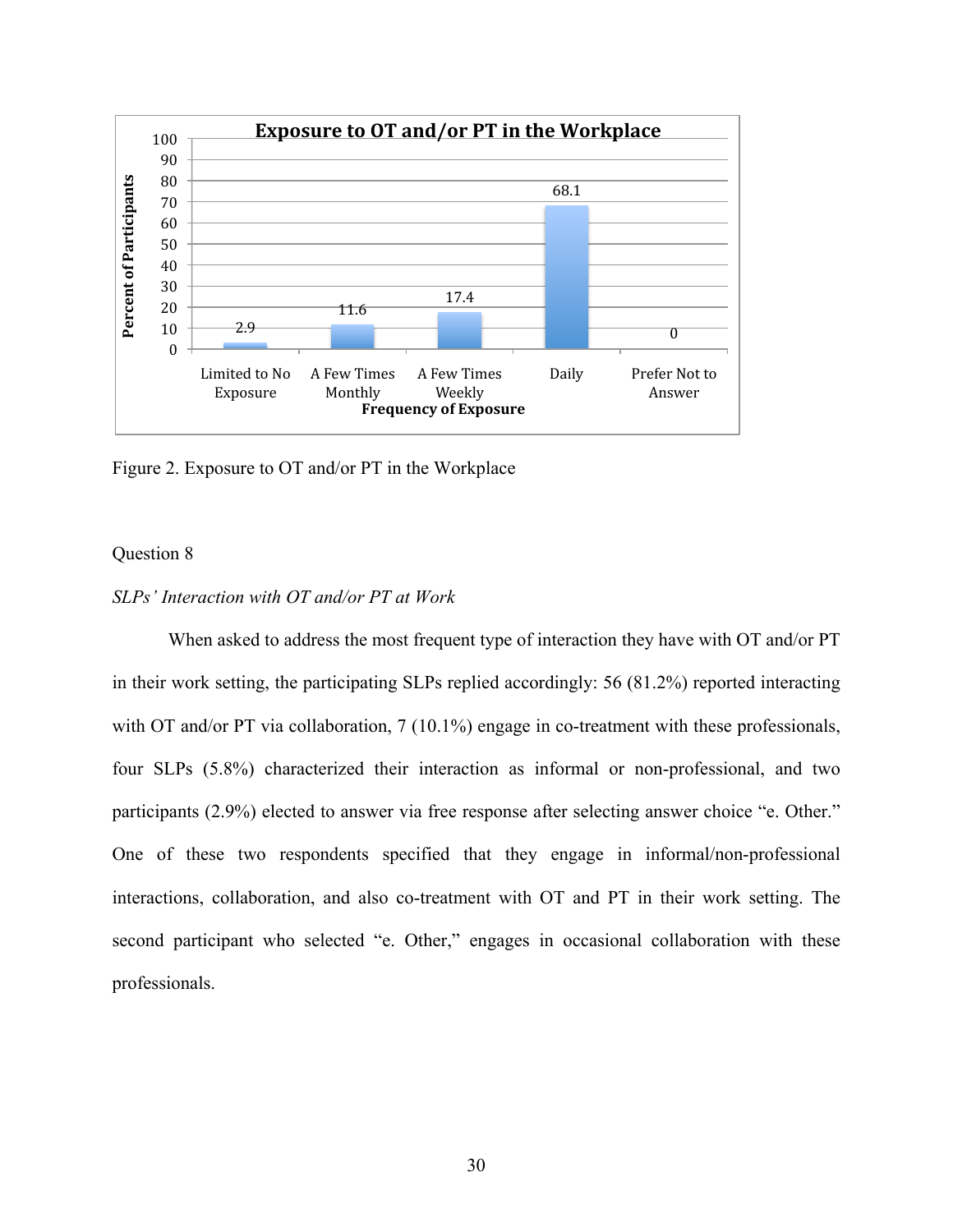

Figure 2. Exposure to OT and/or PT in the Workplace

#### *SLPs' Interaction with OT and/or PT at Work*

When asked to address the most frequent type of interaction they have with OT and/or PT in their work setting, the participating SLPs replied accordingly: 56 (81.2%) reported interacting with OT and/or PT via collaboration, 7 (10.1%) engage in co-treatment with these professionals, four SLPs (5.8%) characterized their interaction as informal or non-professional, and two participants (2.9%) elected to answer via free response after selecting answer choice "e. Other." One of these two respondents specified that they engage in informal/non-professional interactions, collaboration, and also co-treatment with OT and PT in their work setting. The second participant who selected "e. Other," engages in occasional collaboration with these professionals.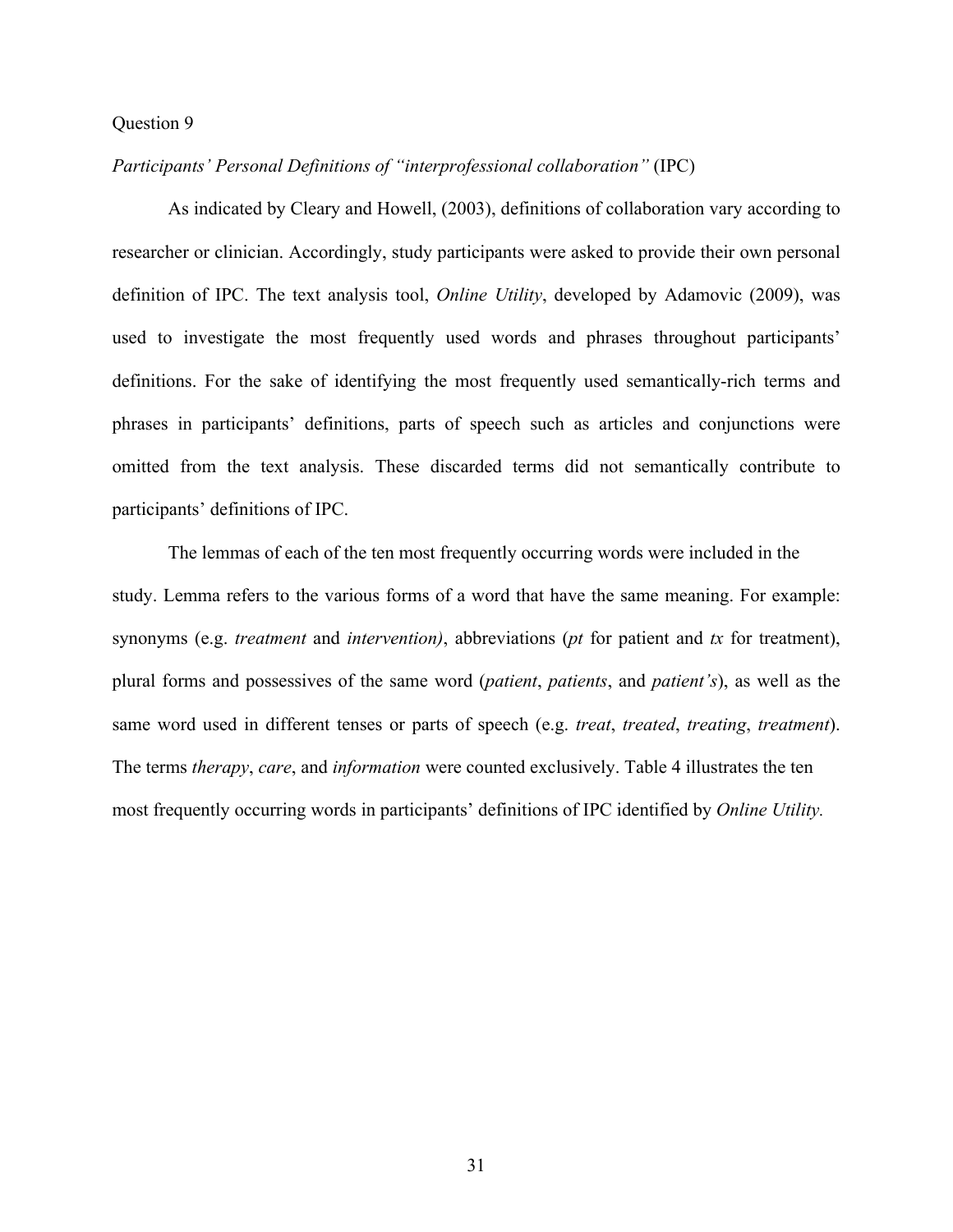## *Participants' Personal Definitions of "interprofessional collaboration"* (IPC)

As indicated by Cleary and Howell, (2003), definitions of collaboration vary according to researcher or clinician. Accordingly, study participants were asked to provide their own personal definition of IPC. The text analysis tool, *Online Utility*, developed by Adamovic (2009), was used to investigate the most frequently used words and phrases throughout participants' definitions. For the sake of identifying the most frequently used semantically-rich terms and phrases in participants' definitions, parts of speech such as articles and conjunctions were omitted from the text analysis. These discarded terms did not semantically contribute to participants' definitions of IPC.

The lemmas of each of the ten most frequently occurring words were included in the study. Lemma refers to the various forms of a word that have the same meaning. For example: synonyms (e.g. *treatment* and *intervention)*, abbreviations (*pt* for patient and *tx* for treatment), plural forms and possessives of the same word (*patient*, *patients*, and *patient's*), as well as the same word used in different tenses or parts of speech (e.g. *treat*, *treated*, *treating*, *treatment*). The terms *therapy*, *care*, and *information* were counted exclusively. Table 4 illustrates the ten most frequently occurring words in participants' definitions of IPC identified by *Online Utility.*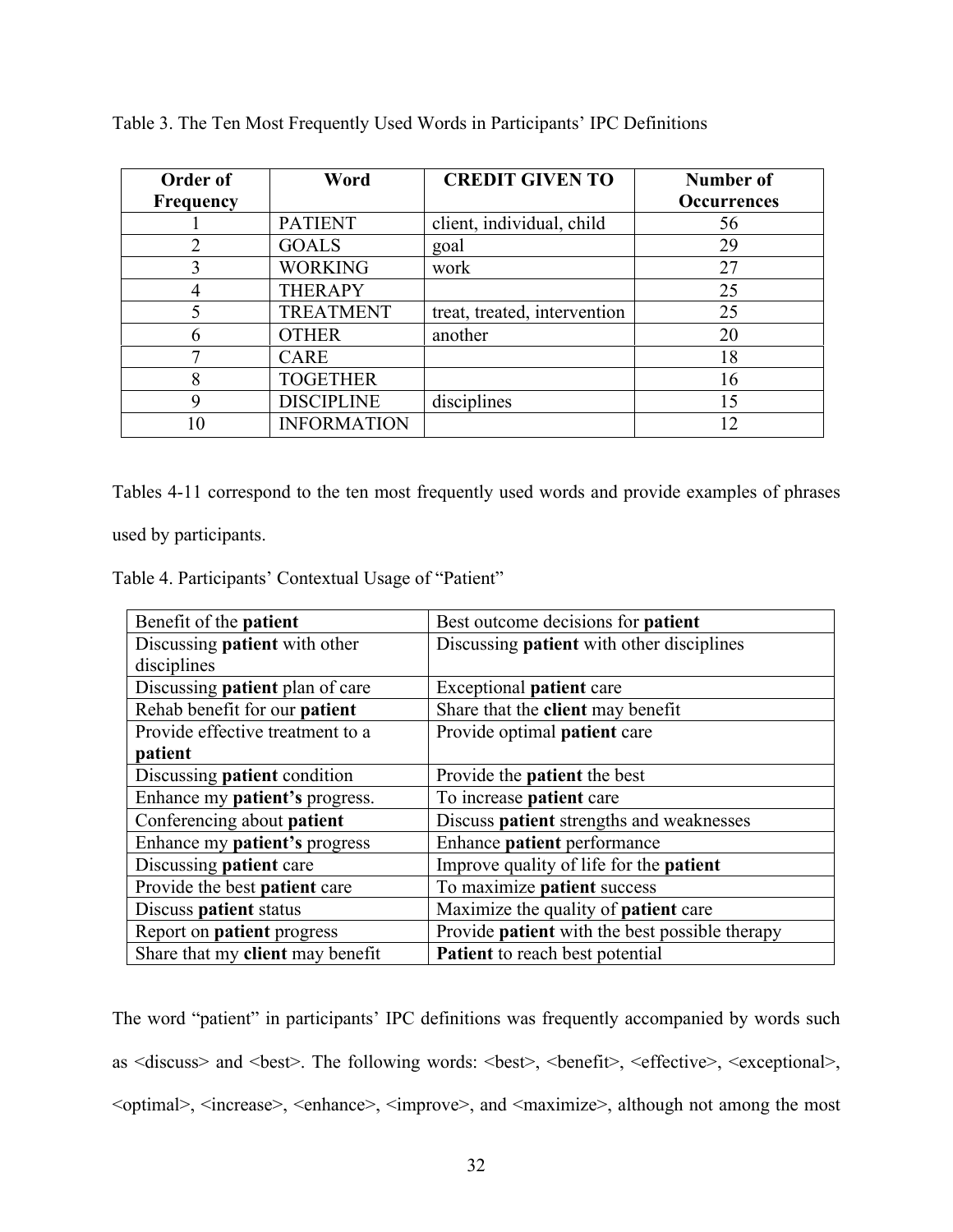| Order of         | Word               | <b>CREDIT GIVEN TO</b>       | Number of          |
|------------------|--------------------|------------------------------|--------------------|
| <b>Frequency</b> |                    |                              | <b>Occurrences</b> |
|                  | <b>PATIENT</b>     | client, individual, child    | 56                 |
| 2                | <b>GOALS</b>       | goal                         | 29                 |
|                  | <b>WORKING</b>     | work                         | 27                 |
|                  | <b>THERAPY</b>     |                              | 25                 |
|                  | <b>TREATMENT</b>   | treat, treated, intervention | 25                 |
| 6                | <b>OTHER</b>       | another                      | 20                 |
| ┑                | <b>CARE</b>        |                              | 18                 |
| 8                | <b>TOGETHER</b>    |                              | 16                 |
| 9                | <b>DISCIPLINE</b>  | disciplines                  | 15                 |
| 10               | <b>INFORMATION</b> |                              | 12                 |

Table 3. The Ten Most Frequently Used Words in Participants' IPC Definitions

Tables 4-11 correspond to the ten most frequently used words and provide examples of phrases

used by participants.

Table 4. Participants' Contextual Usage of "Patient"

| Benefit of the patient                 | Best outcome decisions for patient                    |
|----------------------------------------|-------------------------------------------------------|
| Discussing patient with other          | Discussing <b>patient</b> with other disciplines      |
| disciplines                            |                                                       |
| Discussing <b>patient</b> plan of care | Exceptional <b>patient</b> care                       |
| Rehab benefit for our patient          | Share that the client may benefit                     |
| Provide effective treatment to a       | Provide optimal patient care                          |
| patient                                |                                                       |
| Discussing <b>patient</b> condition    | Provide the <b>patient</b> the best                   |
| Enhance my patient's progress.         | To increase patient care                              |
| Conferencing about patient             | Discuss patient strengths and weaknesses              |
| Enhance my patient's progress          | Enhance patient performance                           |
| Discussing patient care                | Improve quality of life for the <b>patient</b>        |
| Provide the best patient care          | To maximize patient success                           |
| Discuss patient status                 | Maximize the quality of patient care                  |
| Report on <b>patient</b> progress      | Provide <b>patient</b> with the best possible therapy |
| Share that my client may benefit       | Patient to reach best potential                       |

The word "patient" in participants' IPC definitions was frequently accompanied by words such as <discuss> and <br/> <br/>est>. The following words: <br/> <br/>est>, <br/> <br/>effective>, <exceptional>, <optimal>, <increase>, <enhance>, <improve>, and <maximize>, although not among the most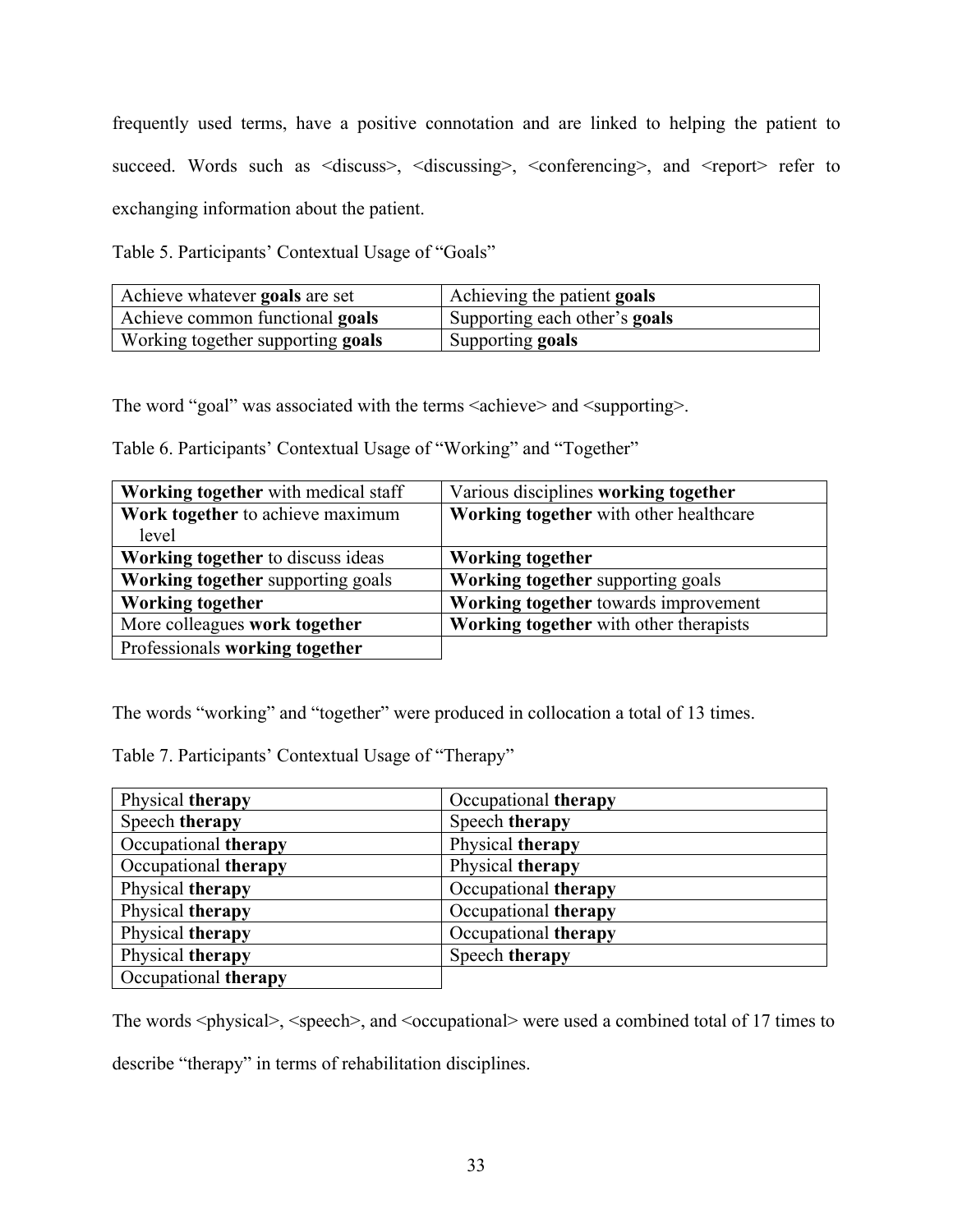frequently used terms, have a positive connotation and are linked to helping the patient to succeed. Words such as <discuss>, <discussing>, <conferencing>, and <report> refer to exchanging information about the patient.

Table 5. Participants' Contextual Usage of "Goals"

| Achieve whatever goals are set         | Achieving the patient goals          |
|----------------------------------------|--------------------------------------|
| Achieve common functional <b>goals</b> | Supporting each other's <b>goals</b> |
| Working together supporting goals      | Supporting <b>goals</b>              |

The word "goal" was associated with the terms <achieve> and <supporting>.

Table 6. Participants' Contextual Usage of "Working" and "Together"

| <b>Working together</b> with medical staff | Various disciplines working together     |
|--------------------------------------------|------------------------------------------|
| Work together to achieve maximum           | Working together with other healthcare   |
| level                                      |                                          |
| <b>Working together to discuss ideas</b>   | <b>Working together</b>                  |
| <b>Working together supporting goals</b>   | <b>Working together supporting goals</b> |
| <b>Working together</b>                    | Working together towards improvement     |
| More colleagues work together              | Working together with other therapists   |
| Professionals working together             |                                          |

The words "working" and "together" were produced in collocation a total of 13 times.

Table 7. Participants' Contextual Usage of "Therapy"

| Physical therapy     | Occupational therapy |
|----------------------|----------------------|
| Speech therapy       | Speech therapy       |
| Occupational therapy | Physical therapy     |
| Occupational therapy | Physical therapy     |
| Physical therapy     | Occupational therapy |
| Physical therapy     | Occupational therapy |
| Physical therapy     | Occupational therapy |
| Physical therapy     | Speech therapy       |
| Occupational therapy |                      |

The words <physical>, <speech>, and <occupational> were used a combined total of 17 times to

describe "therapy" in terms of rehabilitation disciplines.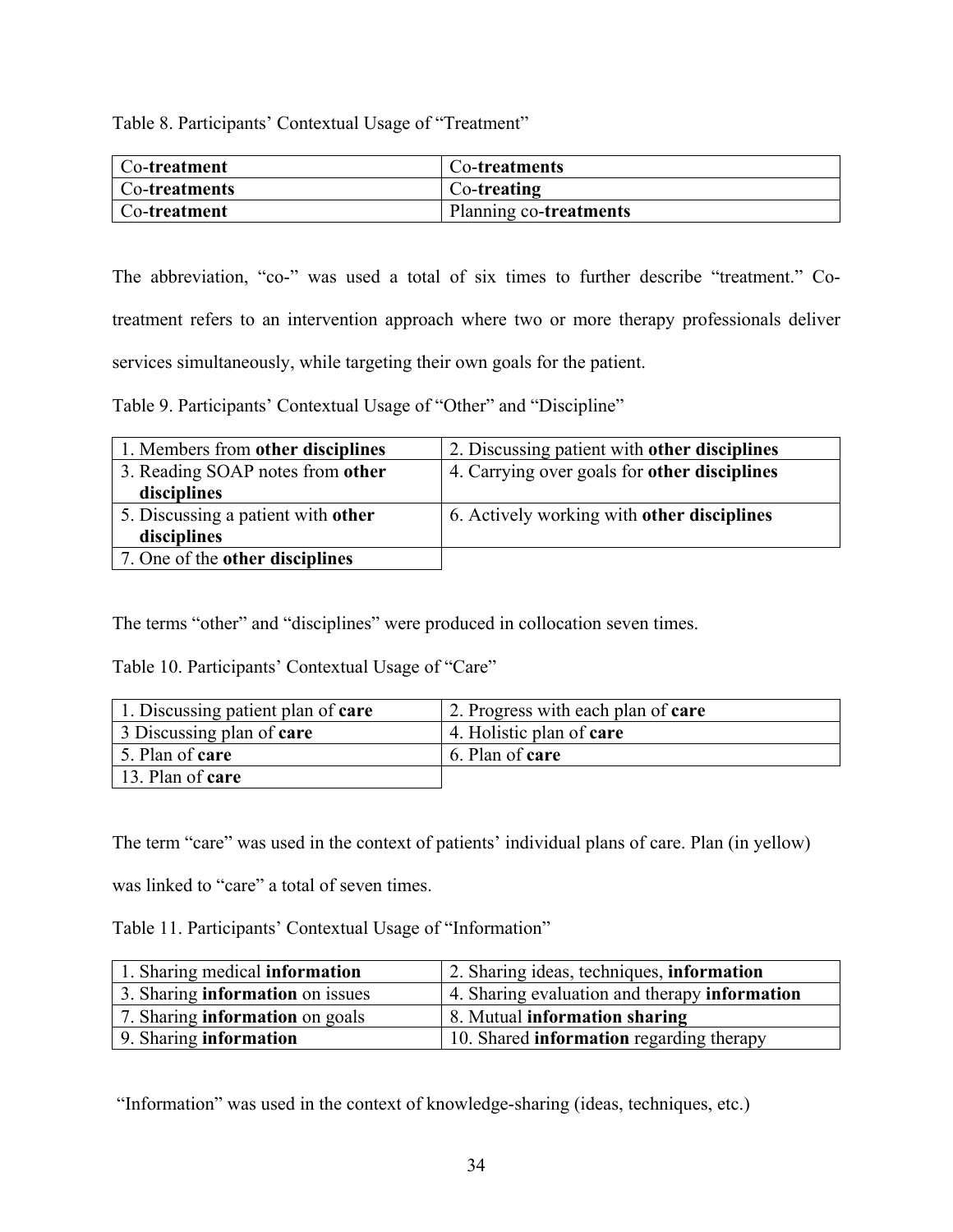Table 8. Participants' Contextual Usage of "Treatment"

| Co-treatment         | Co-treatments          |
|----------------------|------------------------|
| <b>Co-treatments</b> | Co-treating            |
| Co-treatment         | Planning co-treatments |

The abbreviation, "co-" was used a total of six times to further describe "treatment." Cotreatment refers to an intervention approach where two or more therapy professionals deliver services simultaneously, while targeting their own goals for the patient.

Table 9. Participants' Contextual Usage of "Other" and "Discipline"

| 1. Members from other disciplines  | 2. Discussing patient with other disciplines |
|------------------------------------|----------------------------------------------|
| 3. Reading SOAP notes from other   | 4. Carrying over goals for other disciplines |
| disciplines                        |                                              |
| 5. Discussing a patient with other | 6. Actively working with other disciplines   |
| disciplines                        |                                              |
| 7. One of the other disciplines    |                                              |

The terms "other" and "disciplines" were produced in collocation seven times.

Table 10. Participants' Contextual Usage of "Care"

| 1. Discussing patient plan of care | 2. Progress with each plan of <b>care</b> |
|------------------------------------|-------------------------------------------|
| 3 Discussing plan of <b>care</b>   | 4. Holistic plan of care                  |
| 5. Plan of <b>care</b>             | 6. Plan of <b>care</b>                    |
| 13. Plan of care                   |                                           |

The term "care" was used in the context of patients' individual plans of care. Plan (in yellow)

was linked to "care" a total of seven times.

Table 11. Participants' Contextual Usage of "Information"

| 1. Sharing medical information          | 2. Sharing ideas, techniques, <b>information</b> |
|-----------------------------------------|--------------------------------------------------|
| 3. Sharing <b>information</b> on issues | 4. Sharing evaluation and therapy information    |
| 7. Sharing <b>information</b> on goals  | 8. Mutual information sharing                    |
| 9. Sharing information                  | 10. Shared information regarding therapy         |

"Information" was used in the context of knowledge-sharing (ideas, techniques, etc.)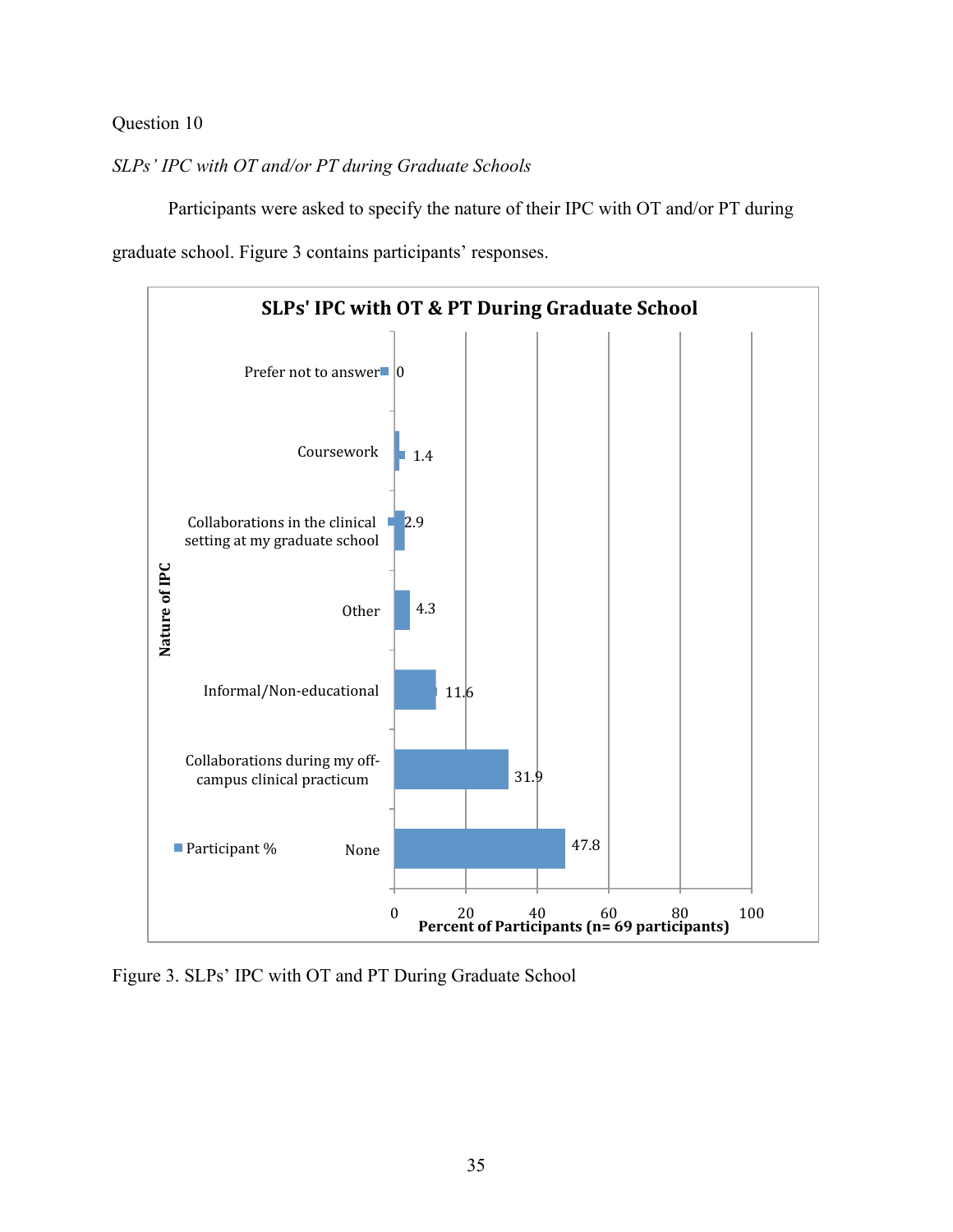# *SLPs' IPC with OT and/or PT during Graduate Schools*

Participants were asked to specify the nature of their IPC with OT and/or PT during graduate school. Figure 3 contains participants' responses.



Figure 3. SLPs' IPC with OT and PT During Graduate School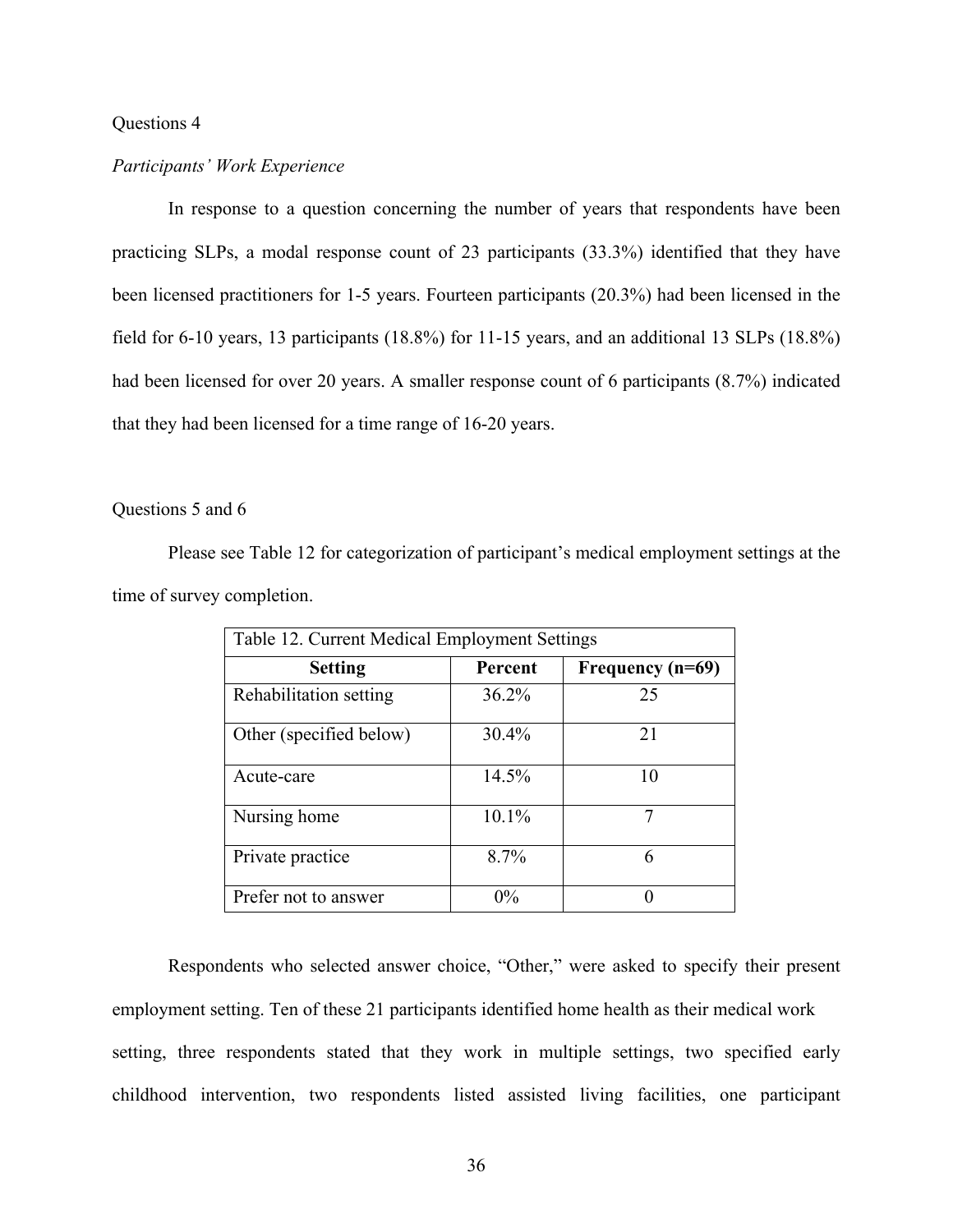#### *Participants' Work Experience*

In response to a question concerning the number of years that respondents have been practicing SLPs, a modal response count of 23 participants (33.3%) identified that they have been licensed practitioners for 1-5 years. Fourteen participants (20.3%) had been licensed in the field for 6-10 years, 13 participants (18.8%) for 11-15 years, and an additional 13 SLPs (18.8%) had been licensed for over 20 years. A smaller response count of 6 participants (8.7%) indicated that they had been licensed for a time range of 16-20 years.

#### Questions 5 and 6

Please see Table 12 for categorization of participant's medical employment settings at the time of survey completion.

| Table 12. Current Medical Employment Settings |         |                  |
|-----------------------------------------------|---------|------------------|
| <b>Setting</b>                                | Percent | Frequency (n=69) |
| Rehabilitation setting                        | 36.2%   | 25               |
| Other (specified below)                       | 30.4%   | 21               |
| Acute-care                                    | 14.5%   | 10               |
| Nursing home                                  | 10.1%   | 7                |
| Private practice                              | 8.7%    | 6                |
| Prefer not to answer                          | $0\%$   |                  |

Respondents who selected answer choice, "Other," were asked to specify their present employment setting. Ten of these 21 participants identified home health as their medical work setting, three respondents stated that they work in multiple settings, two specified early childhood intervention, two respondents listed assisted living facilities, one participant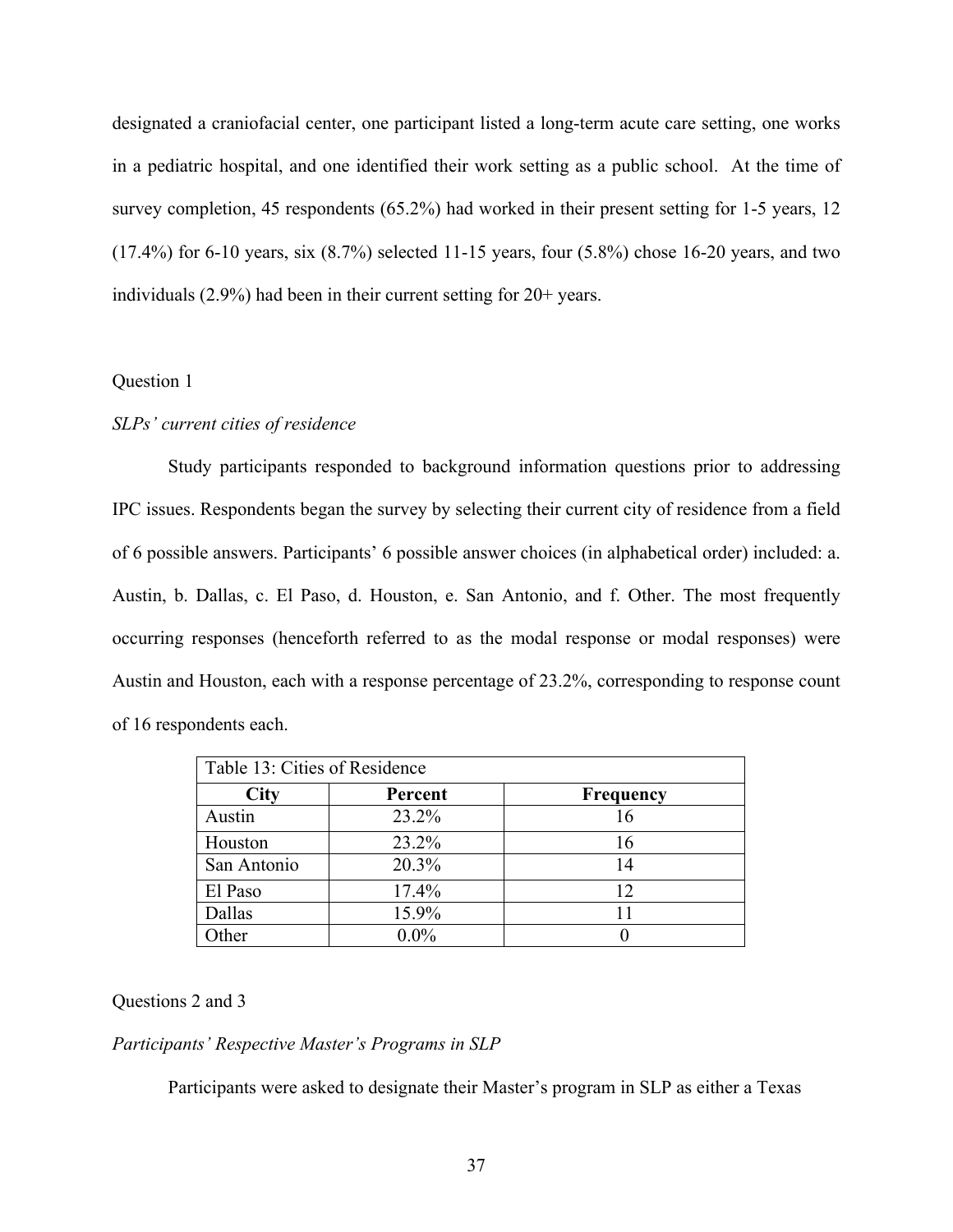designated a craniofacial center, one participant listed a long-term acute care setting, one works in a pediatric hospital, and one identified their work setting as a public school. At the time of survey completion, 45 respondents (65.2%) had worked in their present setting for 1-5 years, 12  $(17.4\%)$  for 6-10 years, six  $(8.7\%)$  selected 11-15 years, four  $(5.8\%)$  chose 16-20 years, and two individuals (2.9%) had been in their current setting for 20+ years.

#### Question 1

#### *SLPs' current cities of residence*

Study participants responded to background information questions prior to addressing IPC issues. Respondents began the survey by selecting their current city of residence from a field of 6 possible answers. Participants' 6 possible answer choices (in alphabetical order) included: a. Austin, b. Dallas, c. El Paso, d. Houston, e. San Antonio, and f. Other. The most frequently occurring responses (henceforth referred to as the modal response or modal responses) were Austin and Houston, each with a response percentage of 23.2%, corresponding to response count of 16 respondents each.

| Table 13: Cities of Residence |         |                  |  |
|-------------------------------|---------|------------------|--|
| City                          | Percent | <b>Frequency</b> |  |
| Austin                        | 23.2%   | 16               |  |
| Houston                       | 23.2%   | 16               |  |
| San Antonio                   | 20.3%   | 14               |  |
| El Paso                       | 17.4%   | 12               |  |
| Dallas                        | 15.9%   |                  |  |
| Other                         | $0.0\%$ |                  |  |

Questions 2 and 3

# *Participants' Respective Master's Programs in SLP*

Participants were asked to designate their Master's program in SLP as either a Texas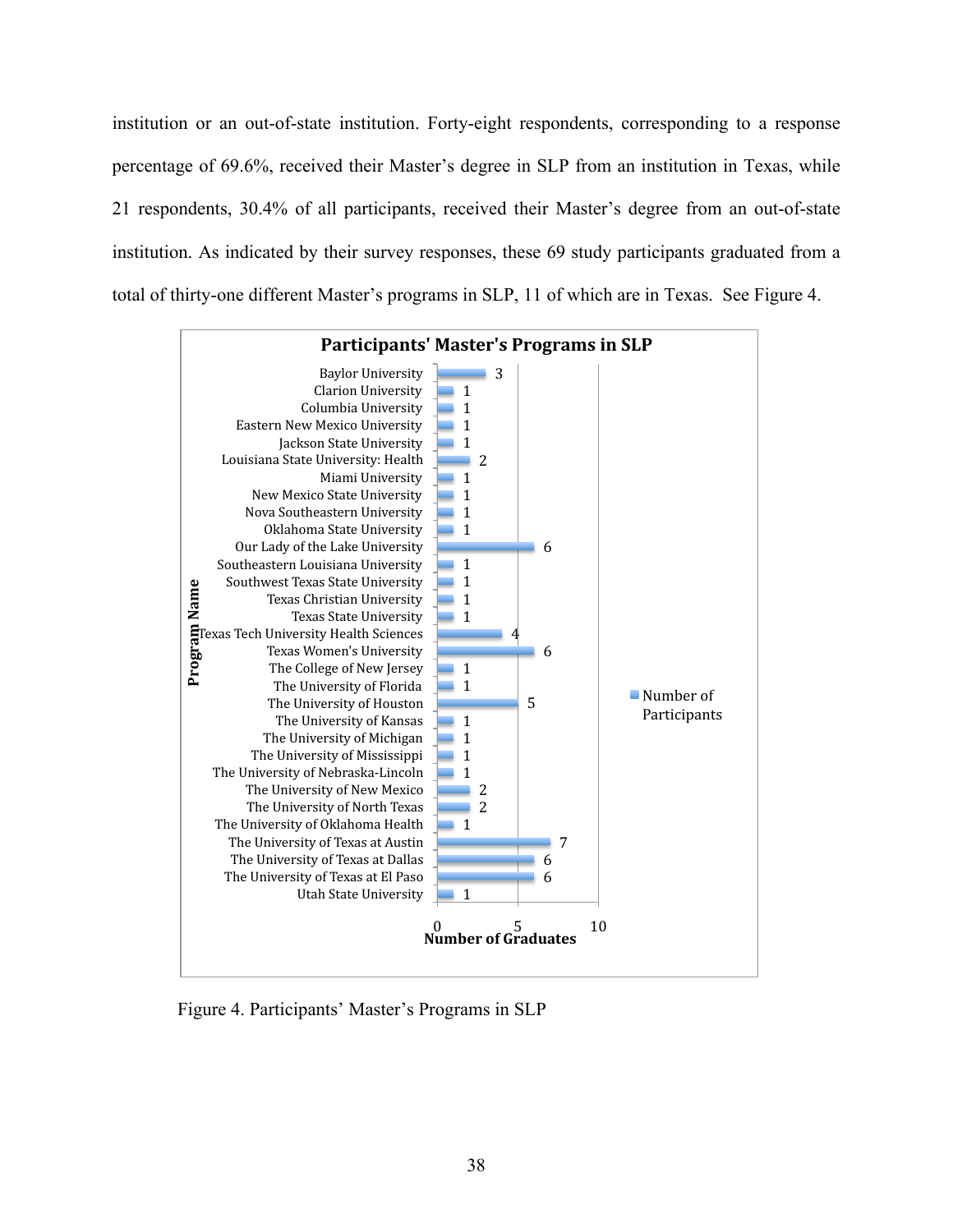institution or an out-of-state institution. Forty-eight respondents, corresponding to a response percentage of 69.6%, received their Master's degree in SLP from an institution in Texas, while 21 respondents, 30.4% of all participants, received their Master's degree from an out-of-state institution. As indicated by their survey responses, these 69 study participants graduated from a total of thirty-one different Master's programs in SLP, 11 of which are in Texas. See Figure 4.



Figure 4. Participants' Master's Programs in SLP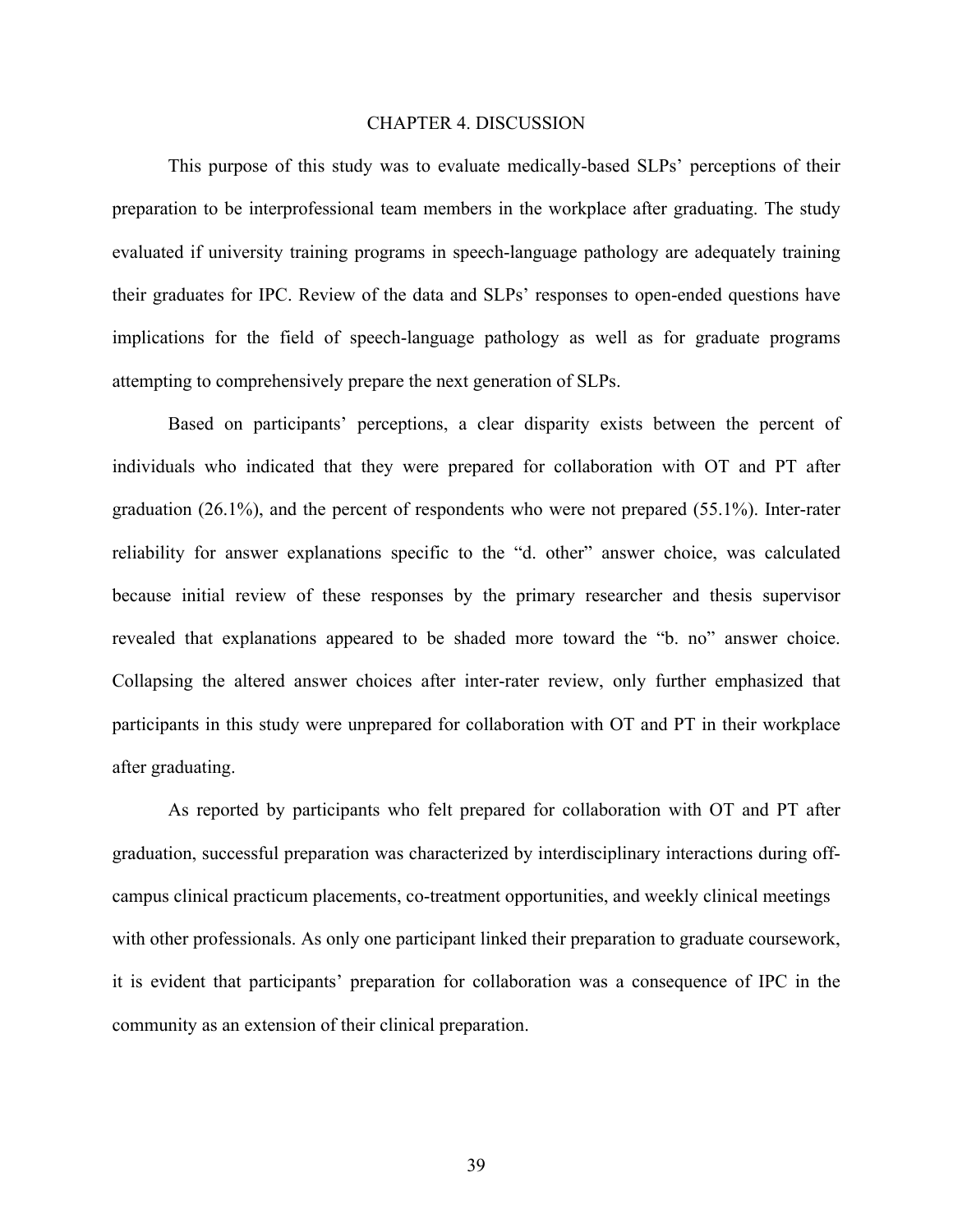#### CHAPTER 4. DISCUSSION

This purpose of this study was to evaluate medically-based SLPs' perceptions of their preparation to be interprofessional team members in the workplace after graduating. The study evaluated if university training programs in speech-language pathology are adequately training their graduates for IPC. Review of the data and SLPs' responses to open-ended questions have implications for the field of speech-language pathology as well as for graduate programs attempting to comprehensively prepare the next generation of SLPs.

Based on participants' perceptions, a clear disparity exists between the percent of individuals who indicated that they were prepared for collaboration with OT and PT after graduation (26.1%), and the percent of respondents who were not prepared (55.1%). Inter-rater reliability for answer explanations specific to the "d. other" answer choice, was calculated because initial review of these responses by the primary researcher and thesis supervisor revealed that explanations appeared to be shaded more toward the "b. no" answer choice. Collapsing the altered answer choices after inter-rater review, only further emphasized that participants in this study were unprepared for collaboration with OT and PT in their workplace after graduating.

As reported by participants who felt prepared for collaboration with OT and PT after graduation, successful preparation was characterized by interdisciplinary interactions during offcampus clinical practicum placements, co-treatment opportunities, and weekly clinical meetings with other professionals. As only one participant linked their preparation to graduate coursework, it is evident that participants' preparation for collaboration was a consequence of IPC in the community as an extension of their clinical preparation.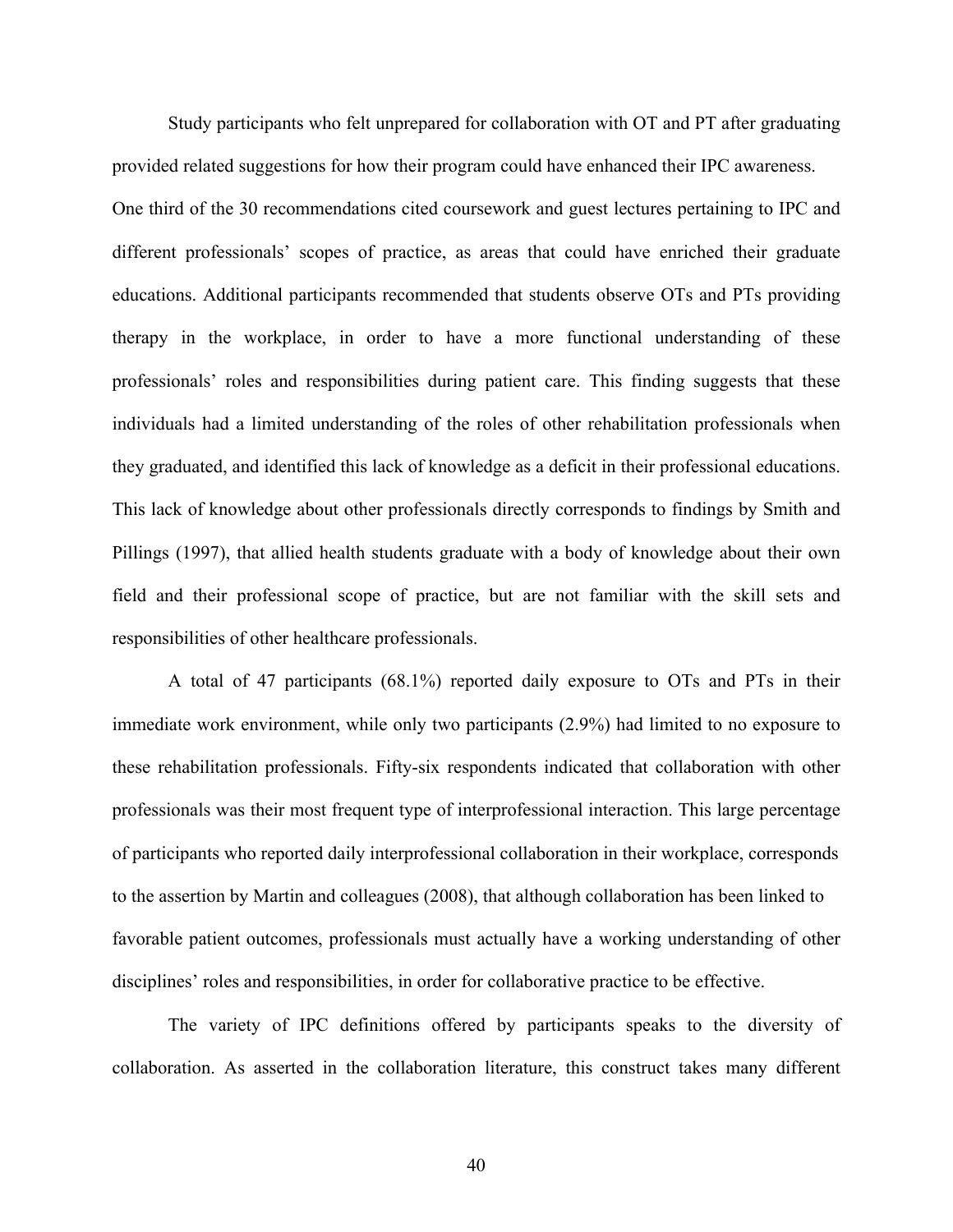Study participants who felt unprepared for collaboration with OT and PT after graduating provided related suggestions for how their program could have enhanced their IPC awareness. One third of the 30 recommendations cited coursework and guest lectures pertaining to IPC and different professionals' scopes of practice, as areas that could have enriched their graduate educations. Additional participants recommended that students observe OTs and PTs providing therapy in the workplace, in order to have a more functional understanding of these professionals' roles and responsibilities during patient care. This finding suggests that these individuals had a limited understanding of the roles of other rehabilitation professionals when they graduated, and identified this lack of knowledge as a deficit in their professional educations. This lack of knowledge about other professionals directly corresponds to findings by Smith and Pillings (1997), that allied health students graduate with a body of knowledge about their own field and their professional scope of practice, but are not familiar with the skill sets and responsibilities of other healthcare professionals.

A total of 47 participants (68.1%) reported daily exposure to OTs and PTs in their immediate work environment, while only two participants (2.9%) had limited to no exposure to these rehabilitation professionals. Fifty-six respondents indicated that collaboration with other professionals was their most frequent type of interprofessional interaction. This large percentage of participants who reported daily interprofessional collaboration in their workplace, corresponds to the assertion by Martin and colleagues (2008), that although collaboration has been linked to favorable patient outcomes, professionals must actually have a working understanding of other disciplines' roles and responsibilities, in order for collaborative practice to be effective.

The variety of IPC definitions offered by participants speaks to the diversity of collaboration. As asserted in the collaboration literature, this construct takes many different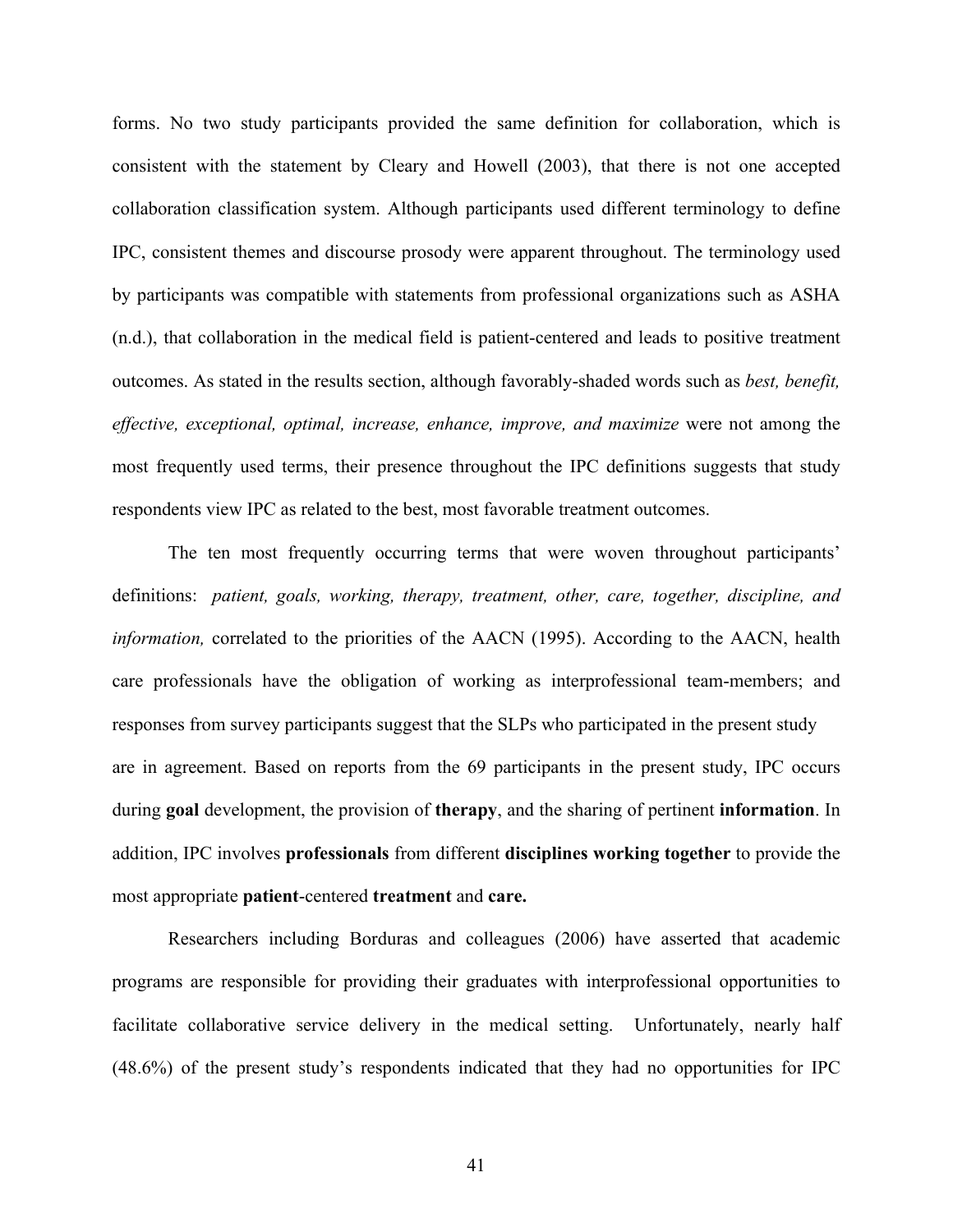forms. No two study participants provided the same definition for collaboration, which is consistent with the statement by Cleary and Howell (2003), that there is not one accepted collaboration classification system. Although participants used different terminology to define IPC, consistent themes and discourse prosody were apparent throughout. The terminology used by participants was compatible with statements from professional organizations such as ASHA (n.d.), that collaboration in the medical field is patient-centered and leads to positive treatment outcomes. As stated in the results section, although favorably-shaded words such as *best, benefit, effective, exceptional, optimal, increase, enhance, improve, and maximize* were not among the most frequently used terms, their presence throughout the IPC definitions suggests that study respondents view IPC as related to the best, most favorable treatment outcomes.

The ten most frequently occurring terms that were woven throughout participants' definitions: *patient, goals, working, therapy, treatment, other, care, together, discipline, and information,* correlated to the priorities of the AACN (1995). According to the AACN, health care professionals have the obligation of working as interprofessional team-members; and responses from survey participants suggest that the SLPs who participated in the present study are in agreement. Based on reports from the 69 participants in the present study, IPC occurs during **goal** development, the provision of **therapy**, and the sharing of pertinent **information**. In addition, IPC involves **professionals** from different **disciplines working together** to provide the most appropriate **patient**-centered **treatment** and **care.**

Researchers including Borduras and colleagues (2006) have asserted that academic programs are responsible for providing their graduates with interprofessional opportunities to facilitate collaborative service delivery in the medical setting. Unfortunately, nearly half (48.6%) of the present study's respondents indicated that they had no opportunities for IPC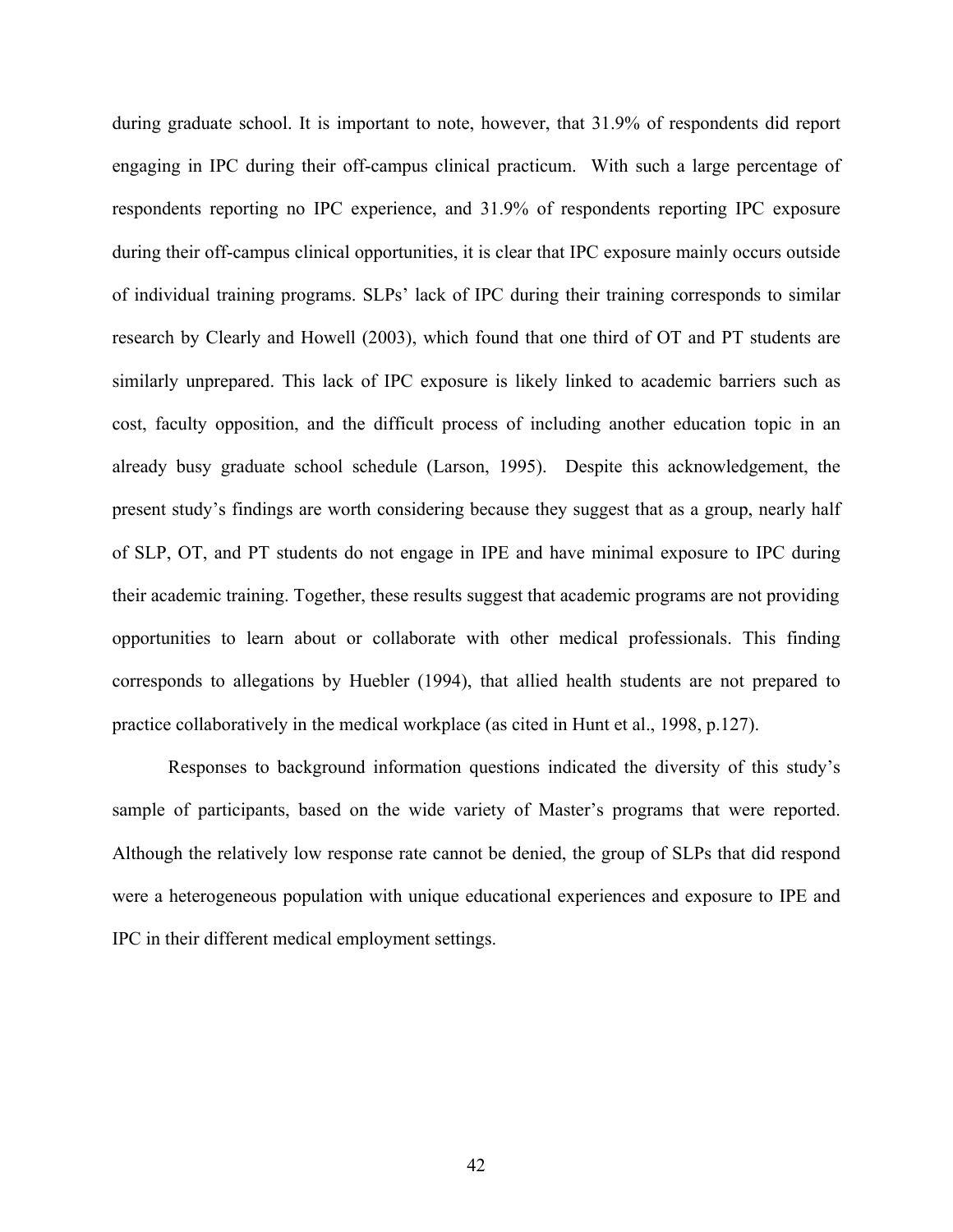during graduate school. It is important to note, however, that 31.9% of respondents did report engaging in IPC during their off-campus clinical practicum. With such a large percentage of respondents reporting no IPC experience, and 31.9% of respondents reporting IPC exposure during their off-campus clinical opportunities, it is clear that IPC exposure mainly occurs outside of individual training programs. SLPs' lack of IPC during their training corresponds to similar research by Clearly and Howell (2003), which found that one third of OT and PT students are similarly unprepared. This lack of IPC exposure is likely linked to academic barriers such as cost, faculty opposition, and the difficult process of including another education topic in an already busy graduate school schedule (Larson, 1995). Despite this acknowledgement, the present study's findings are worth considering because they suggest that as a group, nearly half of SLP, OT, and PT students do not engage in IPE and have minimal exposure to IPC during their academic training. Together, these results suggest that academic programs are not providing opportunities to learn about or collaborate with other medical professionals. This finding corresponds to allegations by Huebler (1994), that allied health students are not prepared to practice collaboratively in the medical workplace (as cited in Hunt et al., 1998, p.127).

Responses to background information questions indicated the diversity of this study's sample of participants, based on the wide variety of Master's programs that were reported. Although the relatively low response rate cannot be denied, the group of SLPs that did respond were a heterogeneous population with unique educational experiences and exposure to IPE and IPC in their different medical employment settings.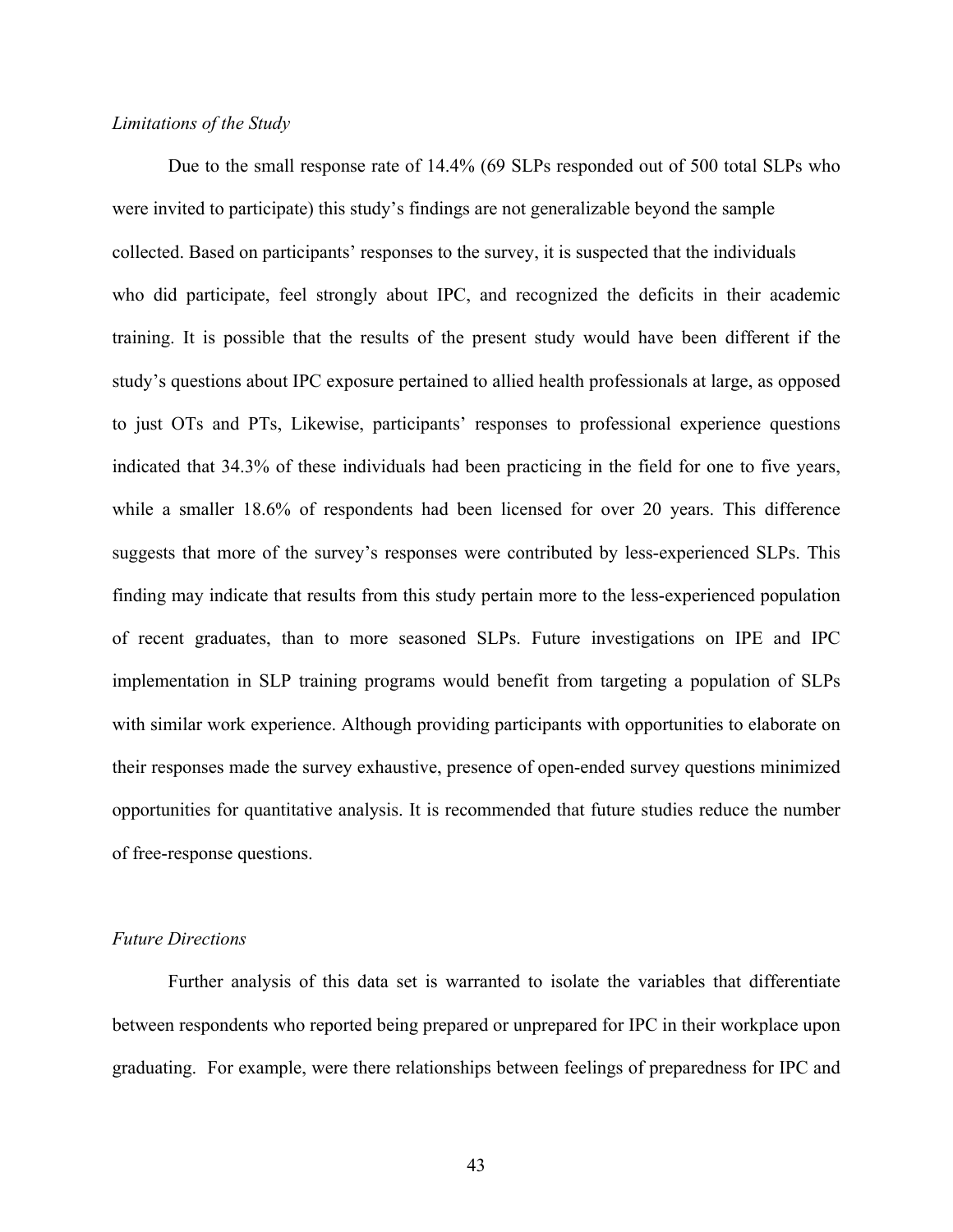# *Limitations of the Study*

Due to the small response rate of 14.4% (69 SLPs responded out of 500 total SLPs who were invited to participate) this study's findings are not generalizable beyond the sample collected. Based on participants' responses to the survey, it is suspected that the individuals who did participate, feel strongly about IPC, and recognized the deficits in their academic training. It is possible that the results of the present study would have been different if the study's questions about IPC exposure pertained to allied health professionals at large, as opposed to just OTs and PTs, Likewise, participants' responses to professional experience questions indicated that 34.3% of these individuals had been practicing in the field for one to five years, while a smaller 18.6% of respondents had been licensed for over 20 years. This difference suggests that more of the survey's responses were contributed by less-experienced SLPs. This finding may indicate that results from this study pertain more to the less-experienced population of recent graduates, than to more seasoned SLPs. Future investigations on IPE and IPC implementation in SLP training programs would benefit from targeting a population of SLPs with similar work experience. Although providing participants with opportunities to elaborate on their responses made the survey exhaustive, presence of open-ended survey questions minimized opportunities for quantitative analysis. It is recommended that future studies reduce the number of free-response questions.

#### *Future Directions*

Further analysis of this data set is warranted to isolate the variables that differentiate between respondents who reported being prepared or unprepared for IPC in their workplace upon graduating. For example, were there relationships between feelings of preparedness for IPC and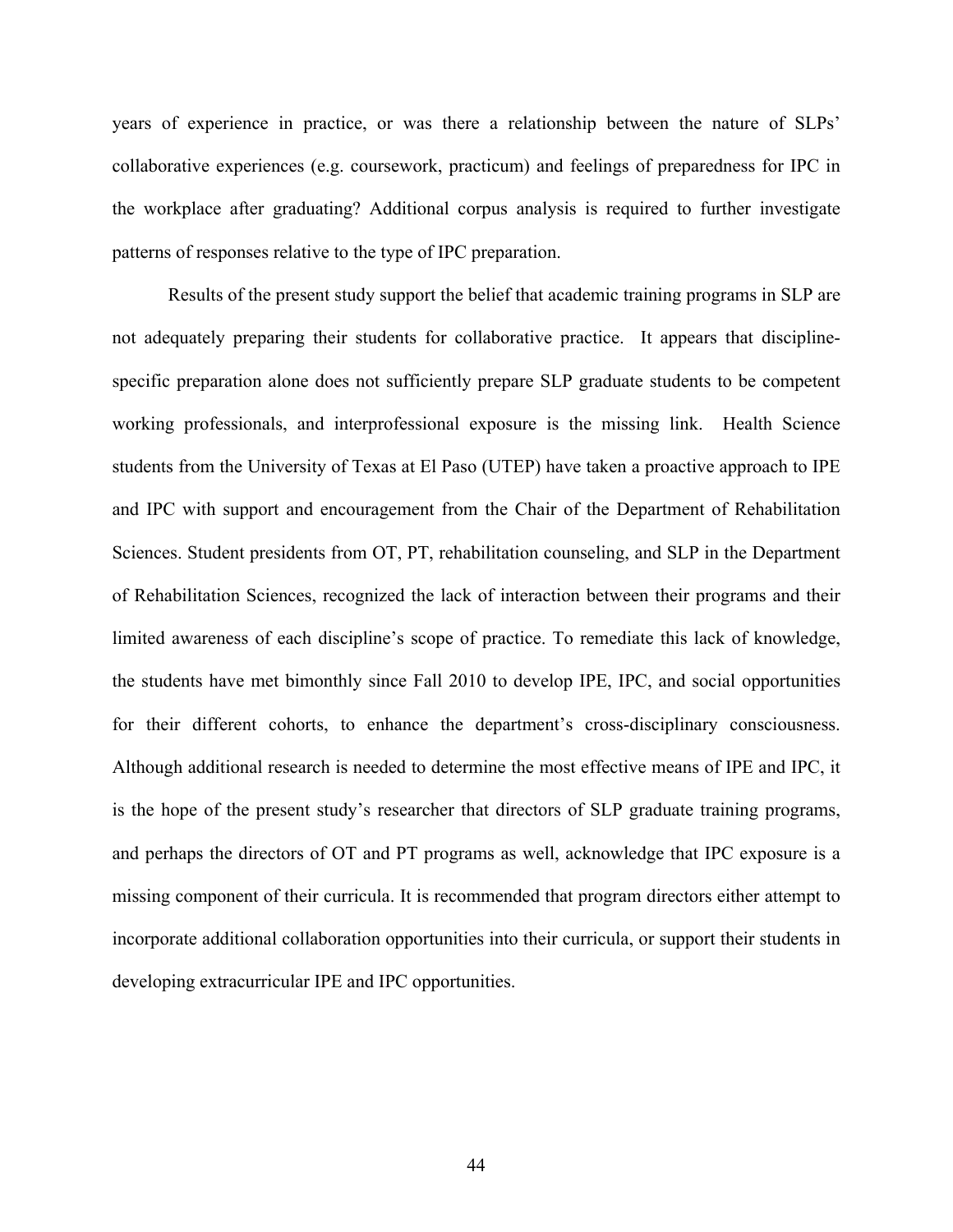years of experience in practice, or was there a relationship between the nature of SLPs' collaborative experiences (e.g. coursework, practicum) and feelings of preparedness for IPC in the workplace after graduating? Additional corpus analysis is required to further investigate patterns of responses relative to the type of IPC preparation.

Results of the present study support the belief that academic training programs in SLP are not adequately preparing their students for collaborative practice. It appears that disciplinespecific preparation alone does not sufficiently prepare SLP graduate students to be competent working professionals, and interprofessional exposure is the missing link. Health Science students from the University of Texas at El Paso (UTEP) have taken a proactive approach to IPE and IPC with support and encouragement from the Chair of the Department of Rehabilitation Sciences. Student presidents from OT, PT, rehabilitation counseling, and SLP in the Department of Rehabilitation Sciences, recognized the lack of interaction between their programs and their limited awareness of each discipline's scope of practice. To remediate this lack of knowledge, the students have met bimonthly since Fall 2010 to develop IPE, IPC, and social opportunities for their different cohorts, to enhance the department's cross-disciplinary consciousness. Although additional research is needed to determine the most effective means of IPE and IPC, it is the hope of the present study's researcher that directors of SLP graduate training programs, and perhaps the directors of OT and PT programs as well, acknowledge that IPC exposure is a missing component of their curricula. It is recommended that program directors either attempt to incorporate additional collaboration opportunities into their curricula, or support their students in developing extracurricular IPE and IPC opportunities.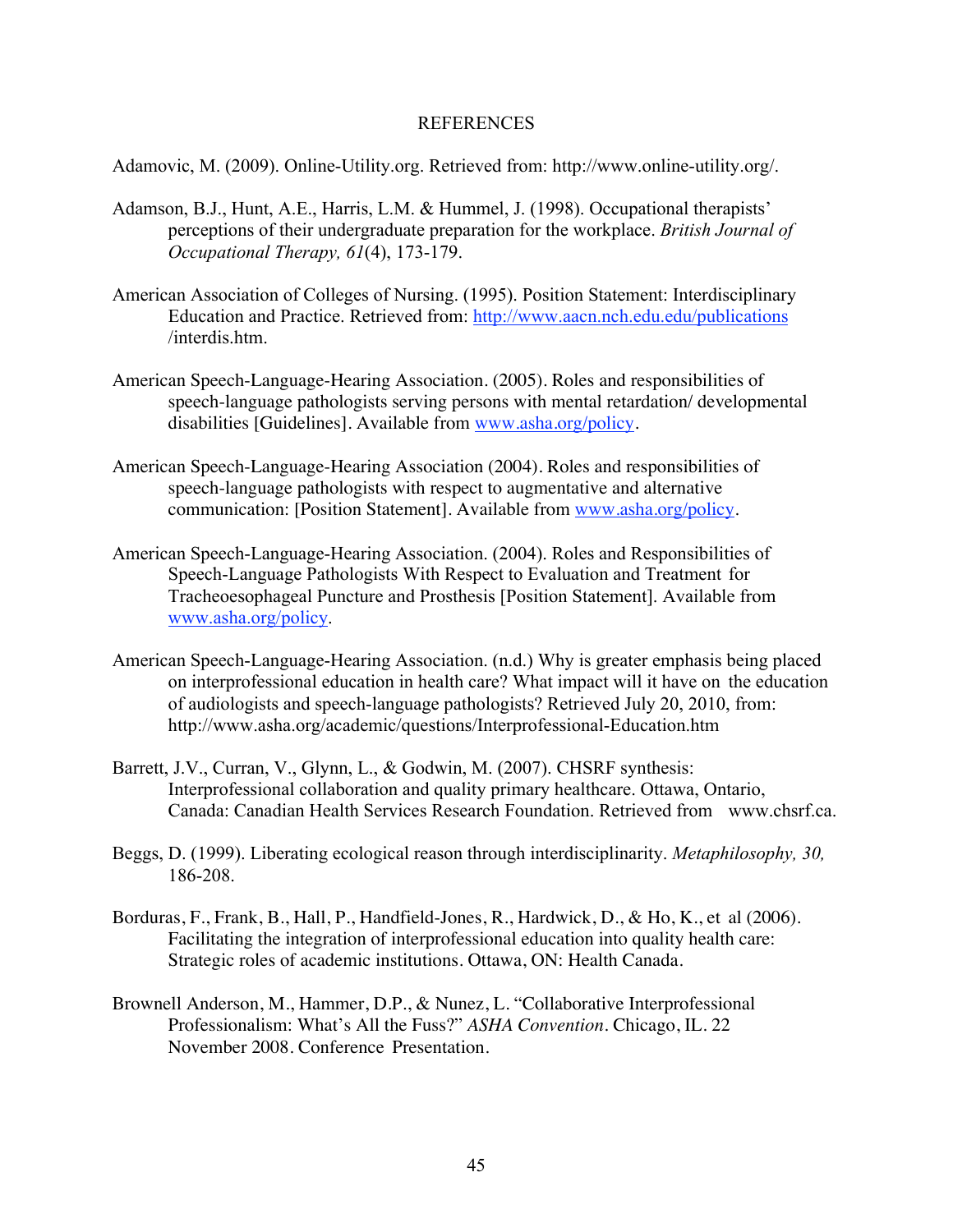#### REFERENCES

Adamovic, M. (2009). Online-Utility.org. Retrieved from: http://www.online-utility.org/.

- Adamson, B.J., Hunt, A.E., Harris, L.M. & Hummel, J. (1998). Occupational therapists' perceptions of their undergraduate preparation for the workplace. *British Journal of Occupational Therapy, 61*(4), 173-179.
- American Association of Colleges of Nursing. (1995). Position Statement: Interdisciplinary Education and Practice. Retrieved from: http://www.aacn.nch.edu.edu/publications /interdis.htm.
- American Speech-Language-Hearing Association. (2005). Roles and responsibilities of speech-language pathologists serving persons with mental retardation/ developmental disabilities [Guidelines]. Available from www.asha.org/policy.
- American Speech-Language-Hearing Association (2004). Roles and responsibilities of speech-language pathologists with respect to augmentative and alternative communication: [Position Statement]. Available from www.asha.org/policy.
- American Speech-Language-Hearing Association. (2004). Roles and Responsibilities of Speech-Language Pathologists With Respect to Evaluation and Treatment for Tracheoesophageal Puncture and Prosthesis [Position Statement]. Available from www.asha.org/policy.
- American Speech-Language-Hearing Association. (n.d.) Why is greater emphasis being placed on interprofessional education in health care? What impact will it have on the education of audiologists and speech-language pathologists? Retrieved July 20, 2010, from: http://www.asha.org/academic/questions/Interprofessional-Education.htm
- Barrett, J.V., Curran, V., Glynn, L., & Godwin, M. (2007). CHSRF synthesis: Interprofessional collaboration and quality primary healthcare. Ottawa, Ontario, Canada: Canadian Health Services Research Foundation. Retrieved from www.chsrf.ca.
- Beggs, D. (1999). Liberating ecological reason through interdisciplinarity. *Metaphilosophy, 30,*  186-208.
- Borduras, F., Frank, B., Hall, P., Handfield-Jones, R., Hardwick, D., & Ho, K., et al (2006). Facilitating the integration of interprofessional education into quality health care: Strategic roles of academic institutions. Ottawa, ON: Health Canada.
- Brownell Anderson, M., Hammer, D.P., & Nunez, L. "Collaborative Interprofessional Professionalism: What's All the Fuss?" *ASHA Convention.* Chicago, IL. 22 November 2008. Conference Presentation.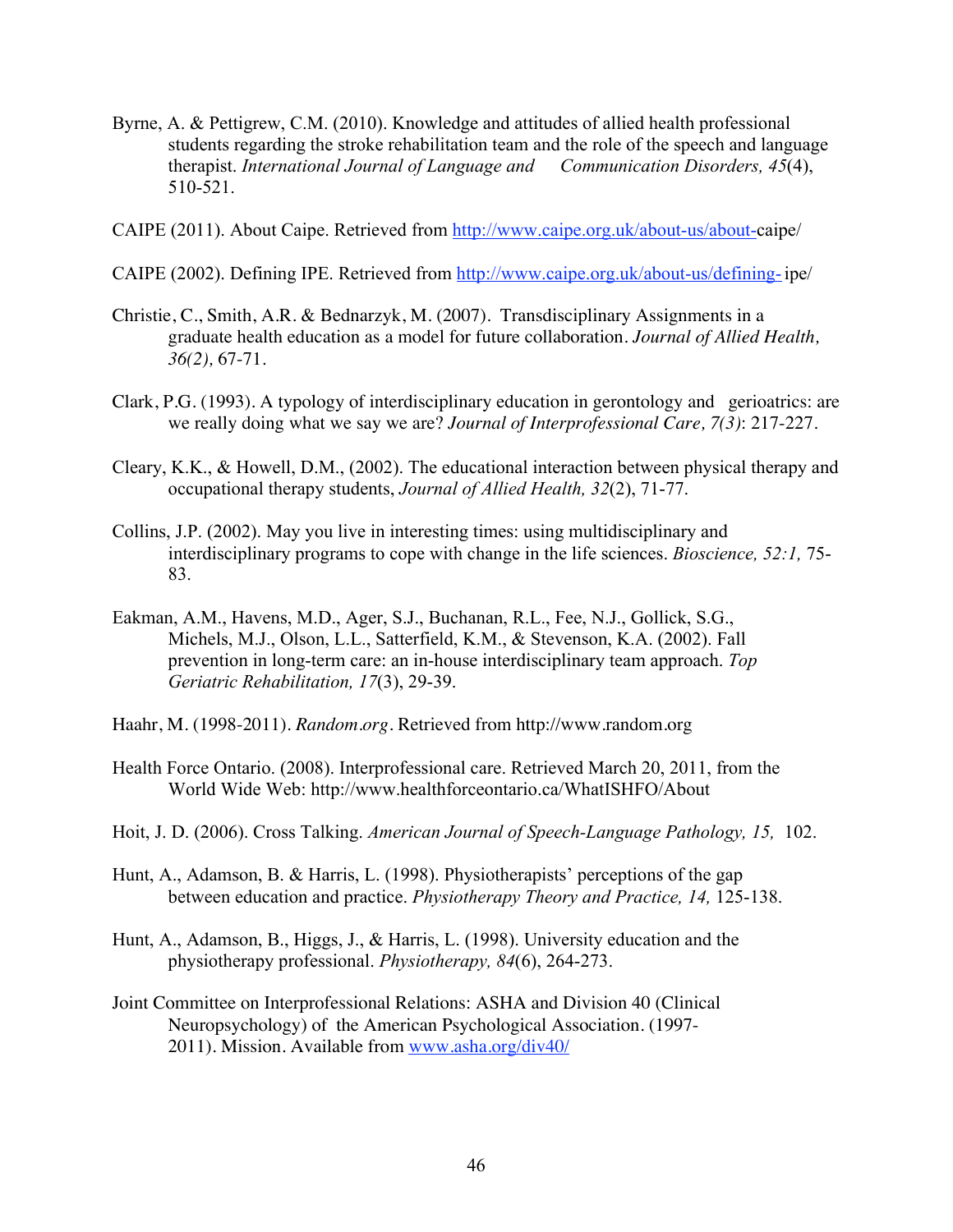- Byrne, A. & Pettigrew, C.M. (2010). Knowledge and attitudes of allied health professional students regarding the stroke rehabilitation team and the role of the speech and language therapist. *International Journal of Language and Communication Disorders, 45*(4), 510-521.
- CAIPE (2011). About Caipe. Retrieved from http://www.caipe.org.uk/about-us/about-caipe/
- CAIPE (2002). Defining IPE. Retrieved from http://www.caipe.org.uk/about-us/defining-ipe/
- Christie, C., Smith, A.R. & Bednarzyk, M. (2007). Transdisciplinary Assignments in a graduate health education as a model for future collaboration. *Journal of Allied Health, 36(2),* 67-71.
- Clark, P.G. (1993). A typology of interdisciplinary education in gerontology and gerioatrics: are we really doing what we say we are? *Journal of Interprofessional Care, 7(3)*: 217-227.
- Cleary, K.K., & Howell, D.M., (2002). The educational interaction between physical therapy and occupational therapy students, *Journal of Allied Health, 32*(2), 71-77.
- Collins, J.P. (2002). May you live in interesting times: using multidisciplinary and interdisciplinary programs to cope with change in the life sciences. *Bioscience, 52:1,* 75- 83.
- Eakman, A.M., Havens, M.D., Ager, S.J., Buchanan, R.L., Fee, N.J., Gollick, S.G., Michels, M.J., Olson, L.L., Satterfield, K.M., & Stevenson, K.A. (2002). Fall prevention in long-term care: an in-house interdisciplinary team approach. *Top Geriatric Rehabilitation, 17*(3), 29-39.
- Haahr, M. (1998-2011). *Random.org.* Retrieved from http://www.random.org
- Health Force Ontario. (2008). Interprofessional care. Retrieved March 20, 2011, from the World Wide Web: http://www.healthforceontario.ca/WhatISHFO/About
- Hoit, J. D. (2006). Cross Talking. *American Journal of Speech-Language Pathology, 15,* 102.
- Hunt, A., Adamson, B. & Harris, L. (1998). Physiotherapists' perceptions of the gap between education and practice. *Physiotherapy Theory and Practice, 14,* 125-138.
- Hunt, A., Adamson, B., Higgs, J., & Harris, L. (1998). University education and the physiotherapy professional. *Physiotherapy, 84*(6), 264-273.
- Joint Committee on Interprofessional Relations: ASHA and Division 40 (Clinical Neuropsychology) of the American Psychological Association. (1997- 2011). Mission. Available from www.asha.org/div40/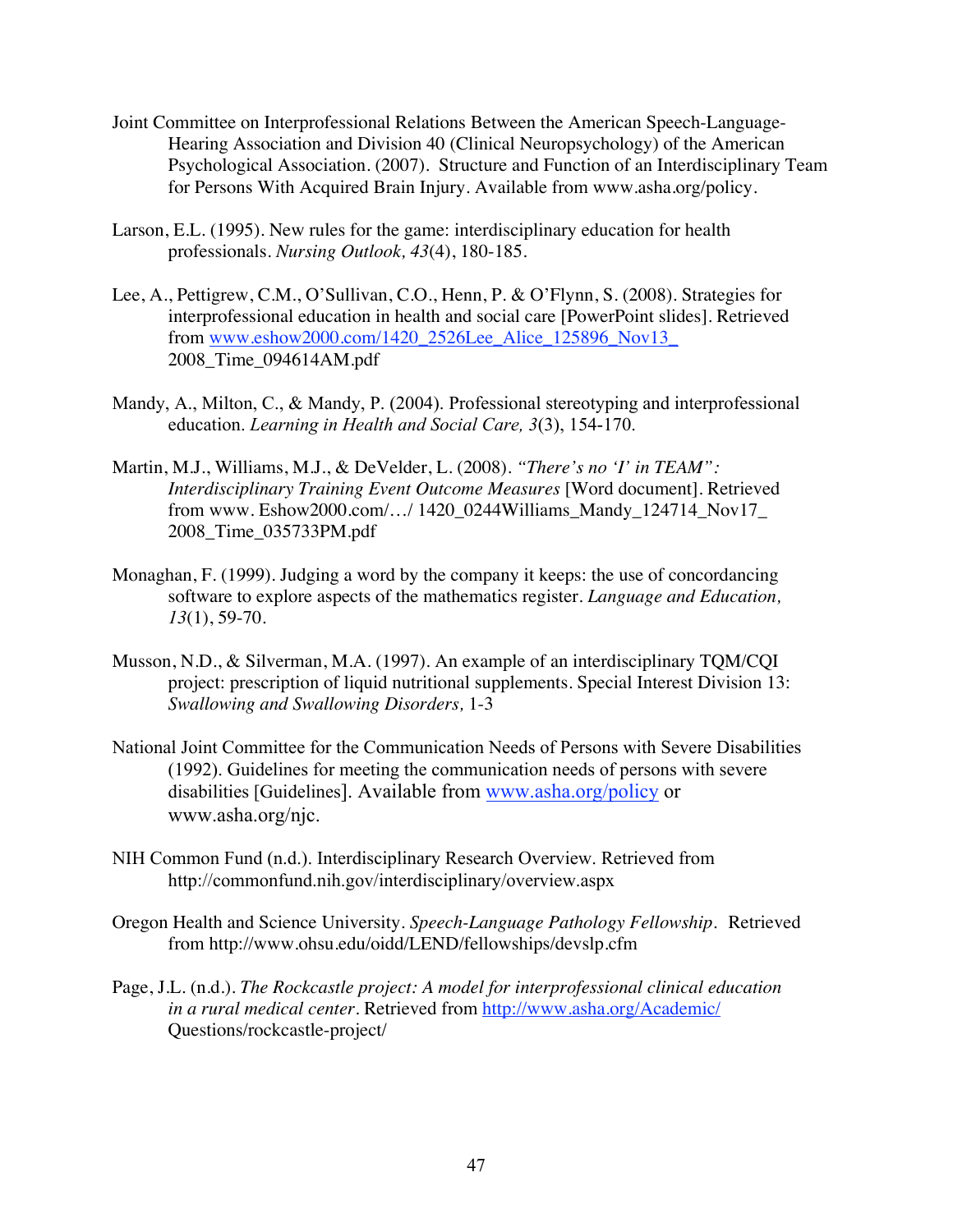- Joint Committee on Interprofessional Relations Between the American Speech-Language-Hearing Association and Division 40 (Clinical Neuropsychology) of the American Psychological Association. (2007). Structure and Function of an Interdisciplinary Team for Persons With Acquired Brain Injury. Available from www.asha.org/policy.
- Larson, E.L. (1995). New rules for the game: interdisciplinary education for health professionals. *Nursing Outlook, 43*(4), 180-185.
- Lee, A., Pettigrew, C.M., O'Sullivan, C.O., Henn, P. & O'Flynn, S. (2008). Strategies for interprofessional education in health and social care [PowerPoint slides]. Retrieved from www.eshow2000.com/1420\_2526Lee\_Alice\_125896\_Nov13\_ 2008\_Time\_094614AM.pdf
- Mandy, A., Milton, C., & Mandy, P. (2004). Professional stereotyping and interprofessional education. *Learning in Health and Social Care, 3*(3), 154-170.
- Martin, M.J., Williams, M.J., & DeVelder, L. (2008). *"There's no 'I' in TEAM": Interdisciplinary Training Event Outcome Measures* [Word document]. Retrieved from www. Eshow2000.com/…/ 1420\_0244Williams\_Mandy\_124714\_Nov17\_ 2008\_Time\_035733PM.pdf
- Monaghan, F. (1999). Judging a word by the company it keeps: the use of concordancing software to explore aspects of the mathematics register. *Language and Education, 13*(1), 59-70.
- Musson, N.D., & Silverman, M.A. (1997). An example of an interdisciplinary TQM/CQI project: prescription of liquid nutritional supplements. Special Interest Division 13: *Swallowing and Swallowing Disorders,* 1-3
- National Joint Committee for the Communication Needs of Persons with Severe Disabilities (1992). Guidelines for meeting the communication needs of persons with severe disabilities [Guidelines]. Available from www.asha.org/policy or www.asha.org/njc.
- NIH Common Fund (n.d.). Interdisciplinary Research Overview. Retrieved from http://commonfund.nih.gov/interdisciplinary/overview.aspx
- Oregon Health and Science University. *Speech-Language Pathology Fellowship.* Retrieved from http://www.ohsu.edu/oidd/LEND/fellowships/devslp.cfm
- Page, J.L. (n.d.). *The Rockcastle project: A model for interprofessional clinical education in a rural medical center.* Retrieved from http://www.asha.org/Academic/ Questions/rockcastle-project/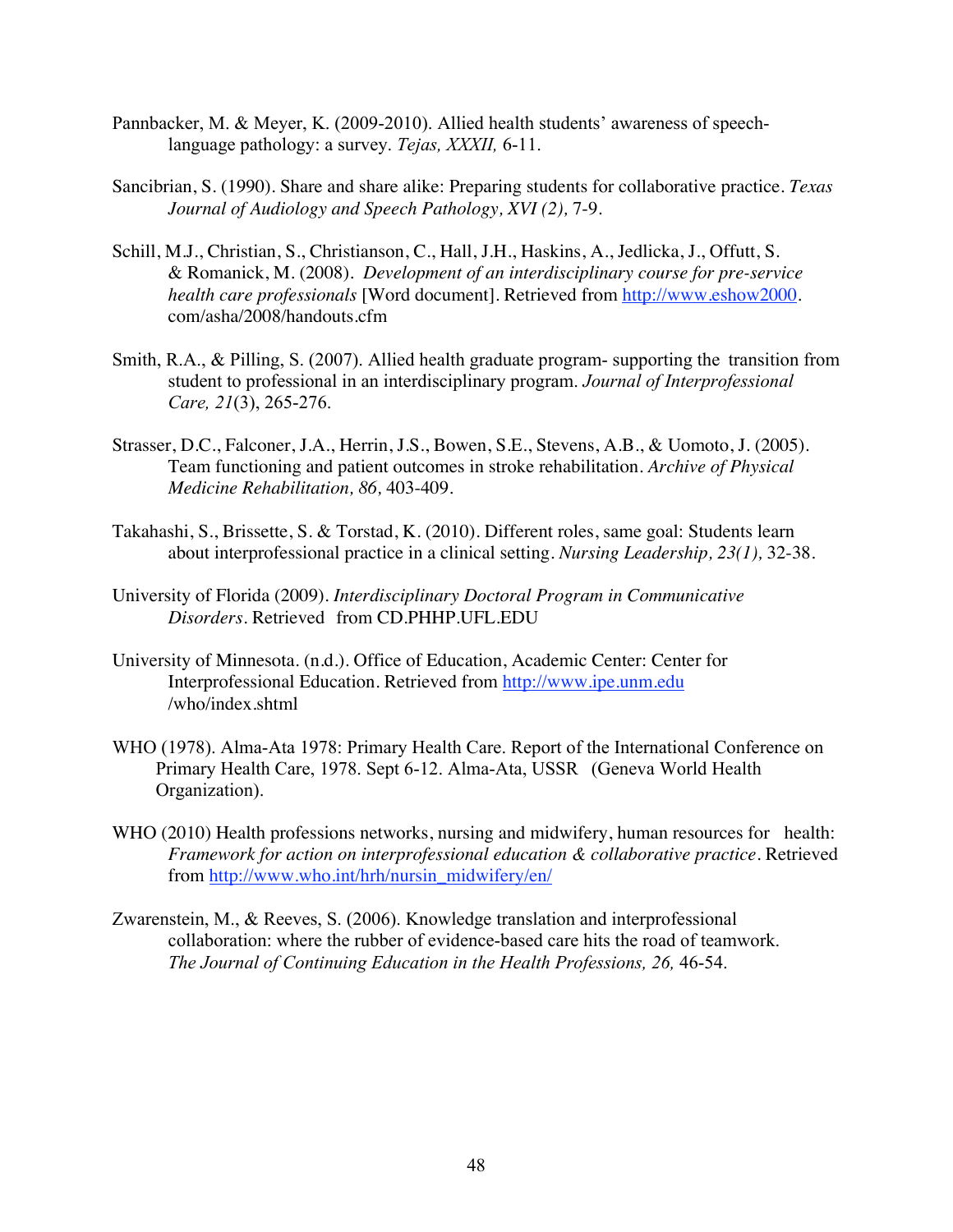- Pannbacker, M. & Meyer, K. (2009-2010). Allied health students' awareness of speechlanguage pathology: a survey. *Tejas, XXXII,* 6-11.
- Sancibrian, S. (1990). Share and share alike: Preparing students for collaborative practice. *Texas Journal of Audiology and Speech Pathology, XVI (2),* 7-9.
- Schill, M.J., Christian, S., Christianson, C., Hall, J.H., Haskins, A., Jedlicka, J., Offutt, S. & Romanick, M. (2008). *Development of an interdisciplinary course for pre-service health care professionals* [Word document]. Retrieved from http://www.eshow2000. com/asha/2008/handouts.cfm
- Smith, R.A., & Pilling, S. (2007). Allied health graduate program- supporting the transition from student to professional in an interdisciplinary program. *Journal of Interprofessional Care, 21*(3), 265-276.
- Strasser, D.C., Falconer, J.A., Herrin, J.S., Bowen, S.E., Stevens, A.B., & Uomoto, J. (2005). Team functioning and patient outcomes in stroke rehabilitation. *Archive of Physical Medicine Rehabilitation, 86,* 403-409.
- Takahashi, S., Brissette, S. & Torstad, K. (2010). Different roles, same goal: Students learn about interprofessional practice in a clinical setting. *Nursing Leadership, 23(1),* 32-38.
- University of Florida (2009). *Interdisciplinary Doctoral Program in Communicative Disorders.* Retrieved from CD.PHHP.UFL.EDU
- University of Minnesota. (n.d.). Office of Education, Academic Center: Center for Interprofessional Education. Retrieved from http://www.ipe.unm.edu /who/index.shtml
- WHO (1978). Alma-Ata 1978: Primary Health Care. Report of the International Conference on Primary Health Care, 1978. Sept 6-12. Alma-Ata, USSR (Geneva World Health Organization).
- WHO (2010) Health professions networks, nursing and midwifery, human resources for health: *Framework for action on interprofessional education & collaborative practice*. Retrieved from http://www.who.int/hrh/nursin\_midwifery/en/
- Zwarenstein, M., & Reeves, S. (2006). Knowledge translation and interprofessional collaboration: where the rubber of evidence-based care hits the road of teamwork. *The Journal of Continuing Education in the Health Professions, 26,* 46-54.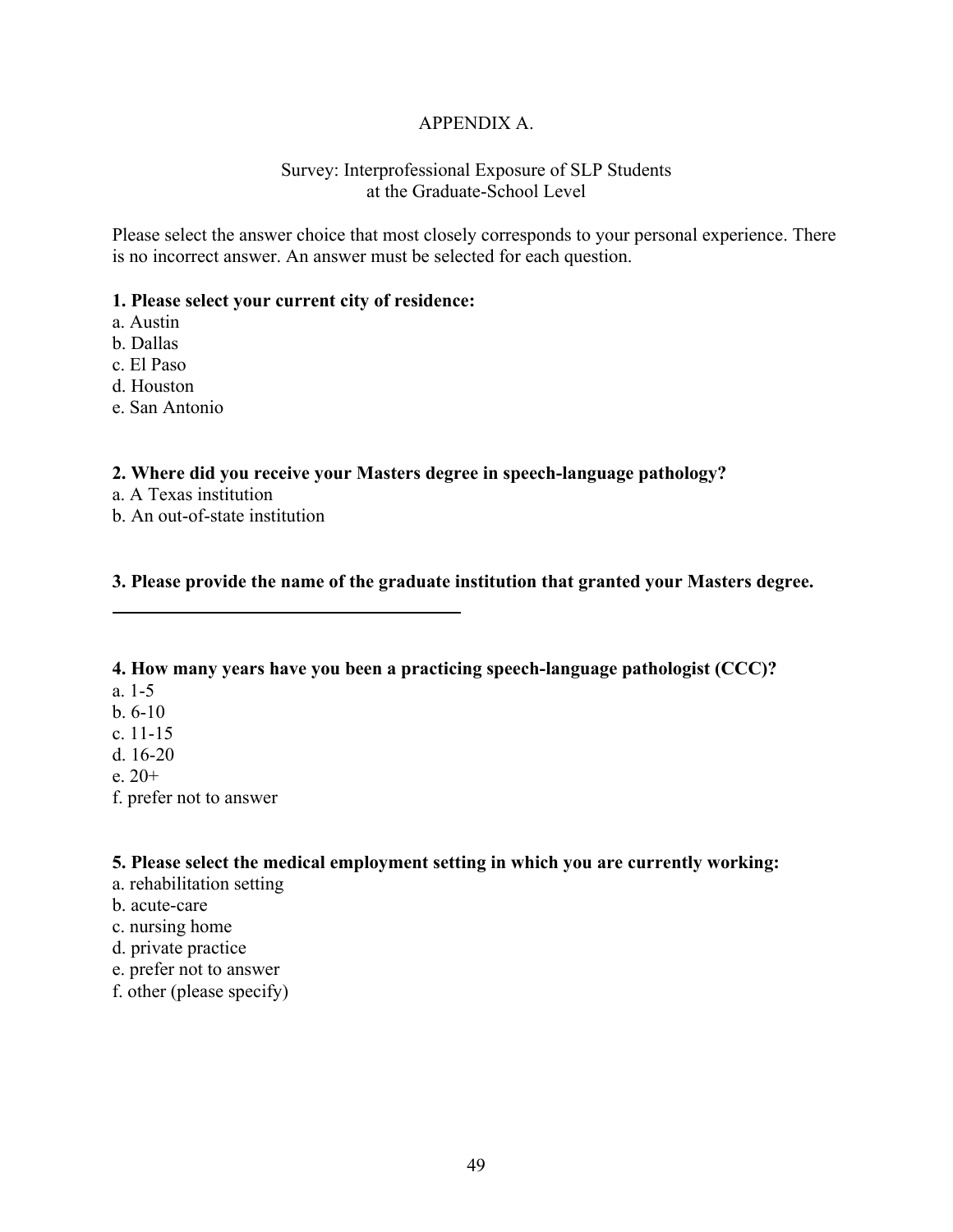# APPENDIX A.

## Survey: Interprofessional Exposure of SLP Students at the Graduate-School Level

Please select the answer choice that most closely corresponds to your personal experience. There is no incorrect answer. An answer must be selected for each question.

## **1. Please select your current city of residence:**

- a. Austin
- b. Dallas
- c. El Paso
- d. Houston
- e. San Antonio

## **2. Where did you receive your Masters degree in speech-language pathology?**

- a. A Texas institution
- b. An out-of-state institution

### **3. Please provide the name of the graduate institution that granted your Masters degree.**

#### **4. How many years have you been a practicing speech-language pathologist (CCC)?**

- a. 1-5
- b. 6-10
- c. 11-15
- d. 16-20
- e. 20+
- f. prefer not to answer

#### **5. Please select the medical employment setting in which you are currently working:**

- a. rehabilitation setting
- b. acute-care
- c. nursing home
- d. private practice
- e. prefer not to answer
- f. other (please specify)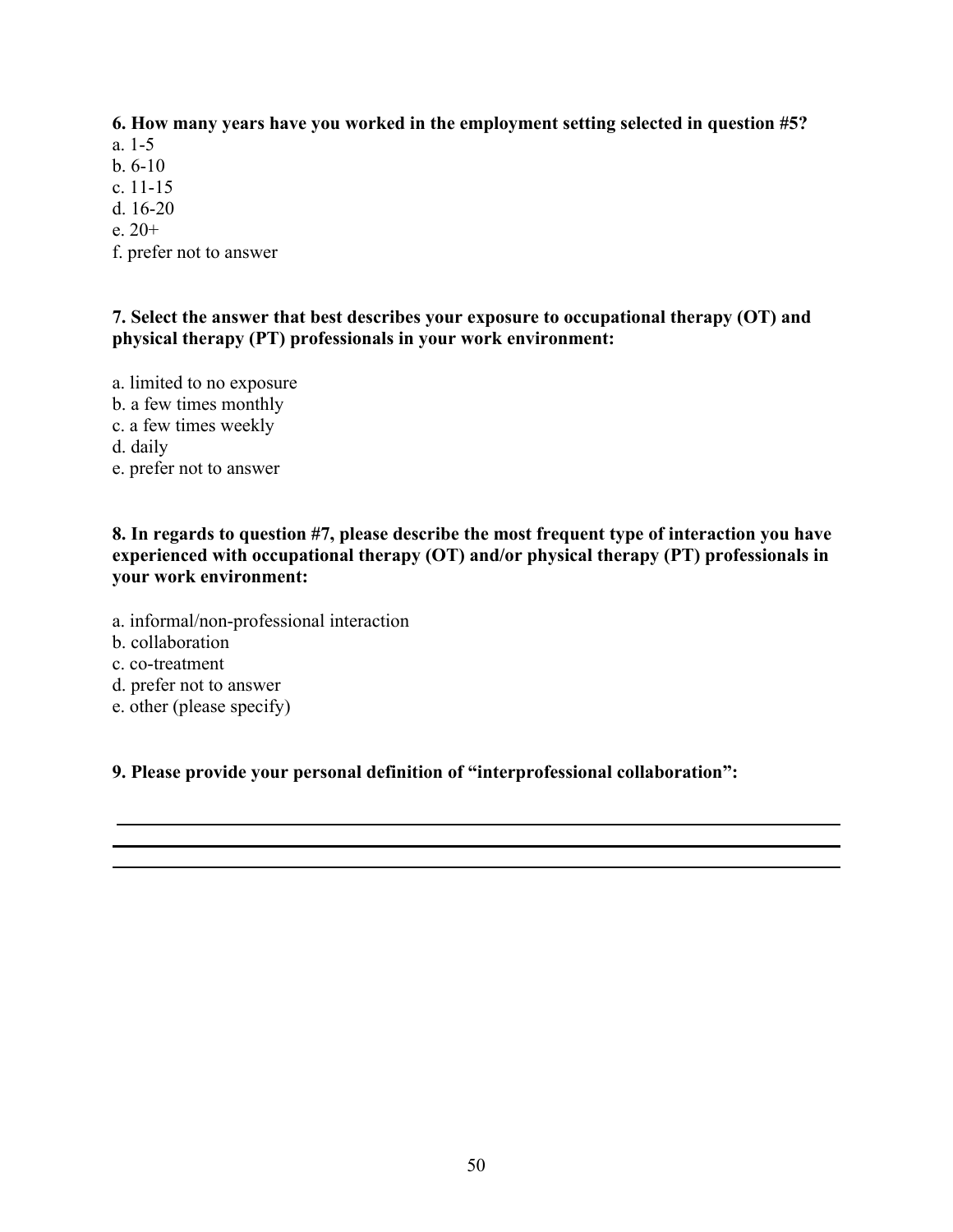# **6. How many years have you worked in the employment setting selected in question #5?**

- a. 1-5
- b. 6-10
- c. 11-15
- d. 16-20
- e. 20+
- f. prefer not to answer

# **7. Select the answer that best describes your exposure to occupational therapy (OT) and physical therapy (PT) professionals in your work environment:**

- a. limited to no exposure b. a few times monthly
- c. a few times weekly
- d. daily
- e. prefer not to answer

# **8. In regards to question #7, please describe the most frequent type of interaction you have experienced with occupational therapy (OT) and/or physical therapy (PT) professionals in your work environment:**

- a. informal/non-professional interaction
- b. collaboration
- c. co-treatment
- d. prefer not to answer
- e. other (please specify)

**9. Please provide your personal definition of "interprofessional collaboration":**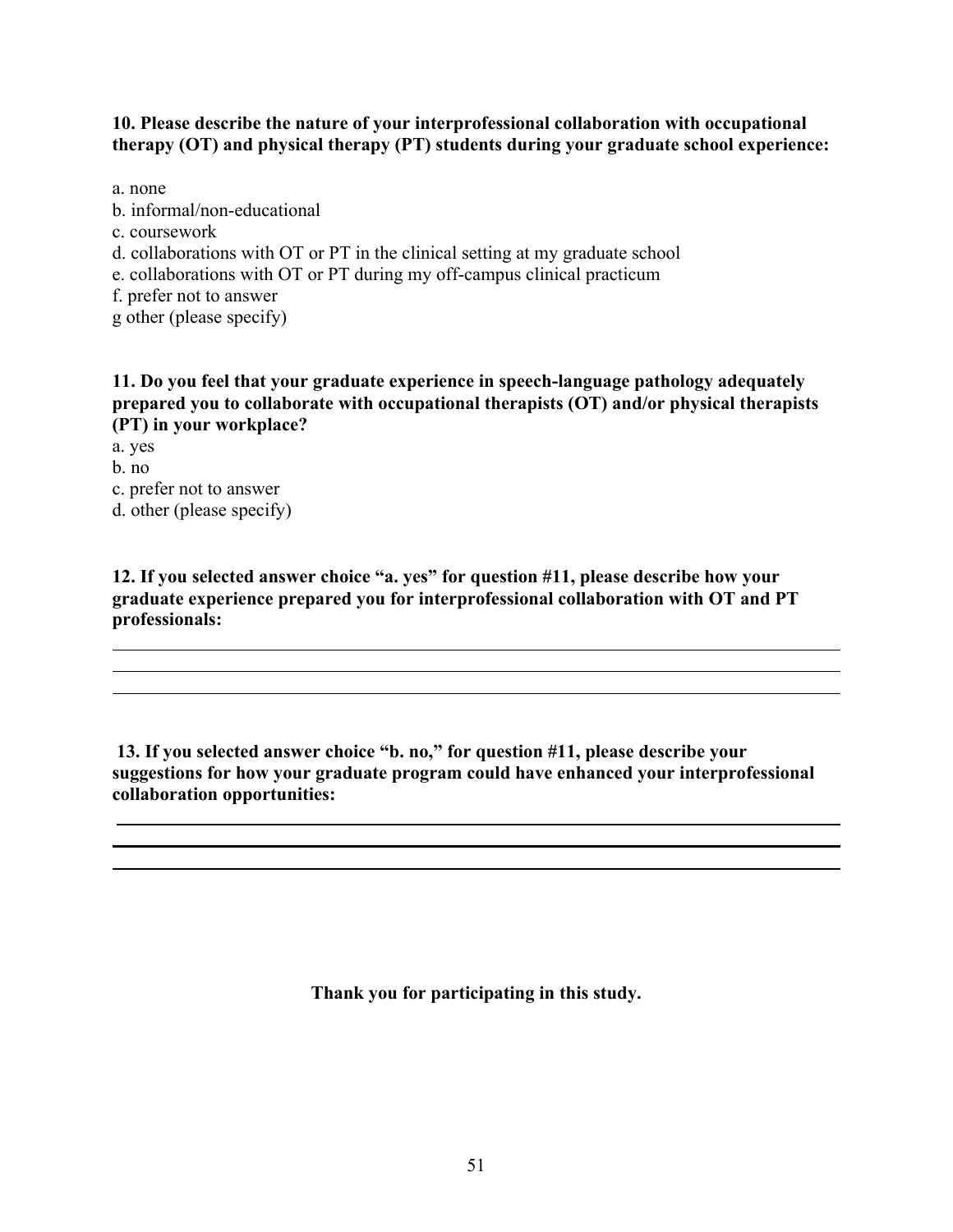# **10. Please describe the nature of your interprofessional collaboration with occupational therapy (OT) and physical therapy (PT) students during your graduate school experience:**

a. none

- b. informal/non-educational
- c. coursework
- d. collaborations with OT or PT in the clinical setting at my graduate school
- e. collaborations with OT or PT during my off-campus clinical practicum
- f. prefer not to answer
- g other (please specify)

**11. Do you feel that your graduate experience in speech-language pathology adequately prepared you to collaborate with occupational therapists (OT) and/or physical therapists (PT) in your workplace?** 

a. yes

b. no

- c. prefer not to answer
- d. other (please specify)

**12. If you selected answer choice "a. yes" for question #11, please describe how your graduate experience prepared you for interprofessional collaboration with OT and PT professionals:** 

**13. If you selected answer choice "b. no," for question #11, please describe your suggestions for how your graduate program could have enhanced your interprofessional collaboration opportunities:** 

**Thank you for participating in this study.**